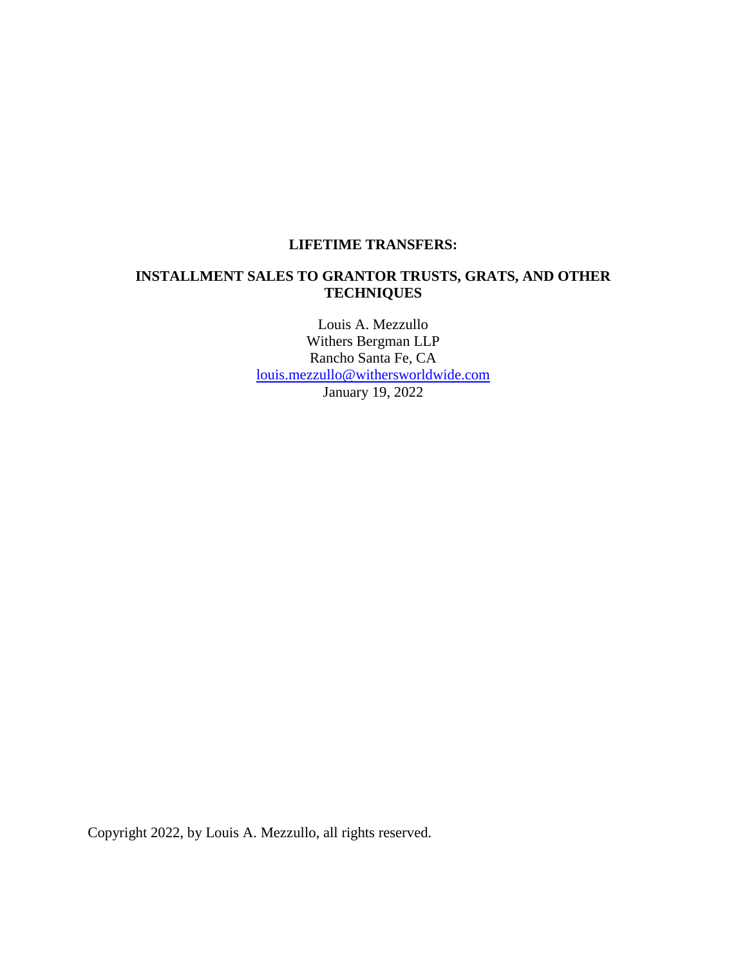## **LIFETIME TRANSFERS:**

## **INSTALLMENT SALES TO GRANTOR TRUSTS, GRATS, AND OTHER TECHNIQUES**

Louis A. Mezzullo Withers Bergman LLP Rancho Santa Fe, CA [louis.mezzullo@withersworldwide.com](mailto:louis.mezzullo@withersworldwide.com) January 19, 2022

Copyright 2022, by Louis A. Mezzullo, all rights reserved.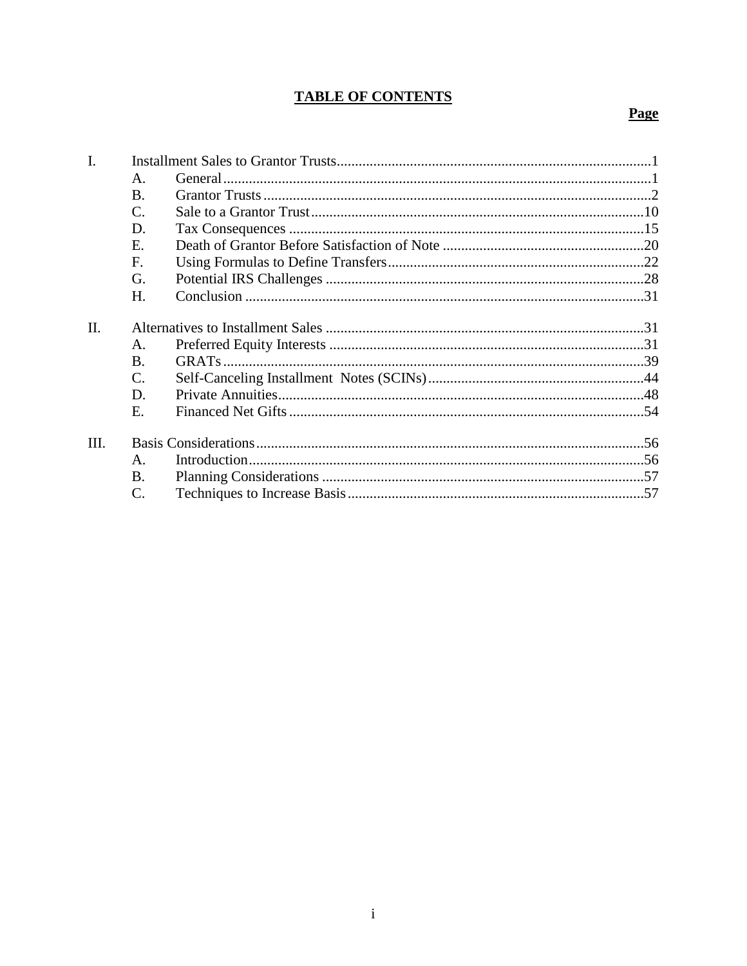# **TABLE OF CONTENTS**

# **Page**

| $\mathbf{I}$ . |                 |  |  |
|----------------|-----------------|--|--|
|                | А.              |  |  |
|                | <b>B.</b>       |  |  |
|                | $\mathcal{C}$ . |  |  |
|                | D.              |  |  |
|                | Е.              |  |  |
|                | F.              |  |  |
|                | G.              |  |  |
|                | Η.              |  |  |
| II.            |                 |  |  |
|                | A.              |  |  |
|                | B.              |  |  |
|                | C.              |  |  |
|                | D.              |  |  |
|                | Ε.              |  |  |
| Ш.             |                 |  |  |
|                | A.              |  |  |
|                | Β.              |  |  |
|                | C.              |  |  |
|                |                 |  |  |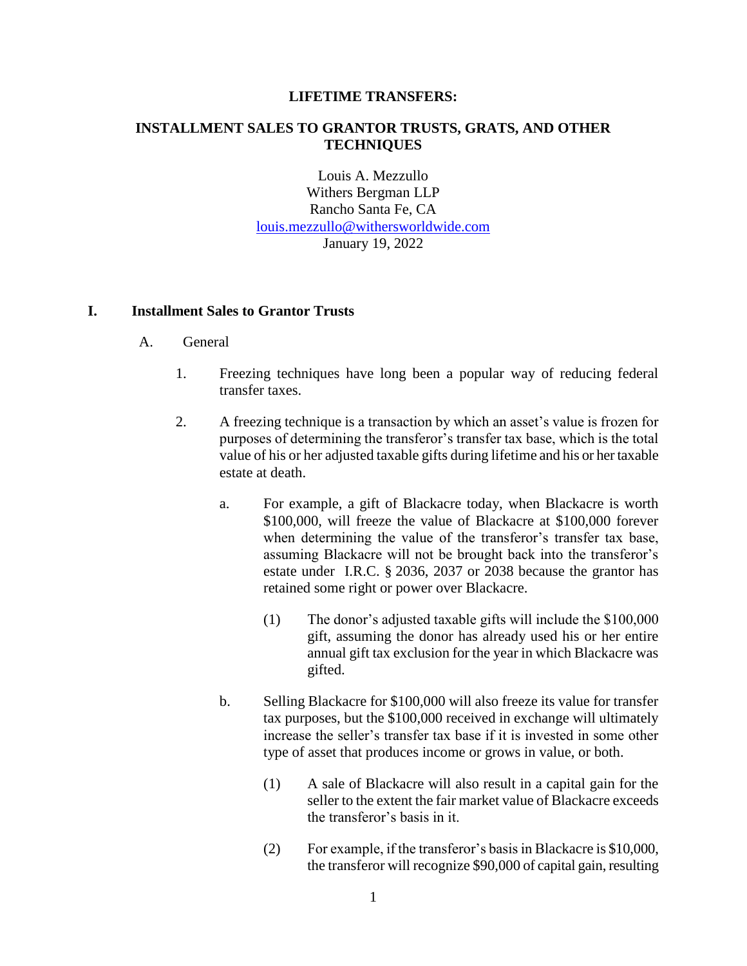#### **LIFETIME TRANSFERS:**

#### **INSTALLMENT SALES TO GRANTOR TRUSTS, GRATS, AND OTHER TECHNIQUES**

Louis A. Mezzullo Withers Bergman LLP Rancho Santa Fe, CA [louis.mezzullo@withersworldwide.com](mailto:louis.mezzullo@withersworldwide.com) January 19, 2022

#### **I. Installment Sales to Grantor Trusts**

- A. General
	- 1. Freezing techniques have long been a popular way of reducing federal transfer taxes.
	- 2. A freezing technique is a transaction by which an asset's value is frozen for purposes of determining the transferor's transfer tax base, which is the total value of his or her adjusted taxable gifts during lifetime and his or her taxable estate at death.
		- a. For example, a gift of Blackacre today, when Blackacre is worth \$100,000, will freeze the value of Blackacre at \$100,000 forever when determining the value of the transferor's transfer tax base, assuming Blackacre will not be brought back into the transferor's estate under I.R.C. § 2036, 2037 or 2038 because the grantor has retained some right or power over Blackacre.
			- (1) The donor's adjusted taxable gifts will include the \$100,000 gift, assuming the donor has already used his or her entire annual gift tax exclusion for the year in which Blackacre was gifted.
		- b. Selling Blackacre for \$100,000 will also freeze its value for transfer tax purposes, but the \$100,000 received in exchange will ultimately increase the seller's transfer tax base if it is invested in some other type of asset that produces income or grows in value, or both.
			- (1) A sale of Blackacre will also result in a capital gain for the seller to the extent the fair market value of Blackacre exceeds the transferor's basis in it.
			- (2) For example, if the transferor's basis in Blackacre is \$10,000, the transferor will recognize \$90,000 of capital gain, resulting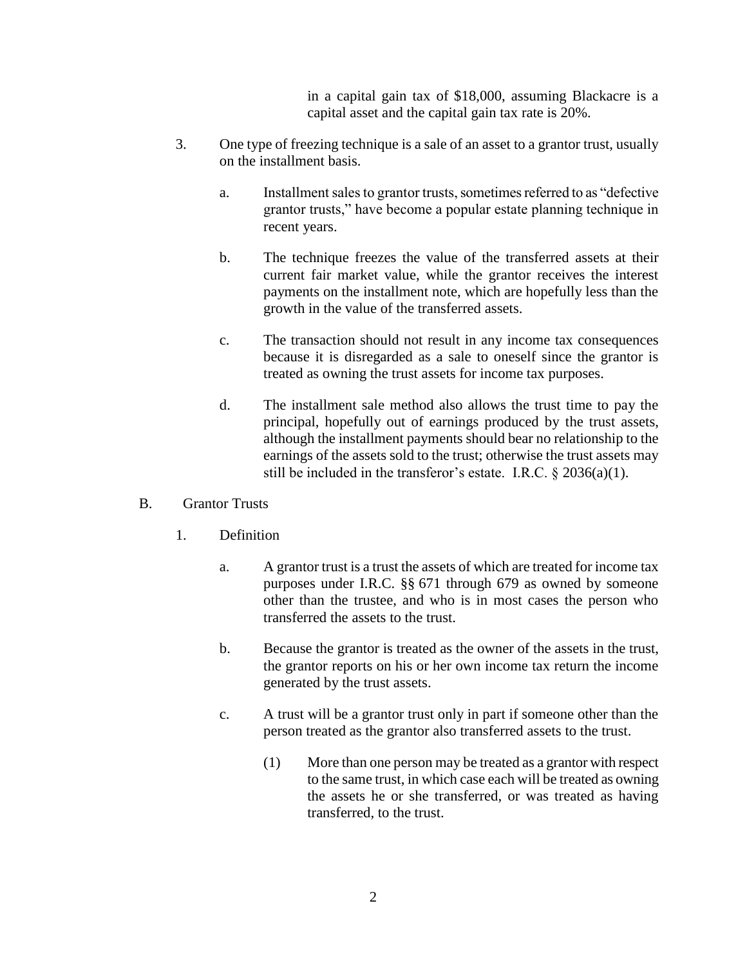in a capital gain tax of \$18,000, assuming Blackacre is a capital asset and the capital gain tax rate is 20%.

- 3. One type of freezing technique is a sale of an asset to a grantor trust, usually on the installment basis.
	- a. Installment sales to grantor trusts, sometimes referred to as "defective grantor trusts," have become a popular estate planning technique in recent years.
	- b. The technique freezes the value of the transferred assets at their current fair market value, while the grantor receives the interest payments on the installment note, which are hopefully less than the growth in the value of the transferred assets.
	- c. The transaction should not result in any income tax consequences because it is disregarded as a sale to oneself since the grantor is treated as owning the trust assets for income tax purposes.
	- d. The installment sale method also allows the trust time to pay the principal, hopefully out of earnings produced by the trust assets, although the installment payments should bear no relationship to the earnings of the assets sold to the trust; otherwise the trust assets may still be included in the transferor's estate. I.R.C.  $\S 2036(a)(1)$ .

## B. Grantor Trusts

- 1. Definition
	- a. A grantor trust is a trust the assets of which are treated for income tax purposes under I.R.C. §§ 671 through 679 as owned by someone other than the trustee, and who is in most cases the person who transferred the assets to the trust.
	- b. Because the grantor is treated as the owner of the assets in the trust, the grantor reports on his or her own income tax return the income generated by the trust assets.
	- c. A trust will be a grantor trust only in part if someone other than the person treated as the grantor also transferred assets to the trust.
		- (1) More than one person may be treated as a grantor with respect to the same trust, in which case each will be treated as owning the assets he or she transferred, or was treated as having transferred, to the trust.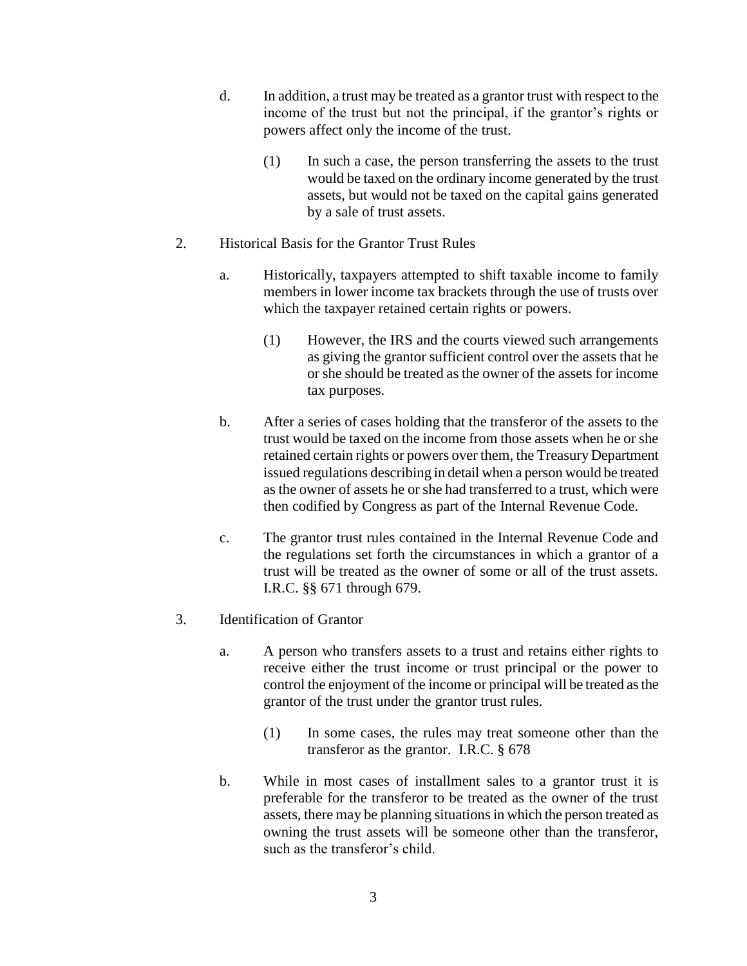- d. In addition, a trust may be treated as a grantor trust with respect to the income of the trust but not the principal, if the grantor's rights or powers affect only the income of the trust.
	- (1) In such a case, the person transferring the assets to the trust would be taxed on the ordinary income generated by the trust assets, but would not be taxed on the capital gains generated by a sale of trust assets.
- 2. Historical Basis for the Grantor Trust Rules
	- a. Historically, taxpayers attempted to shift taxable income to family members in lower income tax brackets through the use of trusts over which the taxpayer retained certain rights or powers.
		- (1) However, the IRS and the courts viewed such arrangements as giving the grantor sufficient control over the assets that he or she should be treated as the owner of the assets for income tax purposes.
	- b. After a series of cases holding that the transferor of the assets to the trust would be taxed on the income from those assets when he or she retained certain rights or powers over them, the Treasury Department issued regulations describing in detail when a person would be treated as the owner of assets he or she had transferred to a trust, which were then codified by Congress as part of the Internal Revenue Code.
	- c. The grantor trust rules contained in the Internal Revenue Code and the regulations set forth the circumstances in which a grantor of a trust will be treated as the owner of some or all of the trust assets. I.R.C. §§ 671 through 679.
- 3. Identification of Grantor
	- a. A person who transfers assets to a trust and retains either rights to receive either the trust income or trust principal or the power to control the enjoyment of the income or principal will be treated as the grantor of the trust under the grantor trust rules.
		- (1) In some cases, the rules may treat someone other than the transferor as the grantor. I.R.C. § 678
	- b. While in most cases of installment sales to a grantor trust it is preferable for the transferor to be treated as the owner of the trust assets, there may be planning situations in which the person treated as owning the trust assets will be someone other than the transferor, such as the transferor's child.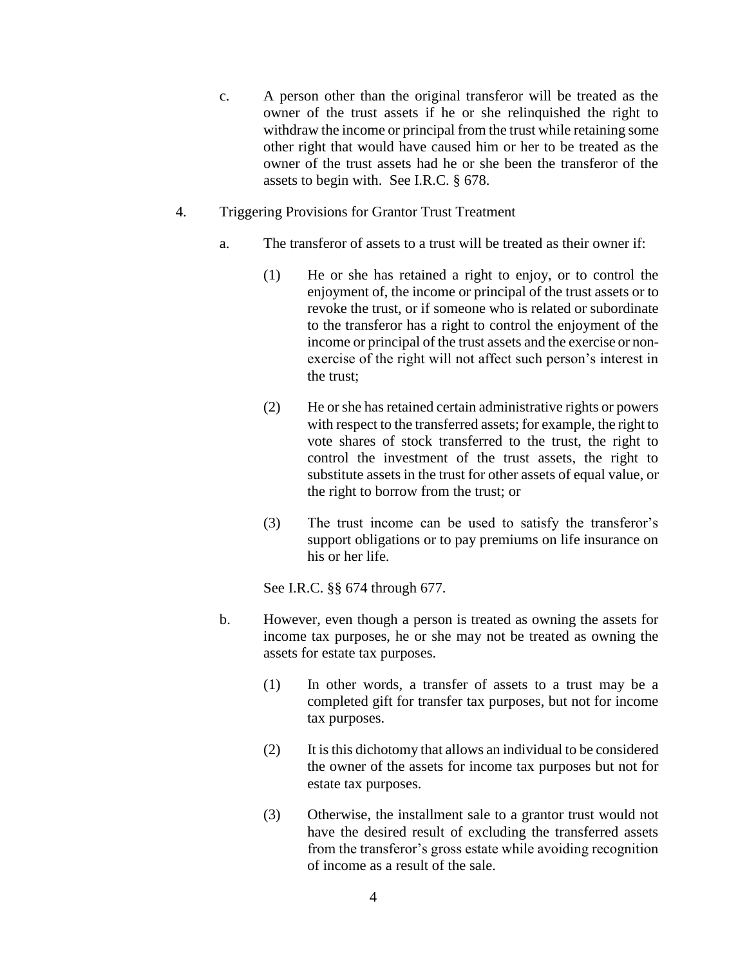- c. A person other than the original transferor will be treated as the owner of the trust assets if he or she relinquished the right to withdraw the income or principal from the trust while retaining some other right that would have caused him or her to be treated as the owner of the trust assets had he or she been the transferor of the assets to begin with. See I.R.C. § 678.
- 4. Triggering Provisions for Grantor Trust Treatment
	- a. The transferor of assets to a trust will be treated as their owner if:
		- (1) He or she has retained a right to enjoy, or to control the enjoyment of, the income or principal of the trust assets or to revoke the trust, or if someone who is related or subordinate to the transferor has a right to control the enjoyment of the income or principal of the trust assets and the exercise or nonexercise of the right will not affect such person's interest in the trust;
		- (2) He or she has retained certain administrative rights or powers with respect to the transferred assets; for example, the right to vote shares of stock transferred to the trust, the right to control the investment of the trust assets, the right to substitute assets in the trust for other assets of equal value, or the right to borrow from the trust; or
		- (3) The trust income can be used to satisfy the transferor's support obligations or to pay premiums on life insurance on his or her life.

See I.R.C. §§ 674 through 677.

- b. However, even though a person is treated as owning the assets for income tax purposes, he or she may not be treated as owning the assets for estate tax purposes.
	- (1) In other words, a transfer of assets to a trust may be a completed gift for transfer tax purposes, but not for income tax purposes.
	- (2) It is this dichotomy that allows an individual to be considered the owner of the assets for income tax purposes but not for estate tax purposes.
	- (3) Otherwise, the installment sale to a grantor trust would not have the desired result of excluding the transferred assets from the transferor's gross estate while avoiding recognition of income as a result of the sale.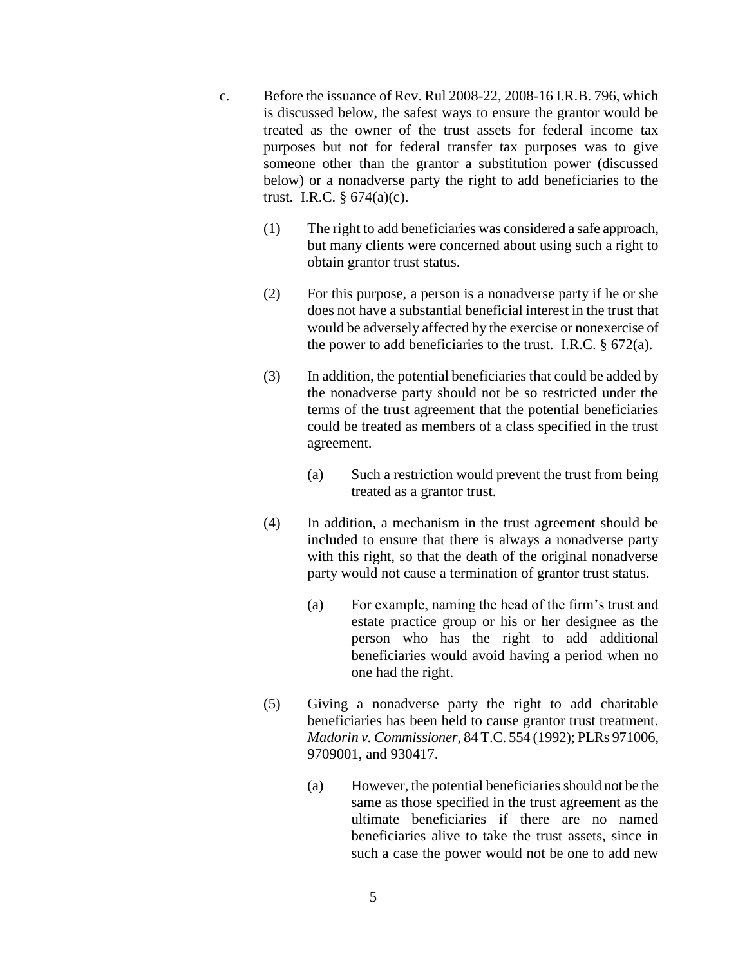- c. Before the issuance of Rev. Rul 2008-22, 2008-16 I.R.B. 796, which is discussed below, the safest ways to ensure the grantor would be treated as the owner of the trust assets for federal income tax purposes but not for federal transfer tax purposes was to give someone other than the grantor a substitution power (discussed below) or a nonadverse party the right to add beneficiaries to the trust. I.R.C.  $\S 674(a)(c)$ .
	- (1) The right to add beneficiaries was considered a safe approach, but many clients were concerned about using such a right to obtain grantor trust status.
	- (2) For this purpose, a person is a nonadverse party if he or she does not have a substantial beneficial interest in the trust that would be adversely affected by the exercise or nonexercise of the power to add beneficiaries to the trust. I.R.C.  $\S$  672(a).
	- (3) In addition, the potential beneficiaries that could be added by the nonadverse party should not be so restricted under the terms of the trust agreement that the potential beneficiaries could be treated as members of a class specified in the trust agreement.
		- (a) Such a restriction would prevent the trust from being treated as a grantor trust.
	- (4) In addition, a mechanism in the trust agreement should be included to ensure that there is always a nonadverse party with this right, so that the death of the original nonadverse party would not cause a termination of grantor trust status.
		- (a) For example, naming the head of the firm's trust and estate practice group or his or her designee as the person who has the right to add additional beneficiaries would avoid having a period when no one had the right.
	- (5) Giving a nonadverse party the right to add charitable beneficiaries has been held to cause grantor trust treatment. *Madorin v. Commissioner*, 84 T.C. 554 (1992); PLRs 971006, 9709001, and 930417.
		- (a) However, the potential beneficiaries should not be the same as those specified in the trust agreement as the ultimate beneficiaries if there are no named beneficiaries alive to take the trust assets, since in such a case the power would not be one to add new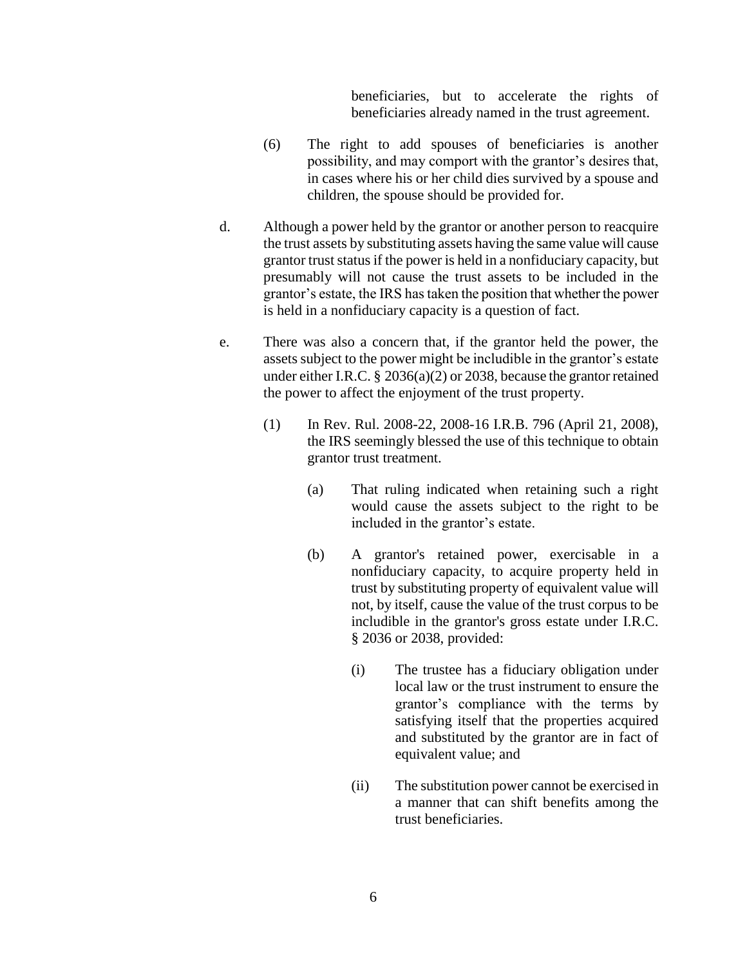beneficiaries, but to accelerate the rights of beneficiaries already named in the trust agreement.

- (6) The right to add spouses of beneficiaries is another possibility, and may comport with the grantor's desires that, in cases where his or her child dies survived by a spouse and children, the spouse should be provided for.
- d. Although a power held by the grantor or another person to reacquire the trust assets by substituting assets having the same value will cause grantor trust status if the power is held in a nonfiduciary capacity, but presumably will not cause the trust assets to be included in the grantor's estate, the IRS has taken the position that whether the power is held in a nonfiduciary capacity is a question of fact.
- e. There was also a concern that, if the grantor held the power, the assets subject to the power might be includible in the grantor's estate under either I.R.C. § 2036(a)(2) or 2038, because the grantor retained the power to affect the enjoyment of the trust property.
	- (1) In Rev. Rul. 2008-22, 2008-16 I.R.B. 796 (April 21, 2008), the IRS seemingly blessed the use of this technique to obtain grantor trust treatment.
		- (a) That ruling indicated when retaining such a right would cause the assets subject to the right to be included in the grantor's estate.
		- (b) A grantor's retained power, exercisable in a nonfiduciary capacity, to acquire property held in trust by substituting property of equivalent value will not, by itself, cause the value of the trust corpus to be includible in the grantor's gross estate under I.R.C. § 2036 or 2038, provided:
			- (i) The trustee has a fiduciary obligation under local law or the trust instrument to ensure the grantor's compliance with the terms by satisfying itself that the properties acquired and substituted by the grantor are in fact of equivalent value; and
			- (ii) The substitution power cannot be exercised in a manner that can shift benefits among the trust beneficiaries.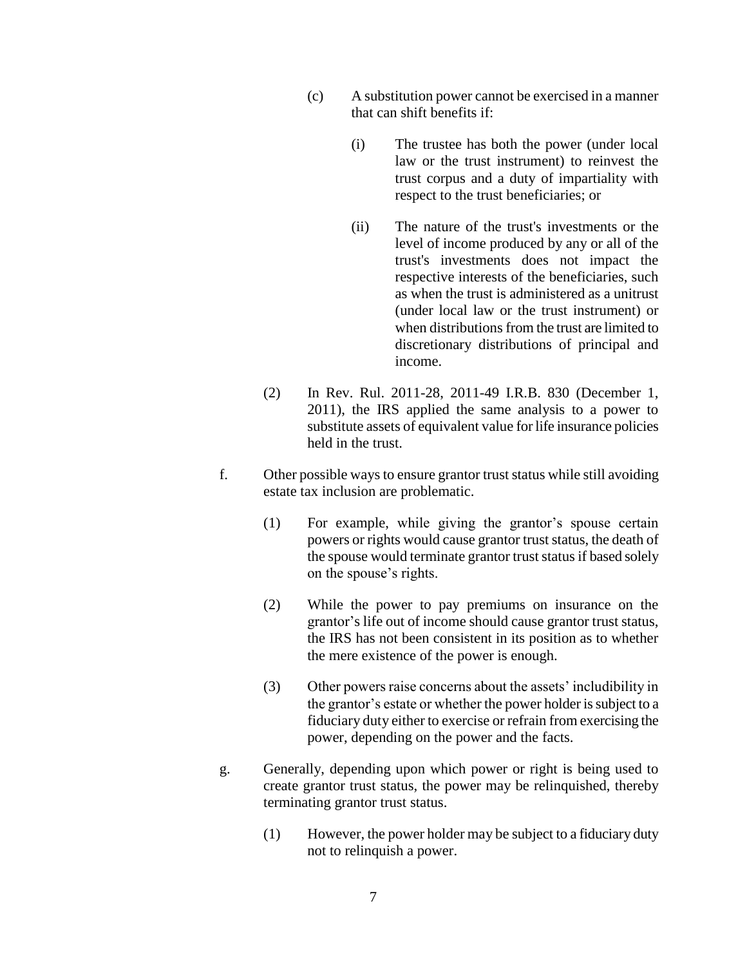- (c) A substitution power cannot be exercised in a manner that can shift benefits if:
	- (i) The trustee has both the power (under local law or the trust instrument) to reinvest the trust corpus and a duty of impartiality with respect to the trust beneficiaries; or
	- (ii) The nature of the trust's investments or the level of income produced by any or all of the trust's investments does not impact the respective interests of the beneficiaries, such as when the trust is administered as a unitrust (under local law or the trust instrument) or when distributions from the trust are limited to discretionary distributions of principal and income.
- (2) In Rev. Rul. 2011-28, 2011-49 I.R.B. 830 (December 1, 2011), the IRS applied the same analysis to a power to substitute assets of equivalent value for life insurance policies held in the trust.
- f. Other possible ways to ensure grantor trust status while still avoiding estate tax inclusion are problematic.
	- (1) For example, while giving the grantor's spouse certain powers or rights would cause grantor trust status, the death of the spouse would terminate grantor trust status if based solely on the spouse's rights.
	- (2) While the power to pay premiums on insurance on the grantor's life out of income should cause grantor trust status, the IRS has not been consistent in its position as to whether the mere existence of the power is enough.
	- (3) Other powers raise concerns about the assets' includibility in the grantor's estate or whether the power holder is subject to a fiduciary duty either to exercise or refrain from exercising the power, depending on the power and the facts.
- g. Generally, depending upon which power or right is being used to create grantor trust status, the power may be relinquished, thereby terminating grantor trust status.
	- (1) However, the power holder may be subject to a fiduciary duty not to relinquish a power.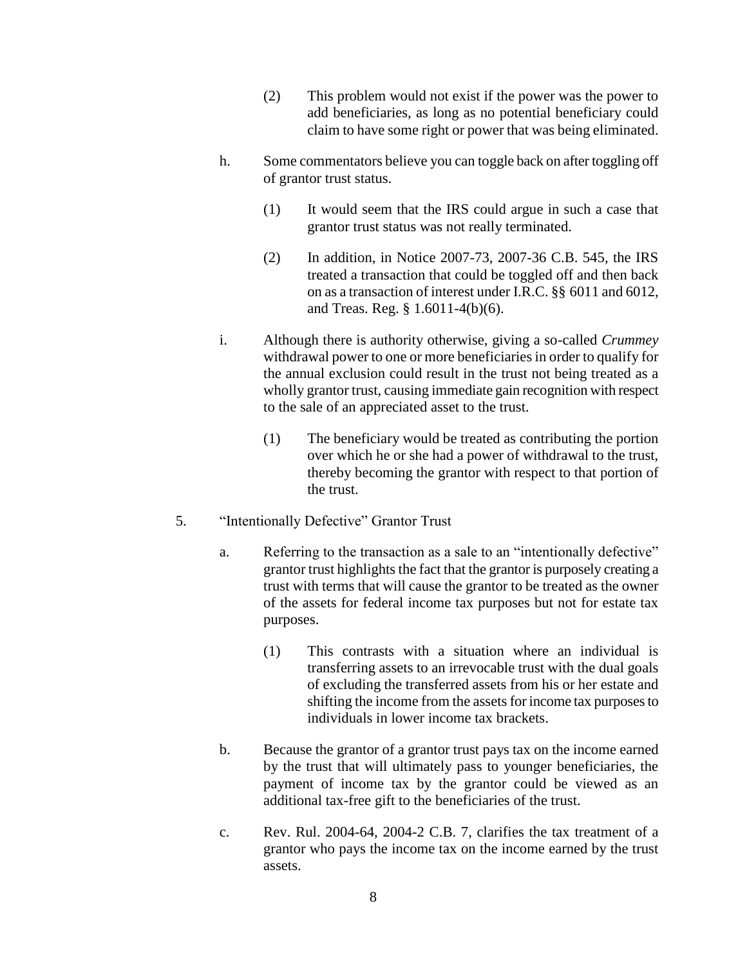- (2) This problem would not exist if the power was the power to add beneficiaries, as long as no potential beneficiary could claim to have some right or power that was being eliminated.
- h. Some commentators believe you can toggle back on after toggling off of grantor trust status.
	- (1) It would seem that the IRS could argue in such a case that grantor trust status was not really terminated.
	- (2) In addition, in Notice 2007-73, 2007-36 C.B. 545, the IRS treated a transaction that could be toggled off and then back on as a transaction of interest under I.R.C. §§ 6011 and 6012, and Treas. Reg. § 1.6011-4(b)(6).
- i. Although there is authority otherwise, giving a so-called *Crummey* withdrawal power to one or more beneficiaries in order to qualify for the annual exclusion could result in the trust not being treated as a wholly grantor trust, causing immediate gain recognition with respect to the sale of an appreciated asset to the trust.
	- (1) The beneficiary would be treated as contributing the portion over which he or she had a power of withdrawal to the trust, thereby becoming the grantor with respect to that portion of the trust.
- 5. "Intentionally Defective" Grantor Trust
	- a. Referring to the transaction as a sale to an "intentionally defective" grantor trust highlights the fact that the grantor is purposely creating a trust with terms that will cause the grantor to be treated as the owner of the assets for federal income tax purposes but not for estate tax purposes.
		- (1) This contrasts with a situation where an individual is transferring assets to an irrevocable trust with the dual goals of excluding the transferred assets from his or her estate and shifting the income from the assets for income tax purposes to individuals in lower income tax brackets.
	- b. Because the grantor of a grantor trust pays tax on the income earned by the trust that will ultimately pass to younger beneficiaries, the payment of income tax by the grantor could be viewed as an additional tax-free gift to the beneficiaries of the trust.
	- c. Rev. Rul. 2004-64, 2004-2 C.B. 7, clarifies the tax treatment of a grantor who pays the income tax on the income earned by the trust assets.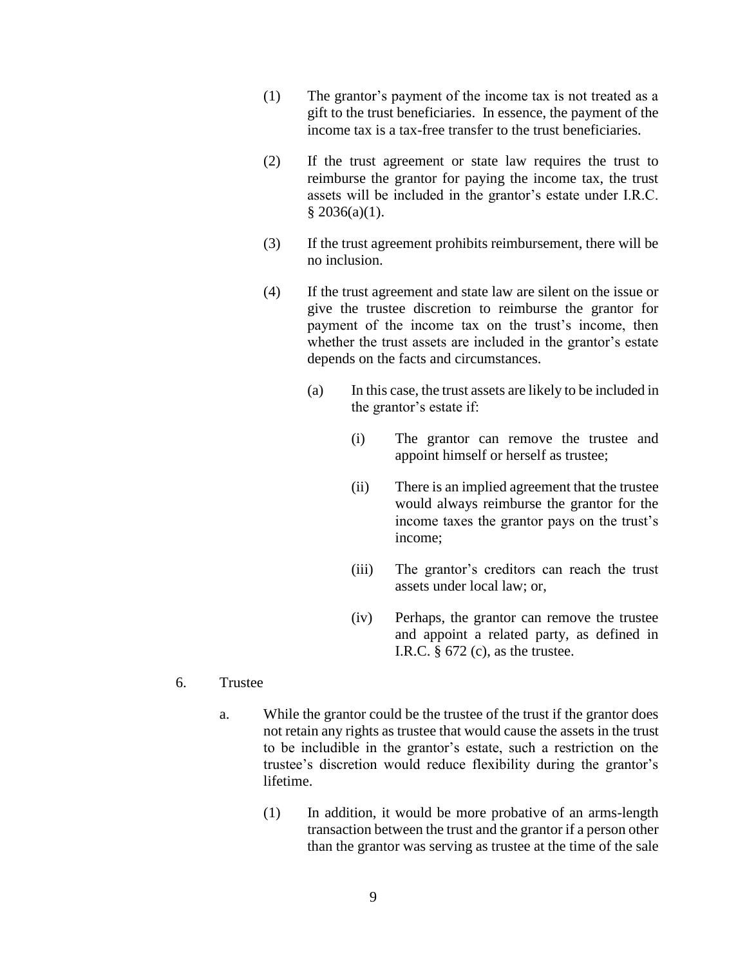- (1) The grantor's payment of the income tax is not treated as a gift to the trust beneficiaries. In essence, the payment of the income tax is a tax-free transfer to the trust beneficiaries.
- (2) If the trust agreement or state law requires the trust to reimburse the grantor for paying the income tax, the trust assets will be included in the grantor's estate under I.R.C.  $§$  2036(a)(1).
- (3) If the trust agreement prohibits reimbursement, there will be no inclusion.
- (4) If the trust agreement and state law are silent on the issue or give the trustee discretion to reimburse the grantor for payment of the income tax on the trust's income, then whether the trust assets are included in the grantor's estate depends on the facts and circumstances.
	- (a) In this case, the trust assets are likely to be included in the grantor's estate if:
		- (i) The grantor can remove the trustee and appoint himself or herself as trustee;
		- (ii) There is an implied agreement that the trustee would always reimburse the grantor for the income taxes the grantor pays on the trust's income;
		- (iii) The grantor's creditors can reach the trust assets under local law; or,
		- (iv) Perhaps, the grantor can remove the trustee and appoint a related party, as defined in I.R.C.  $\S 672$  (c), as the trustee.
- 6. Trustee
	- a. While the grantor could be the trustee of the trust if the grantor does not retain any rights as trustee that would cause the assets in the trust to be includible in the grantor's estate, such a restriction on the trustee's discretion would reduce flexibility during the grantor's lifetime.
		- (1) In addition, it would be more probative of an arms-length transaction between the trust and the grantor if a person other than the grantor was serving as trustee at the time of the sale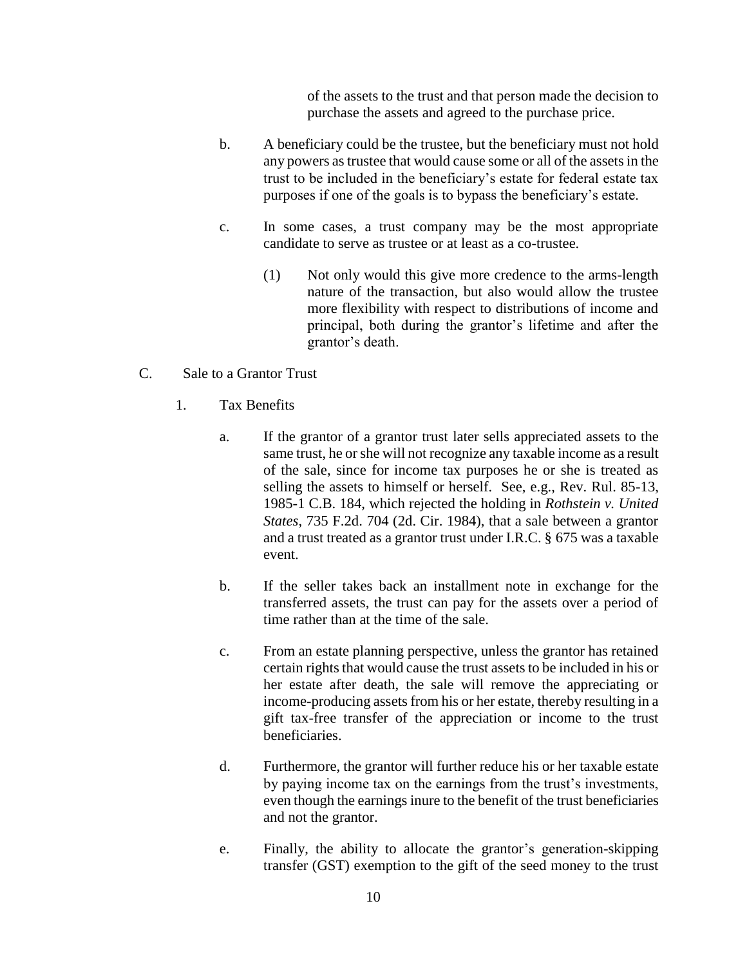of the assets to the trust and that person made the decision to purchase the assets and agreed to the purchase price.

- b. A beneficiary could be the trustee, but the beneficiary must not hold any powers as trustee that would cause some or all of the assets in the trust to be included in the beneficiary's estate for federal estate tax purposes if one of the goals is to bypass the beneficiary's estate.
- c. In some cases, a trust company may be the most appropriate candidate to serve as trustee or at least as a co-trustee.
	- (1) Not only would this give more credence to the arms-length nature of the transaction, but also would allow the trustee more flexibility with respect to distributions of income and principal, both during the grantor's lifetime and after the grantor's death.
- C. Sale to a Grantor Trust
	- 1. Tax Benefits
		- a. If the grantor of a grantor trust later sells appreciated assets to the same trust, he or she will not recognize any taxable income as a result of the sale, since for income tax purposes he or she is treated as selling the assets to himself or herself. See, e.g., Rev. Rul. 85-13, 1985-1 C.B. 184, which rejected the holding in *Rothstein v. United States*, 735 F.2d. 704 (2d. Cir. 1984), that a sale between a grantor and a trust treated as a grantor trust under I.R.C. § 675 was a taxable event.
		- b. If the seller takes back an installment note in exchange for the transferred assets, the trust can pay for the assets over a period of time rather than at the time of the sale.
		- c. From an estate planning perspective, unless the grantor has retained certain rights that would cause the trust assets to be included in his or her estate after death, the sale will remove the appreciating or income-producing assets from his or her estate, thereby resulting in a gift tax-free transfer of the appreciation or income to the trust beneficiaries.
		- d. Furthermore, the grantor will further reduce his or her taxable estate by paying income tax on the earnings from the trust's investments, even though the earnings inure to the benefit of the trust beneficiaries and not the grantor.
		- e. Finally, the ability to allocate the grantor's generation-skipping transfer (GST) exemption to the gift of the seed money to the trust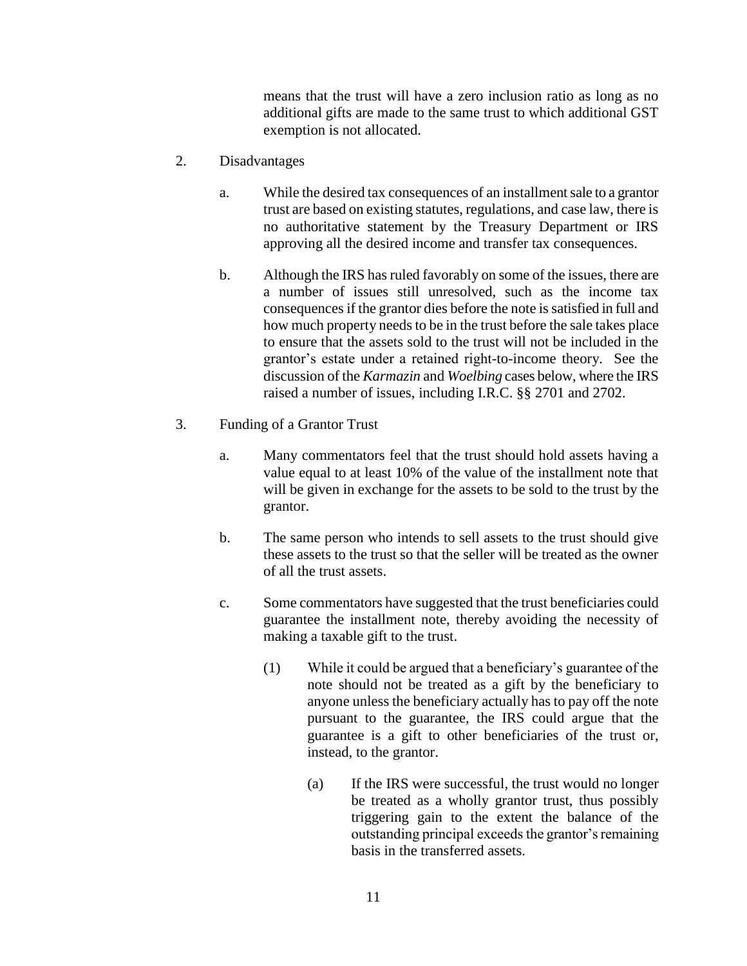means that the trust will have a zero inclusion ratio as long as no additional gifts are made to the same trust to which additional GST exemption is not allocated.

- 2. Disadvantages
	- a. While the desired tax consequences of an installment sale to a grantor trust are based on existing statutes, regulations, and case law, there is no authoritative statement by the Treasury Department or IRS approving all the desired income and transfer tax consequences.
	- b. Although the IRS has ruled favorably on some of the issues, there are a number of issues still unresolved, such as the income tax consequences if the grantor dies before the note is satisfied in full and how much property needs to be in the trust before the sale takes place to ensure that the assets sold to the trust will not be included in the grantor's estate under a retained right-to-income theory. See the discussion of the *Karmazin* and *Woelbing* cases below, where the IRS raised a number of issues, including I.R.C. §§ 2701 and 2702.
- 3. Funding of a Grantor Trust
	- a. Many commentators feel that the trust should hold assets having a value equal to at least 10% of the value of the installment note that will be given in exchange for the assets to be sold to the trust by the grantor.
	- b. The same person who intends to sell assets to the trust should give these assets to the trust so that the seller will be treated as the owner of all the trust assets.
	- c. Some commentators have suggested that the trust beneficiaries could guarantee the installment note, thereby avoiding the necessity of making a taxable gift to the trust.
		- (1) While it could be argued that a beneficiary's guarantee of the note should not be treated as a gift by the beneficiary to anyone unless the beneficiary actually has to pay off the note pursuant to the guarantee, the IRS could argue that the guarantee is a gift to other beneficiaries of the trust or, instead, to the grantor.
			- (a) If the IRS were successful, the trust would no longer be treated as a wholly grantor trust, thus possibly triggering gain to the extent the balance of the outstanding principal exceeds the grantor's remaining basis in the transferred assets.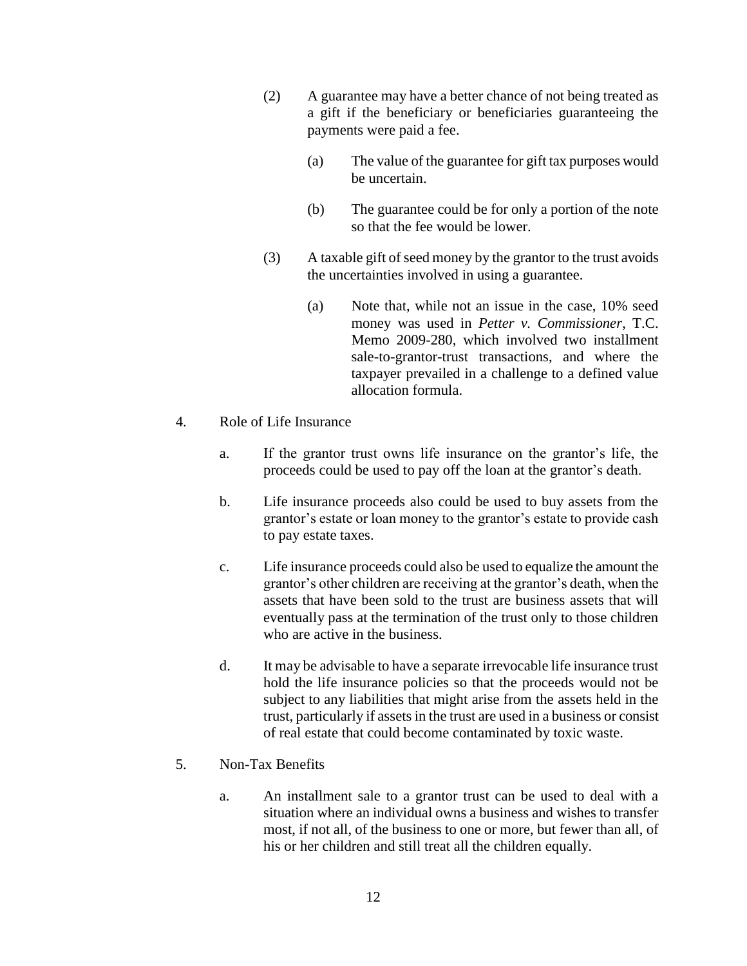- (2) A guarantee may have a better chance of not being treated as a gift if the beneficiary or beneficiaries guaranteeing the payments were paid a fee.
	- (a) The value of the guarantee for gift tax purposes would be uncertain.
	- (b) The guarantee could be for only a portion of the note so that the fee would be lower.
- (3) A taxable gift of seed money by the grantor to the trust avoids the uncertainties involved in using a guarantee.
	- (a) Note that, while not an issue in the case, 10% seed money was used in *Petter v. Commissioner*, T.C. Memo 2009-280, which involved two installment sale-to-grantor-trust transactions, and where the taxpayer prevailed in a challenge to a defined value allocation formula.
- 4. Role of Life Insurance
	- a. If the grantor trust owns life insurance on the grantor's life, the proceeds could be used to pay off the loan at the grantor's death.
	- b. Life insurance proceeds also could be used to buy assets from the grantor's estate or loan money to the grantor's estate to provide cash to pay estate taxes.
	- c. Life insurance proceeds could also be used to equalize the amount the grantor's other children are receiving at the grantor's death, when the assets that have been sold to the trust are business assets that will eventually pass at the termination of the trust only to those children who are active in the business.
	- d. It may be advisable to have a separate irrevocable life insurance trust hold the life insurance policies so that the proceeds would not be subject to any liabilities that might arise from the assets held in the trust, particularly if assets in the trust are used in a business or consist of real estate that could become contaminated by toxic waste.
- 5. Non-Tax Benefits
	- a. An installment sale to a grantor trust can be used to deal with a situation where an individual owns a business and wishes to transfer most, if not all, of the business to one or more, but fewer than all, of his or her children and still treat all the children equally.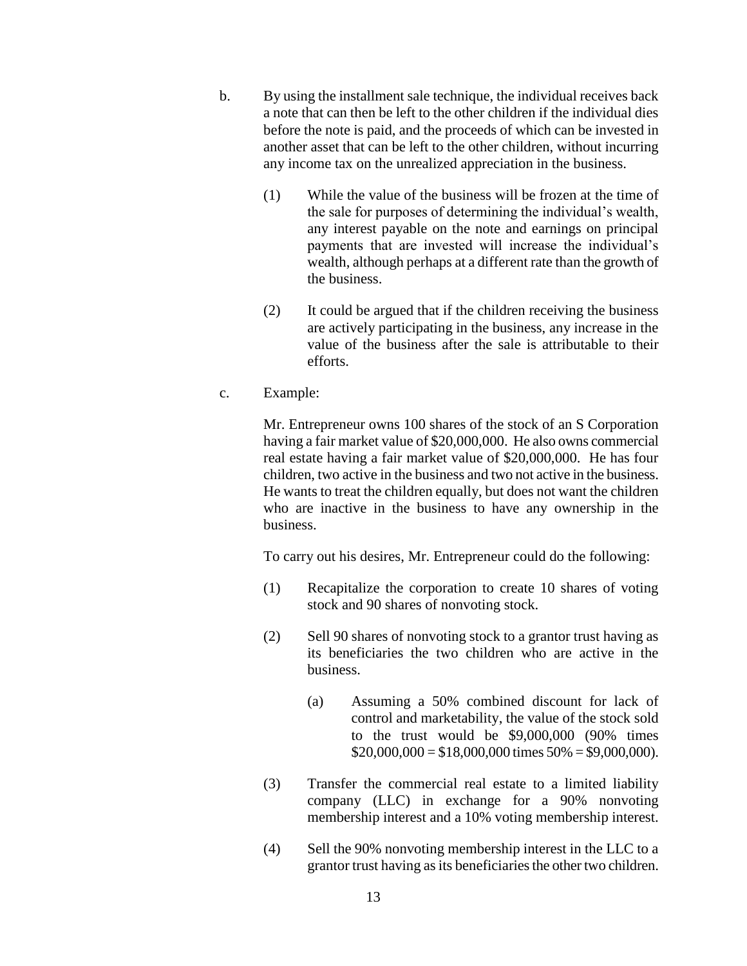- b. By using the installment sale technique, the individual receives back a note that can then be left to the other children if the individual dies before the note is paid, and the proceeds of which can be invested in another asset that can be left to the other children, without incurring any income tax on the unrealized appreciation in the business.
	- (1) While the value of the business will be frozen at the time of the sale for purposes of determining the individual's wealth, any interest payable on the note and earnings on principal payments that are invested will increase the individual's wealth, although perhaps at a different rate than the growth of the business.
	- (2) It could be argued that if the children receiving the business are actively participating in the business, any increase in the value of the business after the sale is attributable to their efforts.
- c. Example:

Mr. Entrepreneur owns 100 shares of the stock of an S Corporation having a fair market value of \$20,000,000. He also owns commercial real estate having a fair market value of \$20,000,000. He has four children, two active in the business and two not active in the business. He wants to treat the children equally, but does not want the children who are inactive in the business to have any ownership in the business.

To carry out his desires, Mr. Entrepreneur could do the following:

- (1) Recapitalize the corporation to create 10 shares of voting stock and 90 shares of nonvoting stock.
- (2) Sell 90 shares of nonvoting stock to a grantor trust having as its beneficiaries the two children who are active in the business.
	- (a) Assuming a 50% combined discount for lack of control and marketability, the value of the stock sold to the trust would be \$9,000,000 (90% times  $$20,000,000 = $18,000,000$  times  $50\% = $9,000,000$ .
- (3) Transfer the commercial real estate to a limited liability company (LLC) in exchange for a 90% nonvoting membership interest and a 10% voting membership interest.
- (4) Sell the 90% nonvoting membership interest in the LLC to a grantor trust having as its beneficiaries the other two children.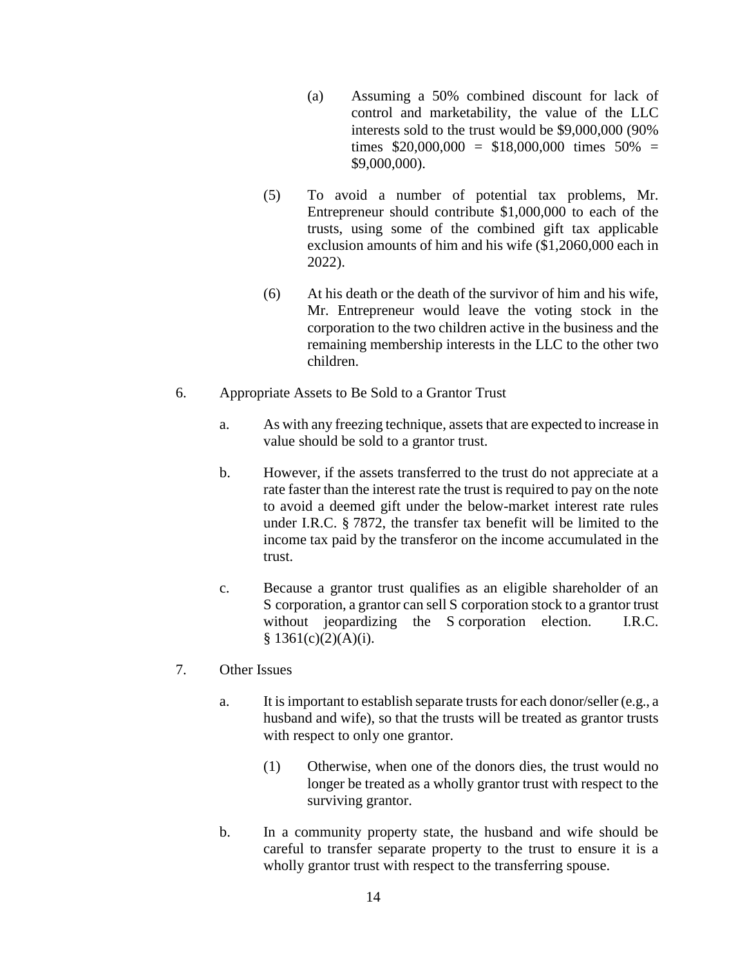- (a) Assuming a 50% combined discount for lack of control and marketability, the value of the LLC interests sold to the trust would be \$9,000,000 (90% times  $$20,000,000 = $18,000,000$  times  $50\% =$ \$9,000,000).
- (5) To avoid a number of potential tax problems, Mr. Entrepreneur should contribute \$1,000,000 to each of the trusts, using some of the combined gift tax applicable exclusion amounts of him and his wife (\$1,2060,000 each in 2022).
- (6) At his death or the death of the survivor of him and his wife, Mr. Entrepreneur would leave the voting stock in the corporation to the two children active in the business and the remaining membership interests in the LLC to the other two children.
- 6. Appropriate Assets to Be Sold to a Grantor Trust
	- a. As with any freezing technique, assets that are expected to increase in value should be sold to a grantor trust.
	- b. However, if the assets transferred to the trust do not appreciate at a rate faster than the interest rate the trust is required to pay on the note to avoid a deemed gift under the below-market interest rate rules under I.R.C. § 7872, the transfer tax benefit will be limited to the income tax paid by the transferor on the income accumulated in the trust.
	- c. Because a grantor trust qualifies as an eligible shareholder of an S corporation, a grantor can sell S corporation stock to a grantor trust without jeopardizing the S corporation election. I.R.C.  $§ 1361(c)(2)(A)(i).$
- 7. Other Issues
	- a. It is important to establish separate trusts for each donor/seller (e.g., a husband and wife), so that the trusts will be treated as grantor trusts with respect to only one grantor.
		- (1) Otherwise, when one of the donors dies, the trust would no longer be treated as a wholly grantor trust with respect to the surviving grantor.
	- b. In a community property state, the husband and wife should be careful to transfer separate property to the trust to ensure it is a wholly grantor trust with respect to the transferring spouse.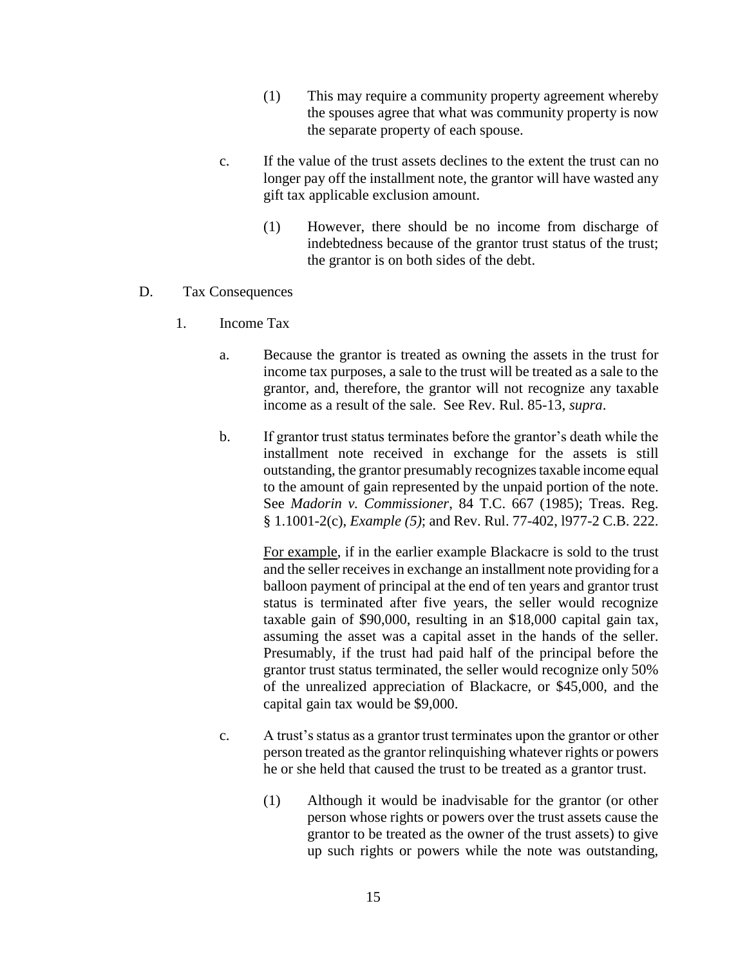- (1) This may require a community property agreement whereby the spouses agree that what was community property is now the separate property of each spouse.
- c. If the value of the trust assets declines to the extent the trust can no longer pay off the installment note, the grantor will have wasted any gift tax applicable exclusion amount.
	- (1) However, there should be no income from discharge of indebtedness because of the grantor trust status of the trust; the grantor is on both sides of the debt.
- D. Tax Consequences
	- 1. Income Tax
		- a. Because the grantor is treated as owning the assets in the trust for income tax purposes, a sale to the trust will be treated as a sale to the grantor, and, therefore, the grantor will not recognize any taxable income as a result of the sale. See Rev. Rul. 85-13, *supra*.
		- b. If grantor trust status terminates before the grantor's death while the installment note received in exchange for the assets is still outstanding, the grantor presumably recognizes taxable income equal to the amount of gain represented by the unpaid portion of the note. See *Madorin v. Commissioner*, 84 T.C. 667 (1985); Treas. Reg. § 1.1001-2(c), *Example (5)*; and Rev. Rul. 77-402, l977-2 C.B. 222.

For example, if in the earlier example Blackacre is sold to the trust and the seller receives in exchange an installment note providing for a balloon payment of principal at the end of ten years and grantor trust status is terminated after five years, the seller would recognize taxable gain of \$90,000, resulting in an \$18,000 capital gain tax, assuming the asset was a capital asset in the hands of the seller. Presumably, if the trust had paid half of the principal before the grantor trust status terminated, the seller would recognize only 50% of the unrealized appreciation of Blackacre, or \$45,000, and the capital gain tax would be \$9,000.

- c. A trust's status as a grantor trust terminates upon the grantor or other person treated as the grantor relinquishing whatever rights or powers he or she held that caused the trust to be treated as a grantor trust.
	- (1) Although it would be inadvisable for the grantor (or other person whose rights or powers over the trust assets cause the grantor to be treated as the owner of the trust assets) to give up such rights or powers while the note was outstanding,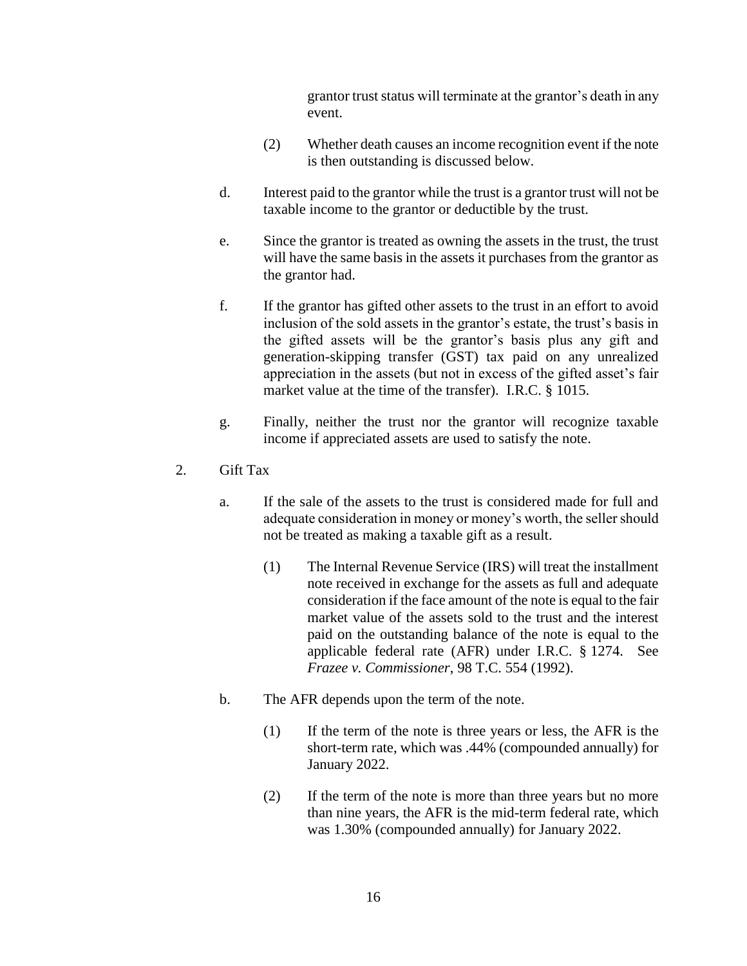grantor trust status will terminate at the grantor's death in any event.

- (2) Whether death causes an income recognition event if the note is then outstanding is discussed below.
- d. Interest paid to the grantor while the trust is a grantor trust will not be taxable income to the grantor or deductible by the trust.
- e. Since the grantor is treated as owning the assets in the trust, the trust will have the same basis in the assets it purchases from the grantor as the grantor had.
- f. If the grantor has gifted other assets to the trust in an effort to avoid inclusion of the sold assets in the grantor's estate, the trust's basis in the gifted assets will be the grantor's basis plus any gift and generation-skipping transfer (GST) tax paid on any unrealized appreciation in the assets (but not in excess of the gifted asset's fair market value at the time of the transfer). I.R.C. § 1015.
- g. Finally, neither the trust nor the grantor will recognize taxable income if appreciated assets are used to satisfy the note.
- 2. Gift Tax
	- a. If the sale of the assets to the trust is considered made for full and adequate consideration in money or money's worth, the seller should not be treated as making a taxable gift as a result.
		- (1) The Internal Revenue Service (IRS) will treat the installment note received in exchange for the assets as full and adequate consideration if the face amount of the note is equal to the fair market value of the assets sold to the trust and the interest paid on the outstanding balance of the note is equal to the applicable federal rate (AFR) under I.R.C. § 1274. See *Frazee v. Commissioner*, 98 T.C. 554 (1992).
	- b. The AFR depends upon the term of the note.
		- (1) If the term of the note is three years or less, the AFR is the short-term rate, which was .44% (compounded annually) for January 2022.
		- (2) If the term of the note is more than three years but no more than nine years, the AFR is the mid-term federal rate, which was 1.30% (compounded annually) for January 2022.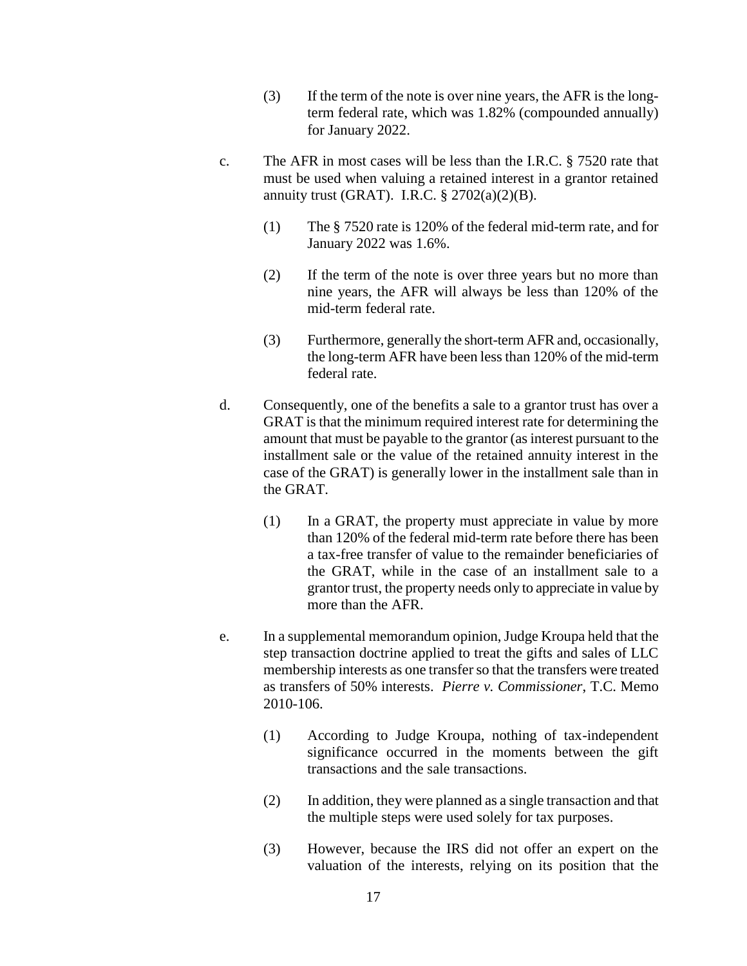- (3) If the term of the note is over nine years, the AFR is the longterm federal rate, which was 1.82% (compounded annually) for January 2022.
- c. The AFR in most cases will be less than the I.R.C. § 7520 rate that must be used when valuing a retained interest in a grantor retained annuity trust (GRAT). I.R.C.  $\S 2702(a)(2)(B)$ .
	- (1) The § 7520 rate is 120% of the federal mid-term rate, and for January 2022 was 1.6%.
	- (2) If the term of the note is over three years but no more than nine years, the AFR will always be less than 120% of the mid-term federal rate.
	- (3) Furthermore, generally the short-term AFR and, occasionally, the long-term AFR have been less than 120% of the mid-term federal rate.
- d. Consequently, one of the benefits a sale to a grantor trust has over a GRAT is that the minimum required interest rate for determining the amount that must be payable to the grantor (as interest pursuant to the installment sale or the value of the retained annuity interest in the case of the GRAT) is generally lower in the installment sale than in the GRAT.
	- (1) In a GRAT, the property must appreciate in value by more than 120% of the federal mid-term rate before there has been a tax-free transfer of value to the remainder beneficiaries of the GRAT, while in the case of an installment sale to a grantor trust, the property needs only to appreciate in value by more than the AFR.
- e. In a supplemental memorandum opinion, Judge Kroupa held that the step transaction doctrine applied to treat the gifts and sales of LLC membership interests as one transfer so that the transfers were treated as transfers of 50% interests. *Pierre v. Commissioner*, T.C. Memo 2010-106.
	- (1) According to Judge Kroupa, nothing of tax-independent significance occurred in the moments between the gift transactions and the sale transactions.
	- (2) In addition, they were planned as a single transaction and that the multiple steps were used solely for tax purposes.
	- (3) However, because the IRS did not offer an expert on the valuation of the interests, relying on its position that the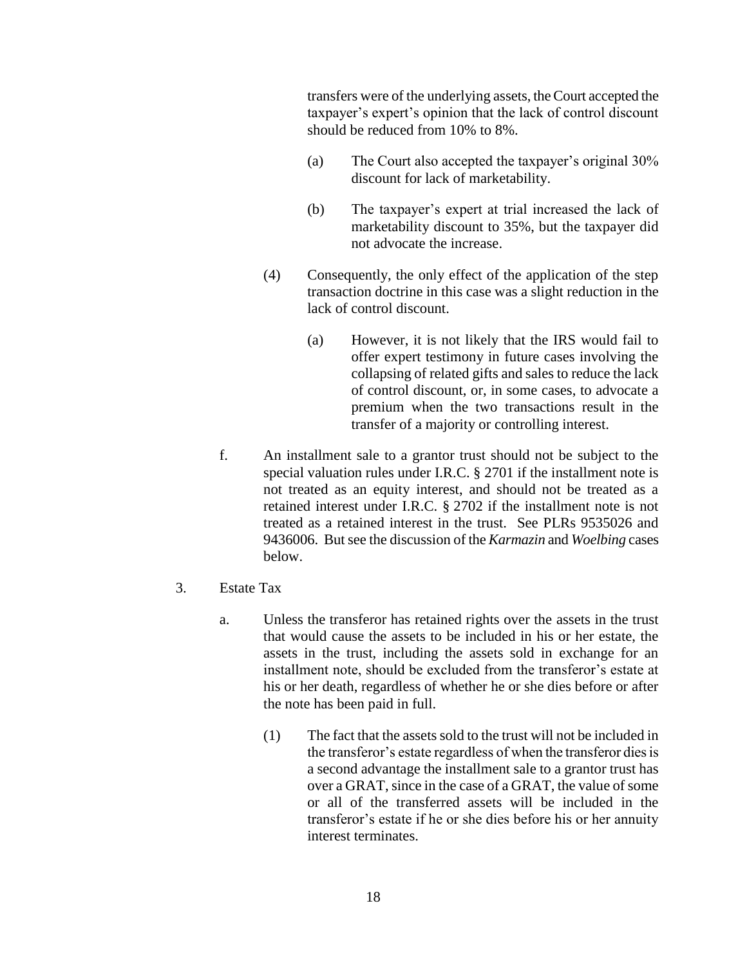transfers were of the underlying assets, the Court accepted the taxpayer's expert's opinion that the lack of control discount should be reduced from 10% to 8%.

- (a) The Court also accepted the taxpayer's original 30% discount for lack of marketability.
- (b) The taxpayer's expert at trial increased the lack of marketability discount to 35%, but the taxpayer did not advocate the increase.
- (4) Consequently, the only effect of the application of the step transaction doctrine in this case was a slight reduction in the lack of control discount.
	- (a) However, it is not likely that the IRS would fail to offer expert testimony in future cases involving the collapsing of related gifts and sales to reduce the lack of control discount, or, in some cases, to advocate a premium when the two transactions result in the transfer of a majority or controlling interest.
- f. An installment sale to a grantor trust should not be subject to the special valuation rules under I.R.C. § 2701 if the installment note is not treated as an equity interest, and should not be treated as a retained interest under I.R.C. § 2702 if the installment note is not treated as a retained interest in the trust. See PLRs 9535026 and 9436006. But see the discussion of the *Karmazin* and *Woelbing* cases below.
- 3. Estate Tax
	- a. Unless the transferor has retained rights over the assets in the trust that would cause the assets to be included in his or her estate, the assets in the trust, including the assets sold in exchange for an installment note, should be excluded from the transferor's estate at his or her death, regardless of whether he or she dies before or after the note has been paid in full.
		- (1) The fact that the assets sold to the trust will not be included in the transferor's estate regardless of when the transferor dies is a second advantage the installment sale to a grantor trust has over a GRAT, since in the case of a GRAT, the value of some or all of the transferred assets will be included in the transferor's estate if he or she dies before his or her annuity interest terminates.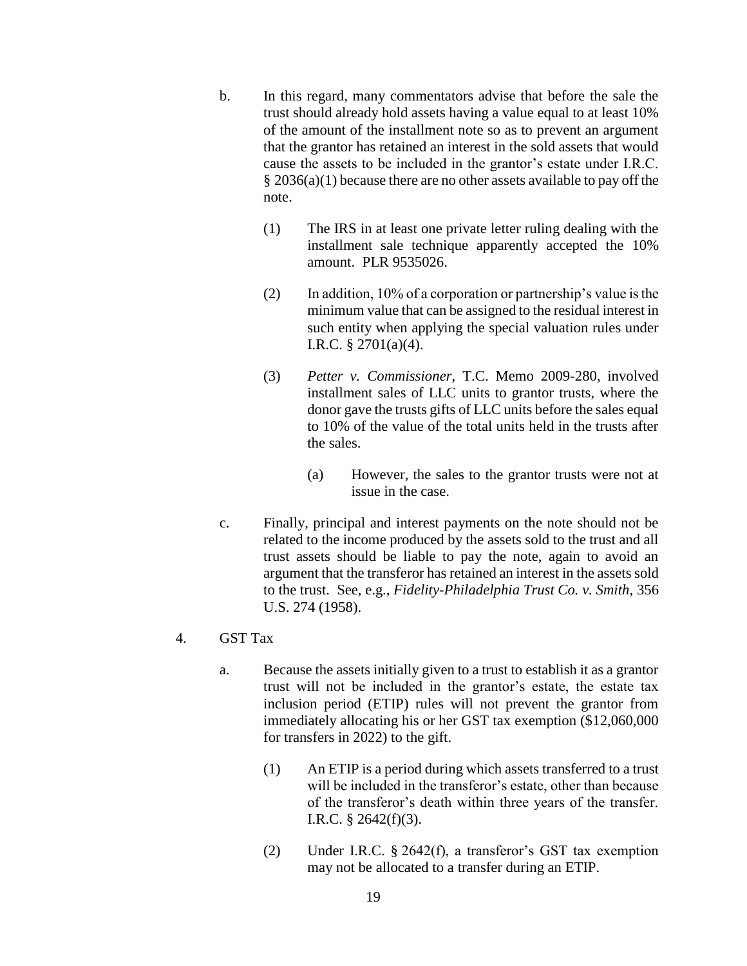- b. In this regard, many commentators advise that before the sale the trust should already hold assets having a value equal to at least 10% of the amount of the installment note so as to prevent an argument that the grantor has retained an interest in the sold assets that would cause the assets to be included in the grantor's estate under I.R.C. § 2036(a)(1) because there are no other assets available to pay off the note.
	- (1) The IRS in at least one private letter ruling dealing with the installment sale technique apparently accepted the 10% amount. PLR 9535026.
	- $(2)$  In addition, 10% of a corporation or partnership's value is the minimum value that can be assigned to the residual interest in such entity when applying the special valuation rules under I.R.C. § 2701(a)(4).
	- (3) *Petter v. Commissioner*, T.C. Memo 2009-280, involved installment sales of LLC units to grantor trusts, where the donor gave the trusts gifts of LLC units before the sales equal to 10% of the value of the total units held in the trusts after the sales.
		- (a) However, the sales to the grantor trusts were not at issue in the case.
- c. Finally, principal and interest payments on the note should not be related to the income produced by the assets sold to the trust and all trust assets should be liable to pay the note, again to avoid an argument that the transferor has retained an interest in the assets sold to the trust. See, e.g., *Fidelity-Philadelphia Trust Co. v. Smith*, 356 U.S. 274 (1958).
- 4. GST Tax
	- a. Because the assets initially given to a trust to establish it as a grantor trust will not be included in the grantor's estate, the estate tax inclusion period (ETIP) rules will not prevent the grantor from immediately allocating his or her GST tax exemption (\$12,060,000 for transfers in 2022) to the gift.
		- (1) An ETIP is a period during which assets transferred to a trust will be included in the transferor's estate, other than because of the transferor's death within three years of the transfer. I.R.C. § 2642(f)(3).
		- (2) Under I.R.C. § 2642(f), a transferor's GST tax exemption may not be allocated to a transfer during an ETIP.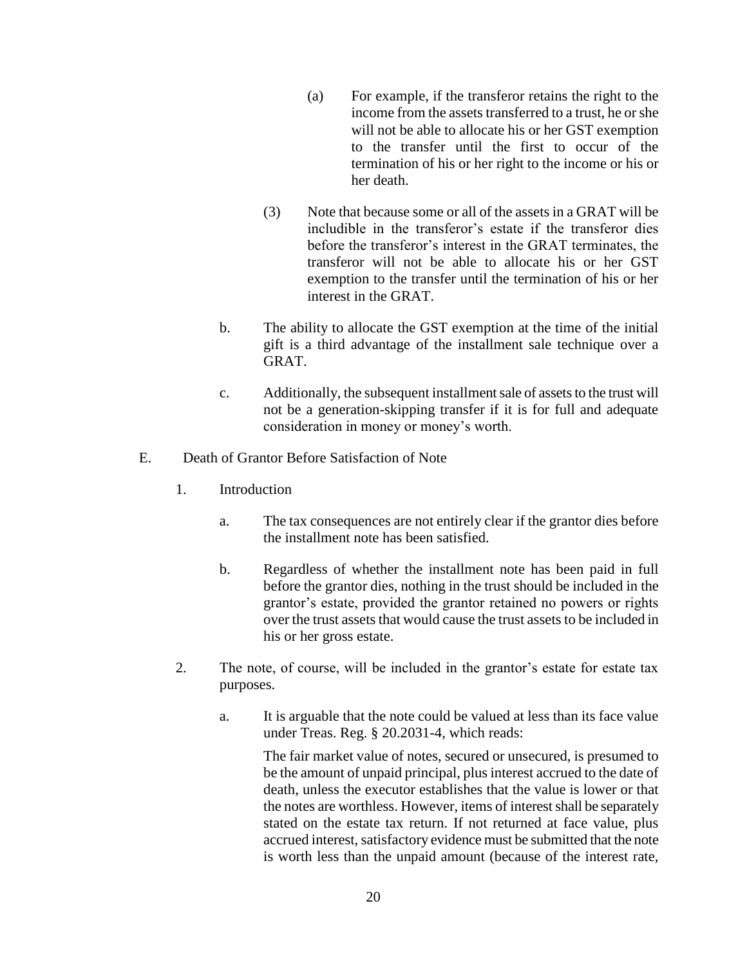- (a) For example, if the transferor retains the right to the income from the assets transferred to a trust, he or she will not be able to allocate his or her GST exemption to the transfer until the first to occur of the termination of his or her right to the income or his or her death.
- (3) Note that because some or all of the assets in a GRAT will be includible in the transferor's estate if the transferor dies before the transferor's interest in the GRAT terminates, the transferor will not be able to allocate his or her GST exemption to the transfer until the termination of his or her interest in the GRAT.
- b. The ability to allocate the GST exemption at the time of the initial gift is a third advantage of the installment sale technique over a GRAT.
- c. Additionally, the subsequent installment sale of assets to the trust will not be a generation-skipping transfer if it is for full and adequate consideration in money or money's worth.
- E. Death of Grantor Before Satisfaction of Note
	- 1. Introduction
		- a. The tax consequences are not entirely clear if the grantor dies before the installment note has been satisfied.
		- b. Regardless of whether the installment note has been paid in full before the grantor dies, nothing in the trust should be included in the grantor's estate, provided the grantor retained no powers or rights over the trust assets that would cause the trust assets to be included in his or her gross estate.
	- 2. The note, of course, will be included in the grantor's estate for estate tax purposes.
		- a. It is arguable that the note could be valued at less than its face value under Treas. Reg. § 20.2031-4, which reads:

The fair market value of notes, secured or unsecured, is presumed to be the amount of unpaid principal, plus interest accrued to the date of death, unless the executor establishes that the value is lower or that the notes are worthless. However, items of interest shall be separately stated on the estate tax return. If not returned at face value, plus accrued interest, satisfactory evidence must be submitted that the note is worth less than the unpaid amount (because of the interest rate,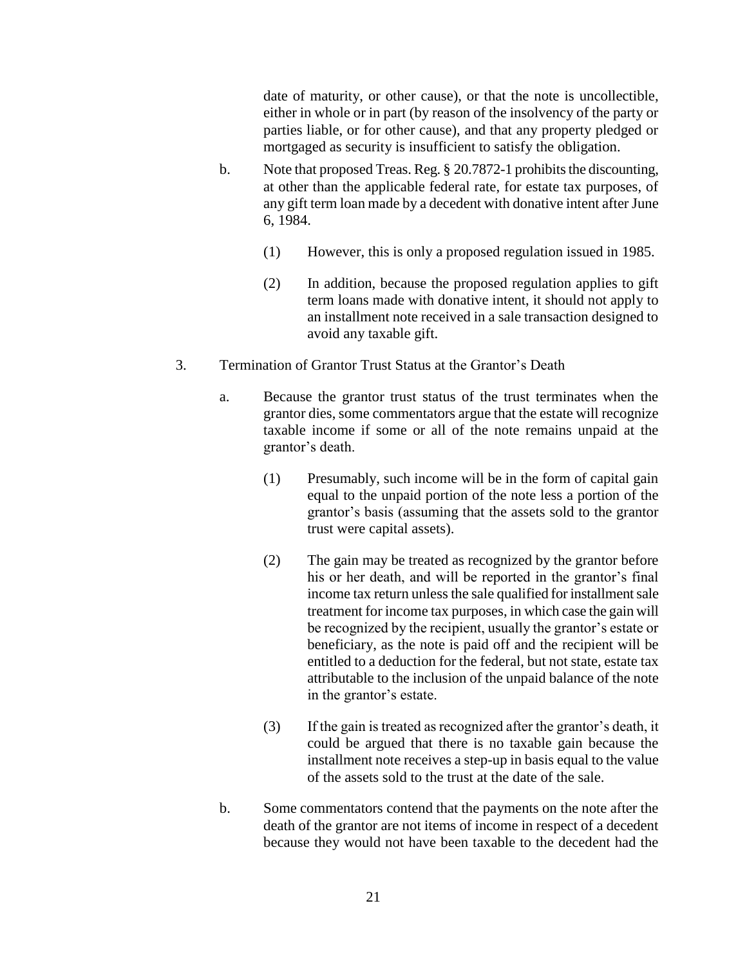date of maturity, or other cause), or that the note is uncollectible, either in whole or in part (by reason of the insolvency of the party or parties liable, or for other cause), and that any property pledged or mortgaged as security is insufficient to satisfy the obligation.

- b. Note that proposed Treas. Reg. § 20.7872-1 prohibits the discounting, at other than the applicable federal rate, for estate tax purposes, of any gift term loan made by a decedent with donative intent after June 6, 1984.
	- (1) However, this is only a proposed regulation issued in 1985.
	- (2) In addition, because the proposed regulation applies to gift term loans made with donative intent, it should not apply to an installment note received in a sale transaction designed to avoid any taxable gift.
- 3. Termination of Grantor Trust Status at the Grantor's Death
	- a. Because the grantor trust status of the trust terminates when the grantor dies, some commentators argue that the estate will recognize taxable income if some or all of the note remains unpaid at the grantor's death.
		- (1) Presumably, such income will be in the form of capital gain equal to the unpaid portion of the note less a portion of the grantor's basis (assuming that the assets sold to the grantor trust were capital assets).
		- (2) The gain may be treated as recognized by the grantor before his or her death, and will be reported in the grantor's final income tax return unless the sale qualified for installment sale treatment for income tax purposes, in which case the gain will be recognized by the recipient, usually the grantor's estate or beneficiary, as the note is paid off and the recipient will be entitled to a deduction for the federal, but not state, estate tax attributable to the inclusion of the unpaid balance of the note in the grantor's estate.
		- (3) If the gain is treated as recognized after the grantor's death, it could be argued that there is no taxable gain because the installment note receives a step-up in basis equal to the value of the assets sold to the trust at the date of the sale.
	- b. Some commentators contend that the payments on the note after the death of the grantor are not items of income in respect of a decedent because they would not have been taxable to the decedent had the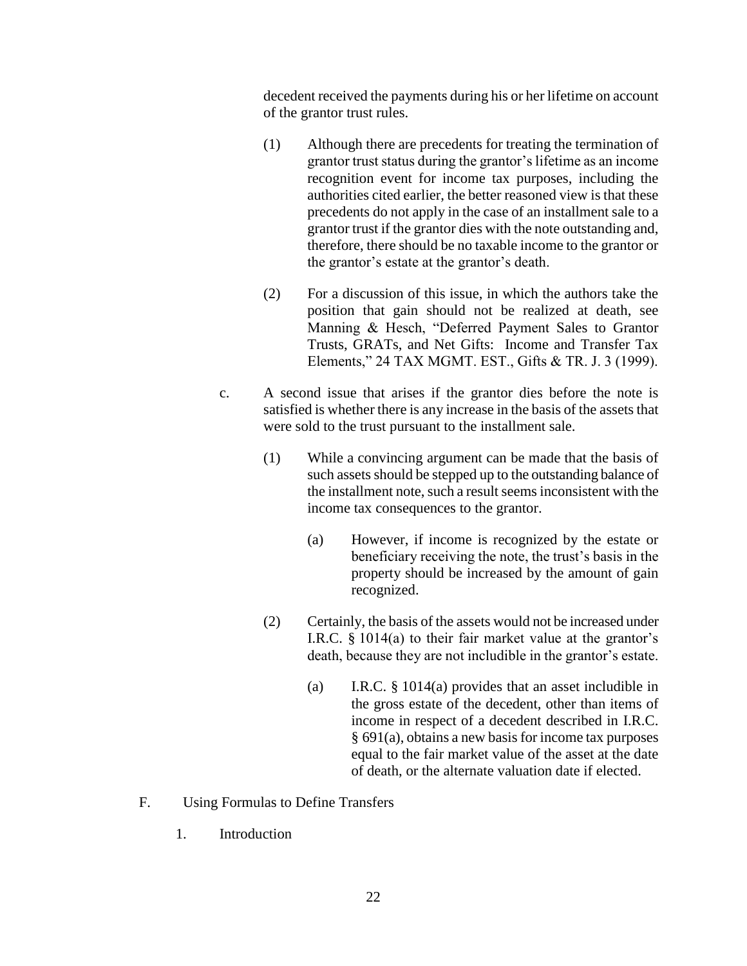decedent received the payments during his or her lifetime on account of the grantor trust rules.

- (1) Although there are precedents for treating the termination of grantor trust status during the grantor's lifetime as an income recognition event for income tax purposes, including the authorities cited earlier, the better reasoned view is that these precedents do not apply in the case of an installment sale to a grantor trust if the grantor dies with the note outstanding and, therefore, there should be no taxable income to the grantor or the grantor's estate at the grantor's death.
- (2) For a discussion of this issue, in which the authors take the position that gain should not be realized at death, see Manning & Hesch, "Deferred Payment Sales to Grantor Trusts, GRATs, and Net Gifts: Income and Transfer Tax Elements," 24 TAX MGMT. EST., Gifts & TR. J. 3 (1999).
- c. A second issue that arises if the grantor dies before the note is satisfied is whether there is any increase in the basis of the assets that were sold to the trust pursuant to the installment sale.
	- (1) While a convincing argument can be made that the basis of such assets should be stepped up to the outstanding balance of the installment note, such a result seems inconsistent with the income tax consequences to the grantor.
		- (a) However, if income is recognized by the estate or beneficiary receiving the note, the trust's basis in the property should be increased by the amount of gain recognized.
	- (2) Certainly, the basis of the assets would not be increased under I.R.C. § 1014(a) to their fair market value at the grantor's death, because they are not includible in the grantor's estate.
		- (a) I.R.C. § 1014(a) provides that an asset includible in the gross estate of the decedent, other than items of income in respect of a decedent described in I.R.C. § 691(a), obtains a new basis for income tax purposes equal to the fair market value of the asset at the date of death, or the alternate valuation date if elected.
- F. Using Formulas to Define Transfers
	- 1. Introduction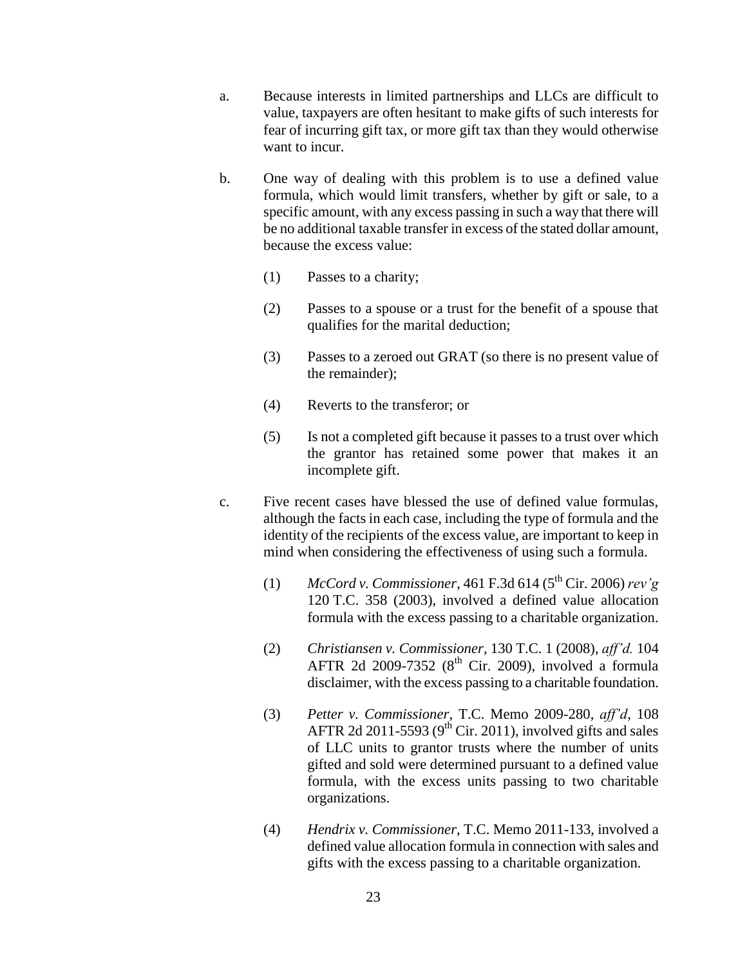- a. Because interests in limited partnerships and LLCs are difficult to value, taxpayers are often hesitant to make gifts of such interests for fear of incurring gift tax, or more gift tax than they would otherwise want to incur.
- b. One way of dealing with this problem is to use a defined value formula, which would limit transfers, whether by gift or sale, to a specific amount, with any excess passing in such a way that there will be no additional taxable transfer in excess of the stated dollar amount, because the excess value:
	- (1) Passes to a charity;
	- (2) Passes to a spouse or a trust for the benefit of a spouse that qualifies for the marital deduction;
	- (3) Passes to a zeroed out GRAT (so there is no present value of the remainder);
	- (4) Reverts to the transferor; or
	- (5) Is not a completed gift because it passes to a trust over which the grantor has retained some power that makes it an incomplete gift.
- c. Five recent cases have blessed the use of defined value formulas, although the facts in each case, including the type of formula and the identity of the recipients of the excess value, are important to keep in mind when considering the effectiveness of using such a formula.
	- (1) *McCord v. Commissioner*, 461 F.3d 614 (5th Cir. 2006) *rev'g* 120 T.C. 358 (2003), involved a defined value allocation formula with the excess passing to a charitable organization.
	- (2) *Christiansen v. Commissioner*, 130 T.C. 1 (2008), *aff'd.* 104 AFTR 2d 2009-7352  $(8<sup>th</sup>$  Cir. 2009), involved a formula disclaimer, with the excess passing to a charitable foundation.
	- (3) *Petter v. Commissioner*, T.C. Memo 2009-280, *aff'd,* 108 AFTR 2d 2011-5593 ( $9<sup>th</sup>$  Cir. 2011), involved gifts and sales of LLC units to grantor trusts where the number of units gifted and sold were determined pursuant to a defined value formula, with the excess units passing to two charitable organizations.
	- (4) *Hendrix v. Commissioner*, T.C. Memo 2011-133, involved a defined value allocation formula in connection with sales and gifts with the excess passing to a charitable organization.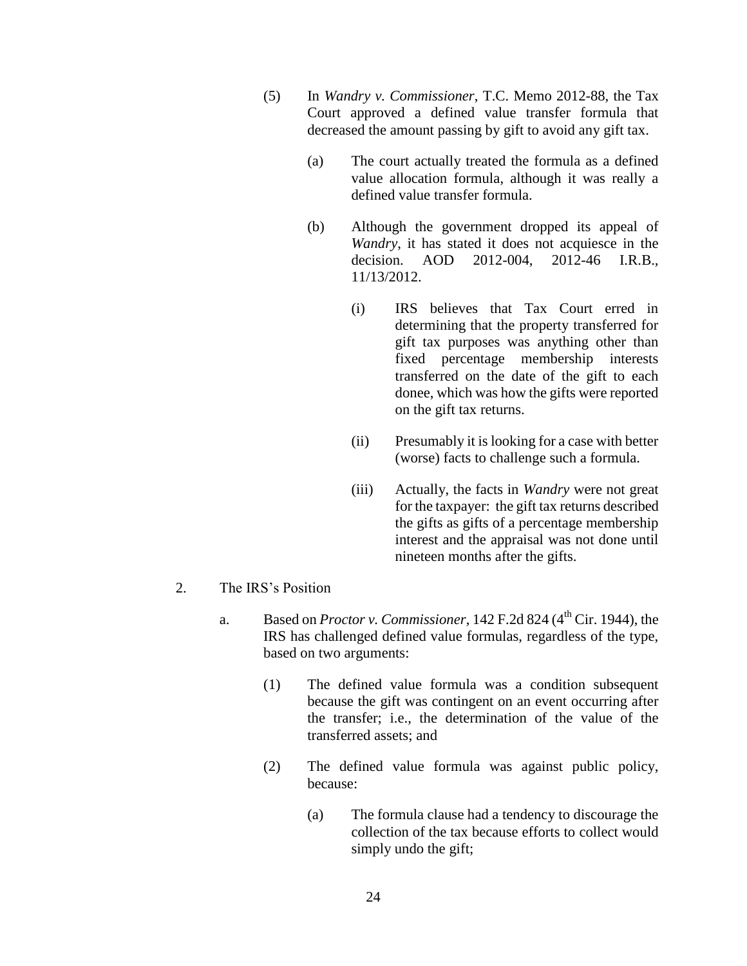- (5) In *Wandry v. Commissioner*, T.C. Memo 2012-88, the Tax Court approved a defined value transfer formula that decreased the amount passing by gift to avoid any gift tax.
	- (a) The court actually treated the formula as a defined value allocation formula, although it was really a defined value transfer formula.
	- (b) Although the government dropped its appeal of *Wandry*, it has stated it does not acquiesce in the decision. AOD 2012-004, 2012-46 I.R.B., 11/13/2012.
		- (i) IRS believes that Tax Court erred in determining that the property transferred for gift tax purposes was anything other than fixed percentage membership interests transferred on the date of the gift to each donee, which was how the gifts were reported on the gift tax returns.
		- (ii) Presumably it is looking for a case with better (worse) facts to challenge such a formula.
		- (iii) Actually, the facts in *Wandry* were not great for the taxpayer: the gift tax returns described the gifts as gifts of a percentage membership interest and the appraisal was not done until nineteen months after the gifts.
- 2. The IRS's Position
	- a. Based on *Proctor v. Commissioner*, 142 F.2d 824 (4<sup>th</sup> Cir. 1944), the IRS has challenged defined value formulas, regardless of the type, based on two arguments:
		- (1) The defined value formula was a condition subsequent because the gift was contingent on an event occurring after the transfer; i.e., the determination of the value of the transferred assets; and
		- (2) The defined value formula was against public policy, because:
			- (a) The formula clause had a tendency to discourage the collection of the tax because efforts to collect would simply undo the gift;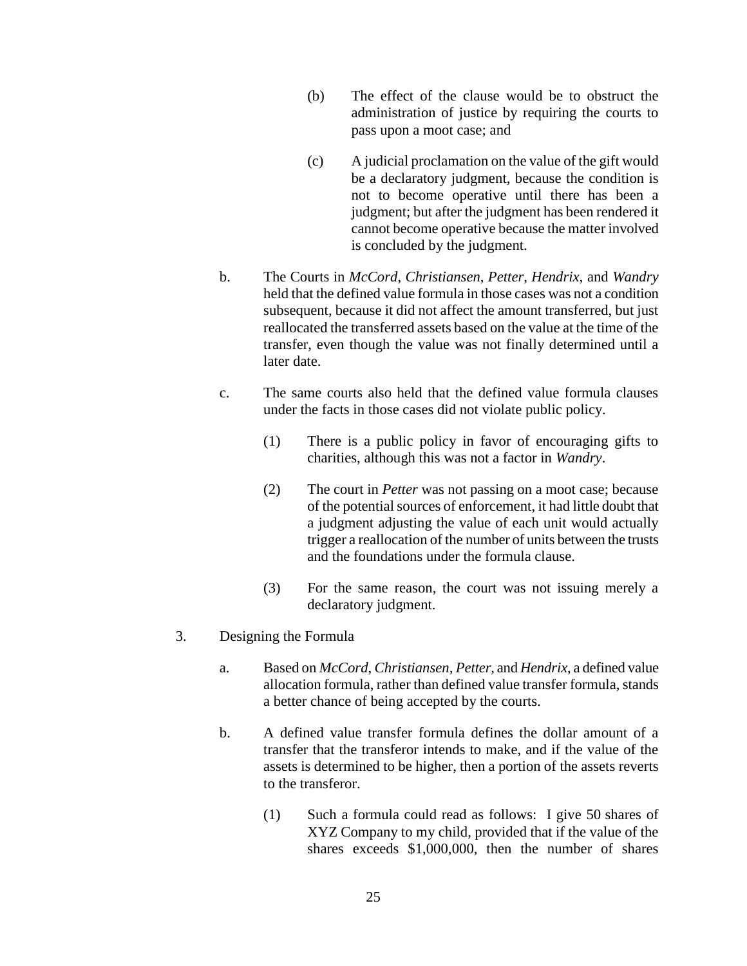- (b) The effect of the clause would be to obstruct the administration of justice by requiring the courts to pass upon a moot case; and
- (c) A judicial proclamation on the value of the gift would be a declaratory judgment, because the condition is not to become operative until there has been a judgment; but after the judgment has been rendered it cannot become operative because the matter involved is concluded by the judgment.
- b. The Courts in *McCord*, *Christiansen, Petter, Hendrix,* and *Wandry*  held that the defined value formula in those cases was not a condition subsequent, because it did not affect the amount transferred, but just reallocated the transferred assets based on the value at the time of the transfer, even though the value was not finally determined until a later date.
- c. The same courts also held that the defined value formula clauses under the facts in those cases did not violate public policy.
	- (1) There is a public policy in favor of encouraging gifts to charities, although this was not a factor in *Wandry*.
	- (2) The court in *Petter* was not passing on a moot case; because of the potential sources of enforcement, it had little doubt that a judgment adjusting the value of each unit would actually trigger a reallocation of the number of units between the trusts and the foundations under the formula clause.
	- (3) For the same reason, the court was not issuing merely a declaratory judgment.
- 3. Designing the Formula
	- a. Based on *McCord*, *Christiansen, Petter,* and *Hendrix*, a defined value allocation formula, rather than defined value transfer formula, stands a better chance of being accepted by the courts.
	- b. A defined value transfer formula defines the dollar amount of a transfer that the transferor intends to make, and if the value of the assets is determined to be higher, then a portion of the assets reverts to the transferor.
		- (1) Such a formula could read as follows: I give 50 shares of XYZ Company to my child, provided that if the value of the shares exceeds \$1,000,000, then the number of shares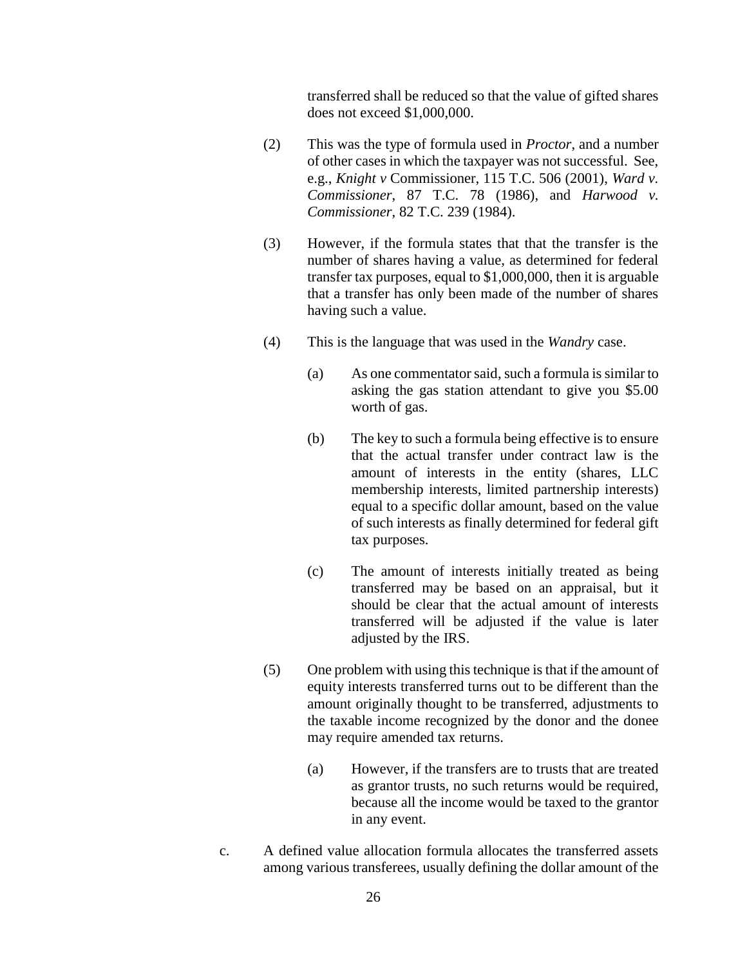transferred shall be reduced so that the value of gifted shares does not exceed \$1,000,000.

- (2) This was the type of formula used in *Proctor*, and a number of other cases in which the taxpayer was not successful. See, e.g., *Knight v* Commissioner, 115 T.C. 506 (2001), *Ward v. Commissioner*, 87 T.C. 78 (1986), and *Harwood v. Commissioner*, 82 T.C. 239 (1984).
- (3) However, if the formula states that that the transfer is the number of shares having a value, as determined for federal transfer tax purposes, equal to \$1,000,000, then it is arguable that a transfer has only been made of the number of shares having such a value.
- (4) This is the language that was used in the *Wandry* case.
	- (a) As one commentator said, such a formula is similar to asking the gas station attendant to give you \$5.00 worth of gas.
	- (b) The key to such a formula being effective is to ensure that the actual transfer under contract law is the amount of interests in the entity (shares, LLC membership interests, limited partnership interests) equal to a specific dollar amount, based on the value of such interests as finally determined for federal gift tax purposes.
	- (c) The amount of interests initially treated as being transferred may be based on an appraisal, but it should be clear that the actual amount of interests transferred will be adjusted if the value is later adjusted by the IRS.
- (5) One problem with using this technique is that if the amount of equity interests transferred turns out to be different than the amount originally thought to be transferred, adjustments to the taxable income recognized by the donor and the donee may require amended tax returns.
	- (a) However, if the transfers are to trusts that are treated as grantor trusts, no such returns would be required, because all the income would be taxed to the grantor in any event.
- c. A defined value allocation formula allocates the transferred assets among various transferees, usually defining the dollar amount of the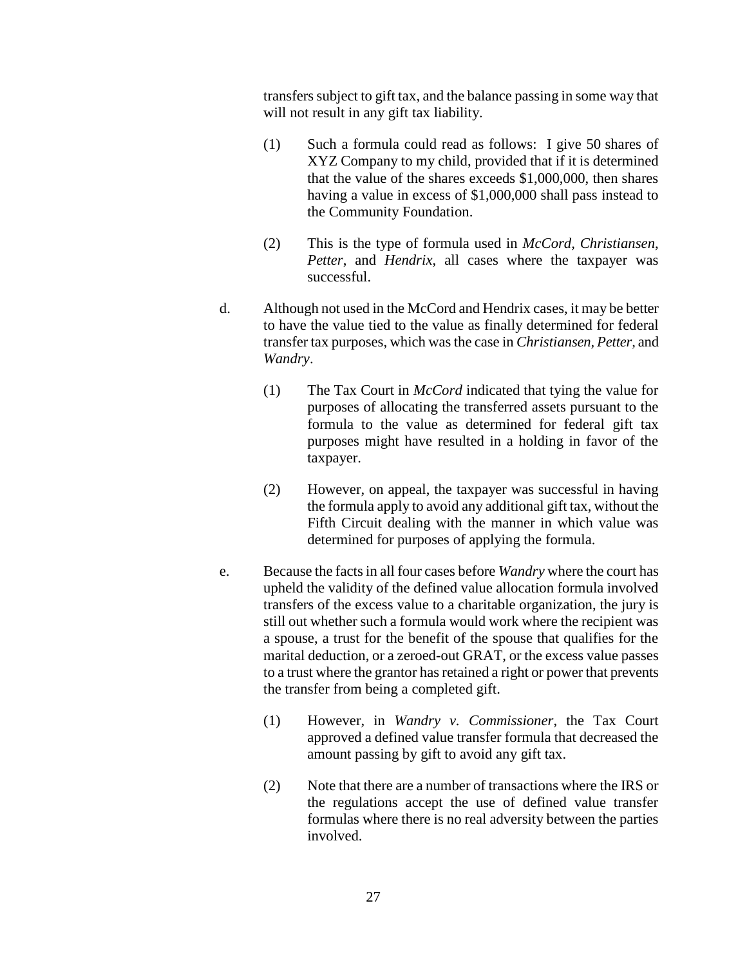transfers subject to gift tax, and the balance passing in some way that will not result in any gift tax liability.

- (1) Such a formula could read as follows: I give 50 shares of XYZ Company to my child, provided that if it is determined that the value of the shares exceeds \$1,000,000, then shares having a value in excess of \$1,000,000 shall pass instead to the Community Foundation.
- (2) This is the type of formula used in *McCord, Christiansen*, *Petter*, and *Hendrix*, all cases where the taxpayer was successful.
- d. Although not used in the McCord and Hendrix cases, it may be better to have the value tied to the value as finally determined for federal transfer tax purposes, which was the case in *Christiansen, Petter,* and *Wandry*.
	- (1) The Tax Court in *McCord* indicated that tying the value for purposes of allocating the transferred assets pursuant to the formula to the value as determined for federal gift tax purposes might have resulted in a holding in favor of the taxpayer.
	- (2) However, on appeal, the taxpayer was successful in having the formula apply to avoid any additional gift tax, without the Fifth Circuit dealing with the manner in which value was determined for purposes of applying the formula.
- e. Because the facts in all four cases before *Wandry* where the court has upheld the validity of the defined value allocation formula involved transfers of the excess value to a charitable organization, the jury is still out whether such a formula would work where the recipient was a spouse, a trust for the benefit of the spouse that qualifies for the marital deduction, or a zeroed-out GRAT, or the excess value passes to a trust where the grantor has retained a right or power that prevents the transfer from being a completed gift.
	- (1) However, in *Wandry v. Commissioner*, the Tax Court approved a defined value transfer formula that decreased the amount passing by gift to avoid any gift tax.
	- (2) Note that there are a number of transactions where the IRS or the regulations accept the use of defined value transfer formulas where there is no real adversity between the parties involved.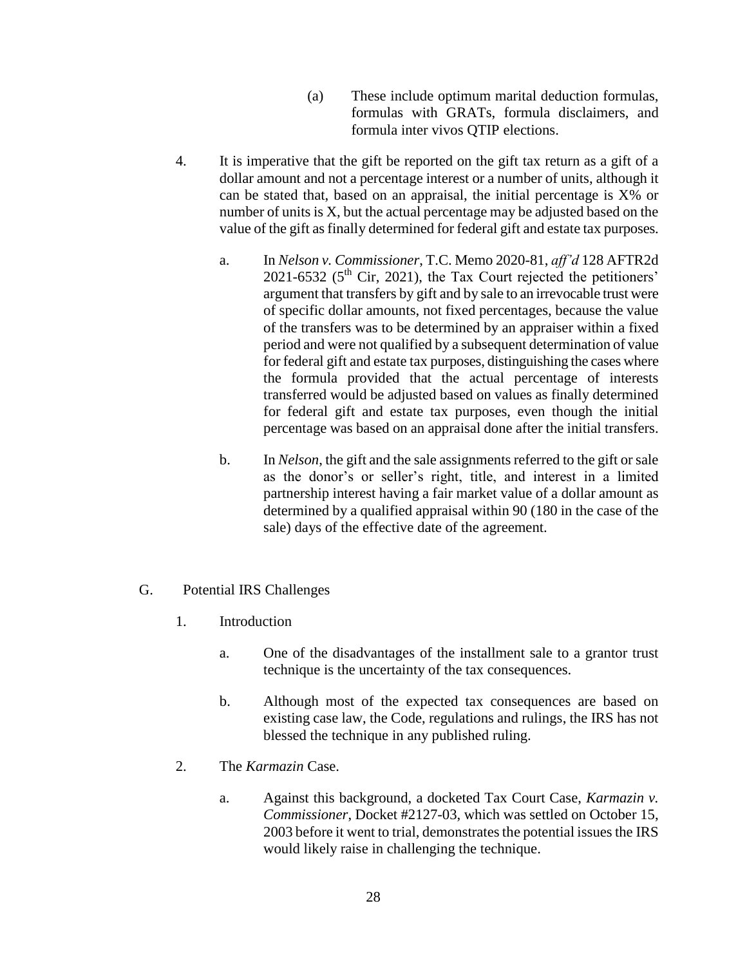- (a) These include optimum marital deduction formulas, formulas with GRATs, formula disclaimers, and formula inter vivos QTIP elections.
- 4. It is imperative that the gift be reported on the gift tax return as a gift of a dollar amount and not a percentage interest or a number of units, although it can be stated that, based on an appraisal, the initial percentage is X% or number of units is X, but the actual percentage may be adjusted based on the value of the gift as finally determined for federal gift and estate tax purposes.
	- a. In *Nelson v. Commissioner*, T.C. Memo 2020-81, *aff'd* 128 AFTR2d  $2021-6532$  ( $5<sup>th</sup>$  Cir, 2021), the Tax Court rejected the petitioners' argument that transfers by gift and by sale to an irrevocable trust were of specific dollar amounts, not fixed percentages, because the value of the transfers was to be determined by an appraiser within a fixed period and were not qualified by a subsequent determination of value for federal gift and estate tax purposes, distinguishing the cases where the formula provided that the actual percentage of interests transferred would be adjusted based on values as finally determined for federal gift and estate tax purposes, even though the initial percentage was based on an appraisal done after the initial transfers.
	- b. In *Nelson*, the gift and the sale assignments referred to the gift or sale as the donor's or seller's right, title, and interest in a limited partnership interest having a fair market value of a dollar amount as determined by a qualified appraisal within 90 (180 in the case of the sale) days of the effective date of the agreement.
- G. Potential IRS Challenges
	- 1. Introduction
		- a. One of the disadvantages of the installment sale to a grantor trust technique is the uncertainty of the tax consequences.
		- b. Although most of the expected tax consequences are based on existing case law, the Code, regulations and rulings, the IRS has not blessed the technique in any published ruling.
	- 2. The *Karmazin* Case.
		- a. Against this background, a docketed Tax Court Case, *Karmazin v. Commissioner*, Docket #2127-03, which was settled on October 15, 2003 before it went to trial, demonstrates the potential issues the IRS would likely raise in challenging the technique.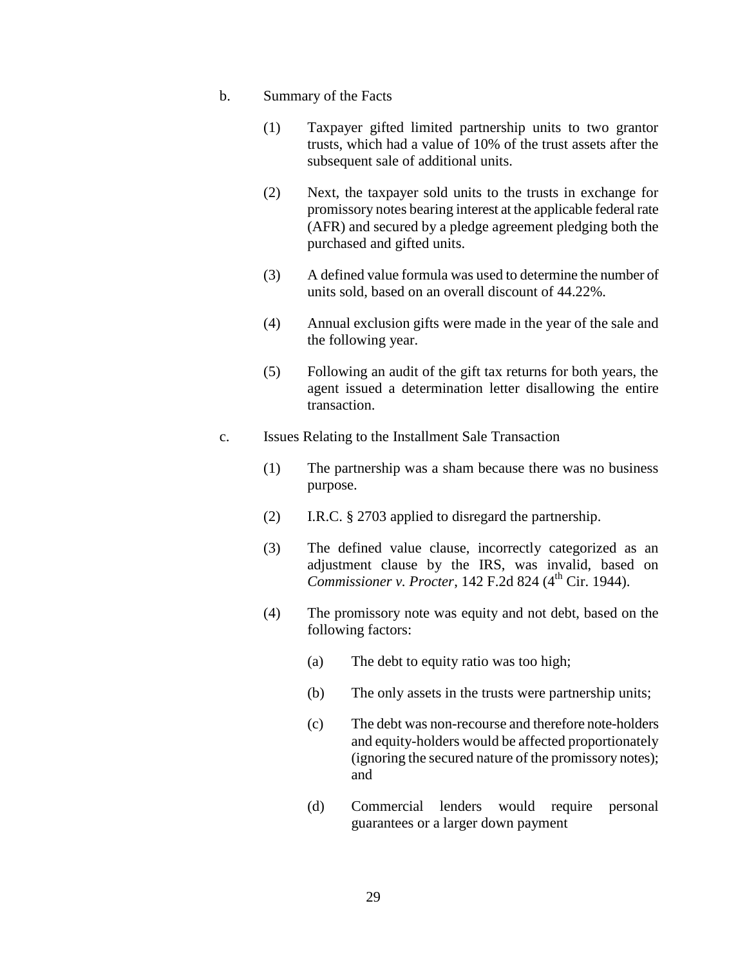- b. Summary of the Facts
	- (1) Taxpayer gifted limited partnership units to two grantor trusts, which had a value of 10% of the trust assets after the subsequent sale of additional units.
	- (2) Next, the taxpayer sold units to the trusts in exchange for promissory notes bearing interest at the applicable federal rate (AFR) and secured by a pledge agreement pledging both the purchased and gifted units.
	- (3) A defined value formula was used to determine the number of units sold, based on an overall discount of 44.22%.
	- (4) Annual exclusion gifts were made in the year of the sale and the following year.
	- (5) Following an audit of the gift tax returns for both years, the agent issued a determination letter disallowing the entire transaction.
- c. Issues Relating to the Installment Sale Transaction
	- (1) The partnership was a sham because there was no business purpose.
	- (2) I.R.C. § 2703 applied to disregard the partnership.
	- (3) The defined value clause, incorrectly categorized as an adjustment clause by the IRS, was invalid, based on *Commissioner v. Procter*, 142 F.2d 824 (4<sup>th</sup> Cir. 1944).
	- (4) The promissory note was equity and not debt, based on the following factors:
		- (a) The debt to equity ratio was too high;
		- (b) The only assets in the trusts were partnership units;
		- (c) The debt was non-recourse and therefore note-holders and equity-holders would be affected proportionately (ignoring the secured nature of the promissory notes); and
		- (d) Commercial lenders would require personal guarantees or a larger down payment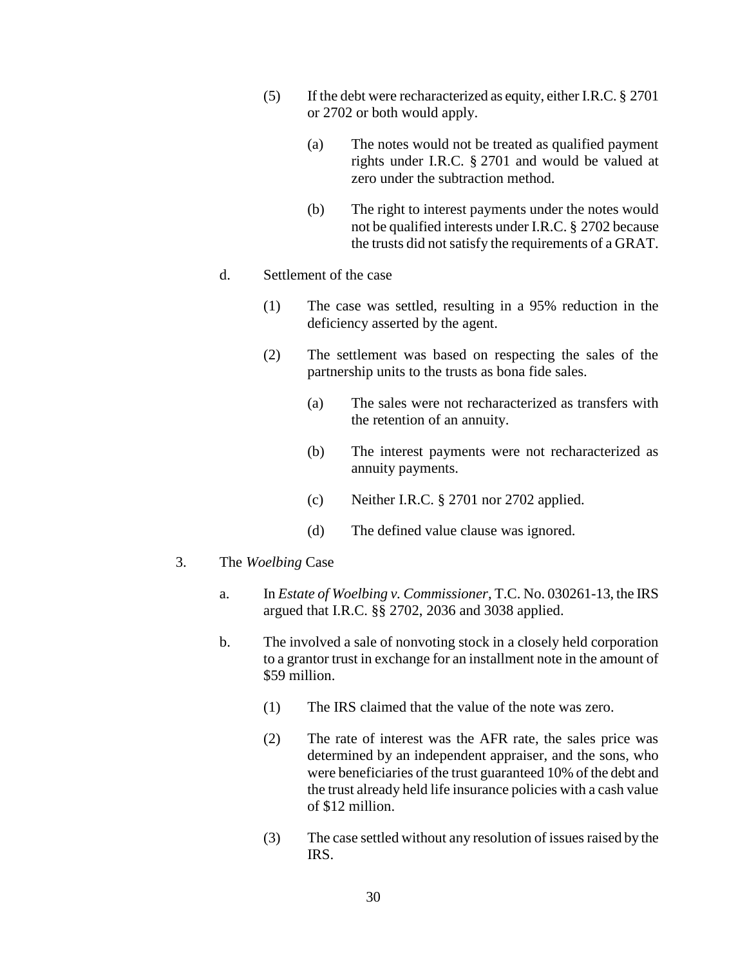- (5) If the debt were recharacterized as equity, either I.R.C. § 2701 or 2702 or both would apply.
	- (a) The notes would not be treated as qualified payment rights under I.R.C. § 2701 and would be valued at zero under the subtraction method.
	- (b) The right to interest payments under the notes would not be qualified interests under I.R.C. § 2702 because the trusts did not satisfy the requirements of a GRAT.
- d. Settlement of the case
	- (1) The case was settled, resulting in a 95% reduction in the deficiency asserted by the agent.
	- (2) The settlement was based on respecting the sales of the partnership units to the trusts as bona fide sales.
		- (a) The sales were not recharacterized as transfers with the retention of an annuity.
		- (b) The interest payments were not recharacterized as annuity payments.
		- (c) Neither I.R.C. § 2701 nor 2702 applied.
		- (d) The defined value clause was ignored.
- 3. The *Woelbing* Case
	- a. In *Estate of Woelbing v. Commissioner*, T.C. No. 030261-13, the IRS argued that I.R.C. §§ 2702, 2036 and 3038 applied.
	- b. The involved a sale of nonvoting stock in a closely held corporation to a grantor trust in exchange for an installment note in the amount of \$59 million.
		- (1) The IRS claimed that the value of the note was zero.
		- (2) The rate of interest was the AFR rate, the sales price was determined by an independent appraiser, and the sons, who were beneficiaries of the trust guaranteed 10% of the debt and the trust already held life insurance policies with a cash value of \$12 million.
		- (3) The case settled without any resolution of issues raised by the IRS.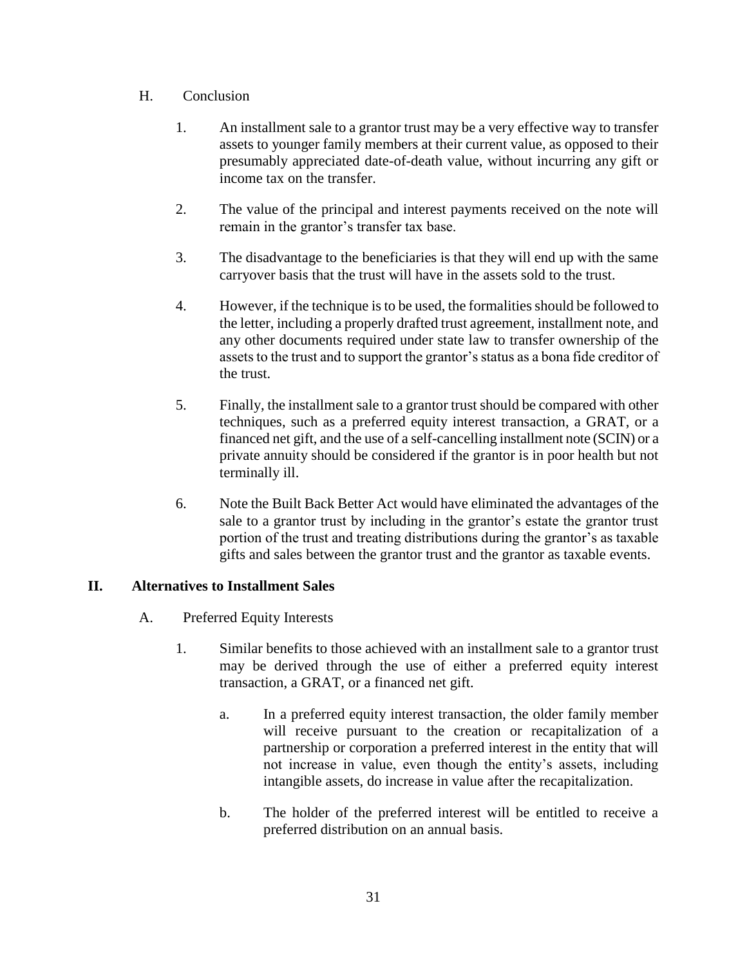#### H. Conclusion

- 1. An installment sale to a grantor trust may be a very effective way to transfer assets to younger family members at their current value, as opposed to their presumably appreciated date-of-death value, without incurring any gift or income tax on the transfer.
- 2. The value of the principal and interest payments received on the note will remain in the grantor's transfer tax base.
- 3. The disadvantage to the beneficiaries is that they will end up with the same carryover basis that the trust will have in the assets sold to the trust.
- 4. However, if the technique is to be used, the formalities should be followed to the letter, including a properly drafted trust agreement, installment note, and any other documents required under state law to transfer ownership of the assets to the trust and to support the grantor's status as a bona fide creditor of the trust.
- 5. Finally, the installment sale to a grantor trust should be compared with other techniques, such as a preferred equity interest transaction, a GRAT, or a financed net gift, and the use of a self-cancelling installment note (SCIN) or a private annuity should be considered if the grantor is in poor health but not terminally ill.
- 6. Note the Built Back Better Act would have eliminated the advantages of the sale to a grantor trust by including in the grantor's estate the grantor trust portion of the trust and treating distributions during the grantor's as taxable gifts and sales between the grantor trust and the grantor as taxable events.

## **II. Alternatives to Installment Sales**

- A. Preferred Equity Interests
	- 1. Similar benefits to those achieved with an installment sale to a grantor trust may be derived through the use of either a preferred equity interest transaction, a GRAT, or a financed net gift.
		- a. In a preferred equity interest transaction, the older family member will receive pursuant to the creation or recapitalization of a partnership or corporation a preferred interest in the entity that will not increase in value, even though the entity's assets, including intangible assets, do increase in value after the recapitalization.
		- b. The holder of the preferred interest will be entitled to receive a preferred distribution on an annual basis.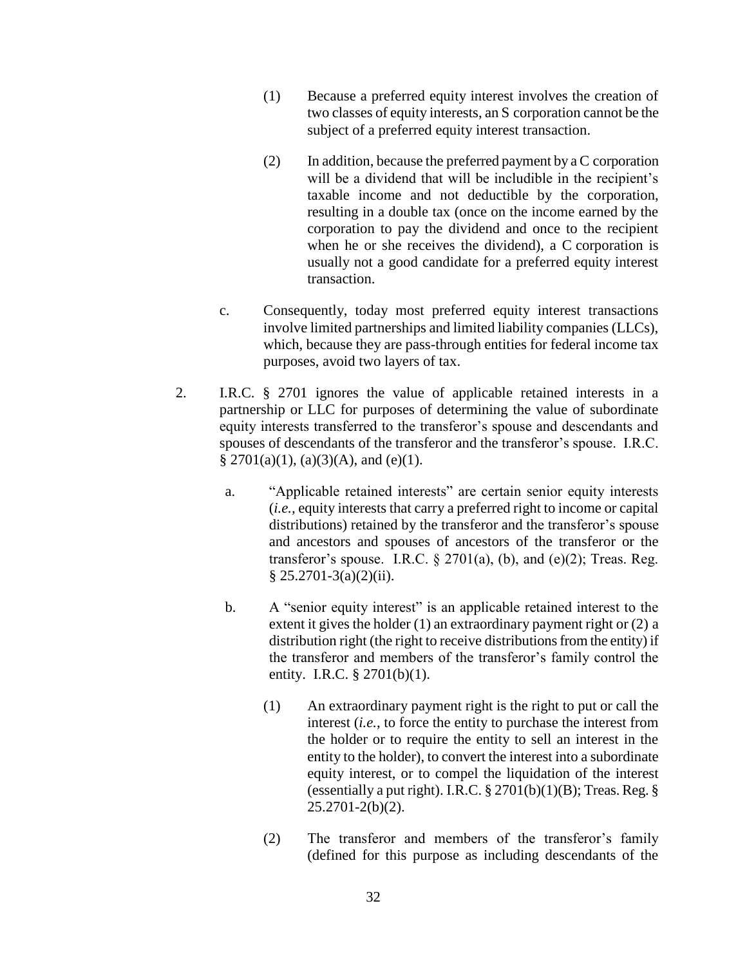- (1) Because a preferred equity interest involves the creation of two classes of equity interests, an S corporation cannot be the subject of a preferred equity interest transaction.
- (2) In addition, because the preferred payment by a C corporation will be a dividend that will be includible in the recipient's taxable income and not deductible by the corporation, resulting in a double tax (once on the income earned by the corporation to pay the dividend and once to the recipient when he or she receives the dividend), a C corporation is usually not a good candidate for a preferred equity interest transaction.
- c. Consequently, today most preferred equity interest transactions involve limited partnerships and limited liability companies (LLCs), which, because they are pass-through entities for federal income tax purposes, avoid two layers of tax.
- 2. I.R.C. § 2701 ignores the value of applicable retained interests in a partnership or LLC for purposes of determining the value of subordinate equity interests transferred to the transferor's spouse and descendants and spouses of descendants of the transferor and the transferor's spouse. I.R.C. §  $2701(a)(1)$ ,  $(a)(3)(A)$ , and  $(e)(1)$ .
	- a. "Applicable retained interests" are certain senior equity interests (*i.e.,* equity interests that carry a preferred right to income or capital distributions) retained by the transferor and the transferor's spouse and ancestors and spouses of ancestors of the transferor or the transferor's spouse. I.R.C.  $\S 2701(a)$ , (b), and (e)(2); Treas. Reg.  $§ 25.2701-3(a)(2)(ii).$
	- b. A "senior equity interest" is an applicable retained interest to the extent it gives the holder (1) an extraordinary payment right or (2) a distribution right (the right to receive distributions from the entity) if the transferor and members of the transferor's family control the entity. I.R.C. § 2701(b)(1).
		- (1) An extraordinary payment right is the right to put or call the interest (*i.e.*, to force the entity to purchase the interest from the holder or to require the entity to sell an interest in the entity to the holder), to convert the interest into a subordinate equity interest, or to compel the liquidation of the interest (essentially a put right). I.R.C. § 2701(b)(1)(B); Treas. Reg. §  $25.2701 - 2(b)(2)$ .
		- (2) The transferor and members of the transferor's family (defined for this purpose as including descendants of the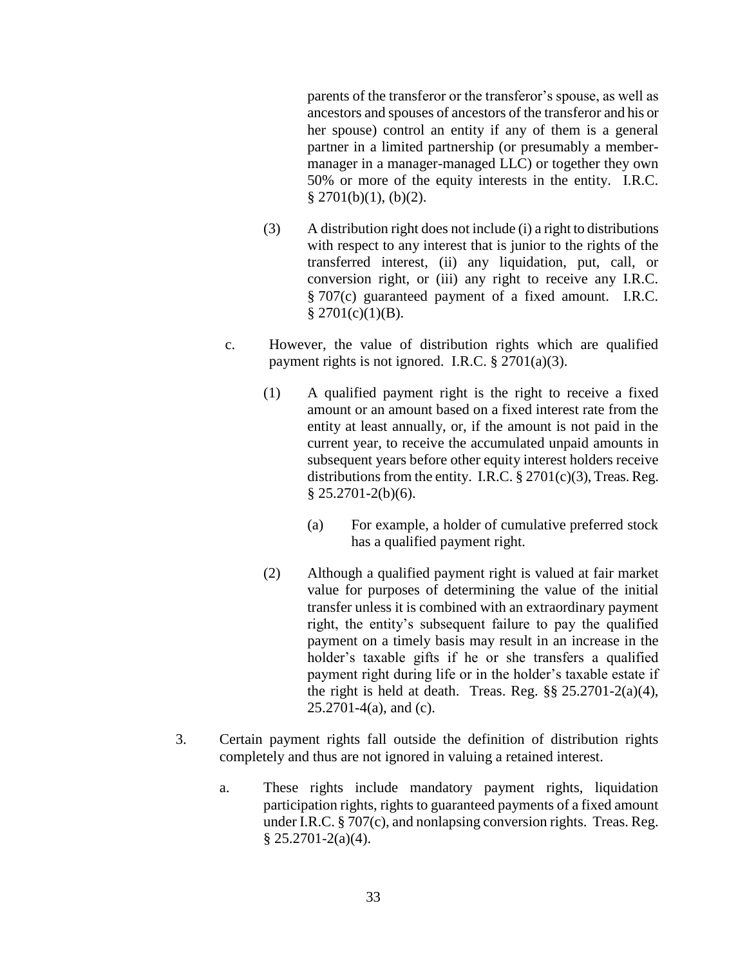parents of the transferor or the transferor's spouse, as well as ancestors and spouses of ancestors of the transferor and his or her spouse) control an entity if any of them is a general partner in a limited partnership (or presumably a membermanager in a manager-managed LLC) or together they own 50% or more of the equity interests in the entity. I.R.C.  $§$  2701(b)(1), (b)(2).

- (3) A distribution right does not include (i) a right to distributions with respect to any interest that is junior to the rights of the transferred interest, (ii) any liquidation, put, call, or conversion right, or (iii) any right to receive any I.R.C. § 707(c) guaranteed payment of a fixed amount. I.R.C.  $$2701(c)(1)(B).$
- c. However, the value of distribution rights which are qualified payment rights is not ignored. I.R.C. § 2701(a)(3).
	- (1) A qualified payment right is the right to receive a fixed amount or an amount based on a fixed interest rate from the entity at least annually, or, if the amount is not paid in the current year, to receive the accumulated unpaid amounts in subsequent years before other equity interest holders receive distributions from the entity. I.R.C.  $\S 2701(c)(3)$ , Treas. Reg.  $§$  25.2701-2(b)(6).
		- (a) For example, a holder of cumulative preferred stock has a qualified payment right.
	- (2) Although a qualified payment right is valued at fair market value for purposes of determining the value of the initial transfer unless it is combined with an extraordinary payment right, the entity's subsequent failure to pay the qualified payment on a timely basis may result in an increase in the holder's taxable gifts if he or she transfers a qualified payment right during life or in the holder's taxable estate if the right is held at death. Treas. Reg.  $\S$ § 25.2701-2(a)(4), 25.2701-4(a), and (c).
- 3. Certain payment rights fall outside the definition of distribution rights completely and thus are not ignored in valuing a retained interest.
	- a. These rights include mandatory payment rights, liquidation participation rights, rights to guaranteed payments of a fixed amount under I.R.C. § 707(c), and nonlapsing conversion rights. Treas. Reg.  $§ 25.2701 - 2(a)(4).$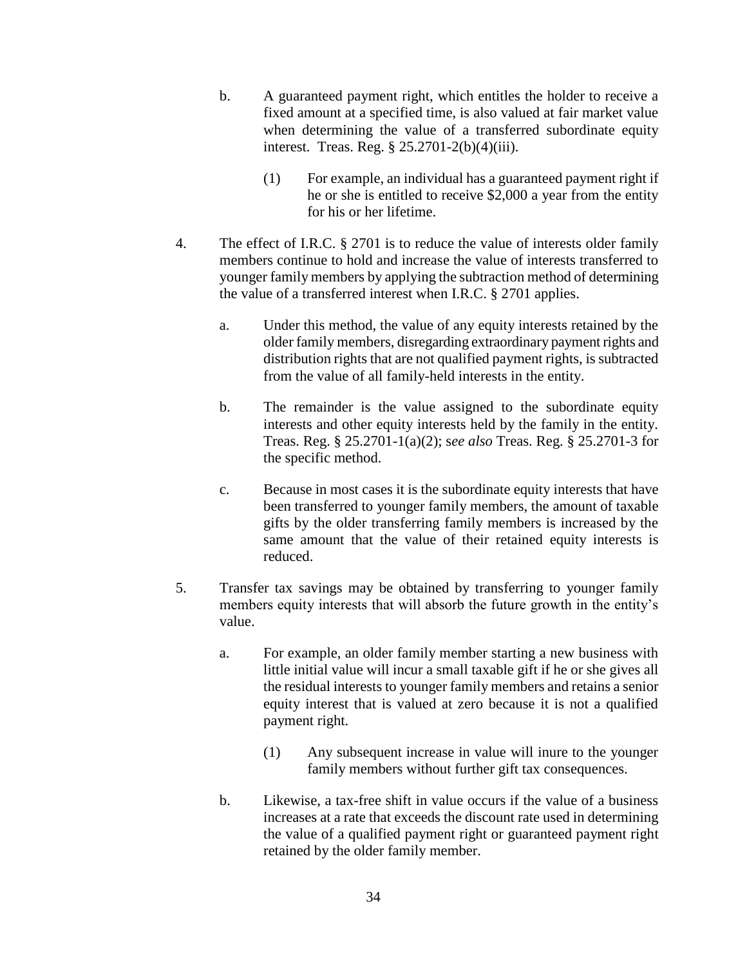- b. A guaranteed payment right, which entitles the holder to receive a fixed amount at a specified time, is also valued at fair market value when determining the value of a transferred subordinate equity interest. Treas. Reg. § 25.2701-2(b)(4)(iii).
	- (1) For example, an individual has a guaranteed payment right if he or she is entitled to receive \$2,000 a year from the entity for his or her lifetime.
- 4. The effect of I.R.C. § 2701 is to reduce the value of interests older family members continue to hold and increase the value of interests transferred to younger family members by applying the subtraction method of determining the value of a transferred interest when I.R.C. § 2701 applies.
	- a. Under this method, the value of any equity interests retained by the older family members, disregarding extraordinary payment rights and distribution rights that are not qualified payment rights, is subtracted from the value of all family-held interests in the entity.
	- b. The remainder is the value assigned to the subordinate equity interests and other equity interests held by the family in the entity. Treas. Reg. § 25.2701-1(a)(2); s*ee also* Treas. Reg. § 25.2701-3 for the specific method.
	- c. Because in most cases it is the subordinate equity interests that have been transferred to younger family members, the amount of taxable gifts by the older transferring family members is increased by the same amount that the value of their retained equity interests is reduced.
- 5. Transfer tax savings may be obtained by transferring to younger family members equity interests that will absorb the future growth in the entity's value.
	- a. For example, an older family member starting a new business with little initial value will incur a small taxable gift if he or she gives all the residual interests to younger family members and retains a senior equity interest that is valued at zero because it is not a qualified payment right.
		- (1) Any subsequent increase in value will inure to the younger family members without further gift tax consequences.
	- b. Likewise, a tax-free shift in value occurs if the value of a business increases at a rate that exceeds the discount rate used in determining the value of a qualified payment right or guaranteed payment right retained by the older family member.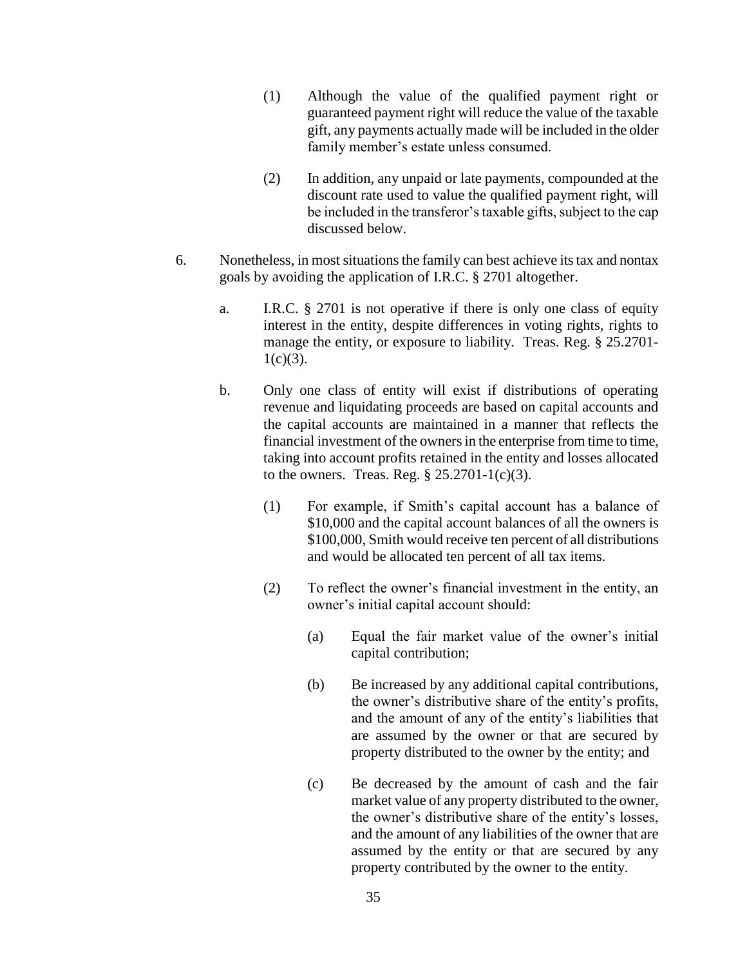- (1) Although the value of the qualified payment right or guaranteed payment right will reduce the value of the taxable gift, any payments actually made will be included in the older family member's estate unless consumed.
- (2) In addition, any unpaid or late payments, compounded at the discount rate used to value the qualified payment right, will be included in the transferor's taxable gifts, subject to the cap discussed below.
- 6. Nonetheless, in most situations the family can best achieve its tax and nontax goals by avoiding the application of I.R.C. § 2701 altogether.
	- a. I.R.C. § 2701 is not operative if there is only one class of equity interest in the entity, despite differences in voting rights, rights to manage the entity, or exposure to liability. Treas. Reg. § 25.2701-  $1(c)(3)$ .
	- b. Only one class of entity will exist if distributions of operating revenue and liquidating proceeds are based on capital accounts and the capital accounts are maintained in a manner that reflects the financial investment of the owners in the enterprise from time to time, taking into account profits retained in the entity and losses allocated to the owners. Treas. Reg.  $\S 25.2701-1(c)(3)$ .
		- (1) For example, if Smith's capital account has a balance of \$10,000 and the capital account balances of all the owners is \$100,000, Smith would receive ten percent of all distributions and would be allocated ten percent of all tax items.
		- (2) To reflect the owner's financial investment in the entity, an owner's initial capital account should:
			- (a) Equal the fair market value of the owner's initial capital contribution;
			- (b) Be increased by any additional capital contributions, the owner's distributive share of the entity's profits, and the amount of any of the entity's liabilities that are assumed by the owner or that are secured by property distributed to the owner by the entity; and
			- (c) Be decreased by the amount of cash and the fair market value of any property distributed to the owner, the owner's distributive share of the entity's losses, and the amount of any liabilities of the owner that are assumed by the entity or that are secured by any property contributed by the owner to the entity.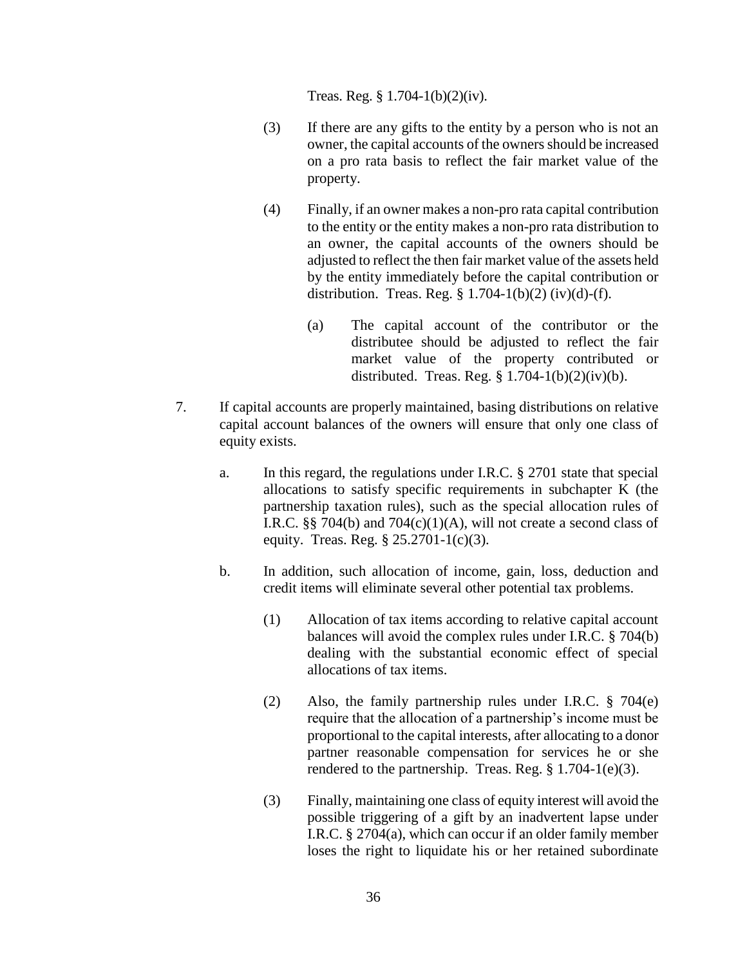Treas. Reg. § 1.704-1(b)(2)(iv).

- (3) If there are any gifts to the entity by a person who is not an owner, the capital accounts of the owners should be increased on a pro rata basis to reflect the fair market value of the property.
- (4) Finally, if an owner makes a non-pro rata capital contribution to the entity or the entity makes a non-pro rata distribution to an owner, the capital accounts of the owners should be adjusted to reflect the then fair market value of the assets held by the entity immediately before the capital contribution or distribution. Treas. Reg. § 1.704-1(b)(2) (iv)(d)-(f).
	- (a) The capital account of the contributor or the distributee should be adjusted to reflect the fair market value of the property contributed or distributed. Treas. Reg.  $§ 1.704-1(b)(2)(iv)(b)$ .
- 7. If capital accounts are properly maintained, basing distributions on relative capital account balances of the owners will ensure that only one class of equity exists.
	- a. In this regard, the regulations under I.R.C. § 2701 state that special allocations to satisfy specific requirements in subchapter K (the partnership taxation rules), such as the special allocation rules of I.R.C. §§ 704(b) and 704(c)(1)(A), will not create a second class of equity. Treas. Reg. § 25.2701-1(c)(3).
	- b. In addition, such allocation of income, gain, loss, deduction and credit items will eliminate several other potential tax problems.
		- (1) Allocation of tax items according to relative capital account balances will avoid the complex rules under I.R.C. § 704(b) dealing with the substantial economic effect of special allocations of tax items.
		- (2) Also, the family partnership rules under I.R.C. § 704(e) require that the allocation of a partnership's income must be proportional to the capital interests, after allocating to a donor partner reasonable compensation for services he or she rendered to the partnership. Treas. Reg. § 1.704-1(e)(3).
		- (3) Finally, maintaining one class of equity interest will avoid the possible triggering of a gift by an inadvertent lapse under I.R.C. § 2704(a), which can occur if an older family member loses the right to liquidate his or her retained subordinate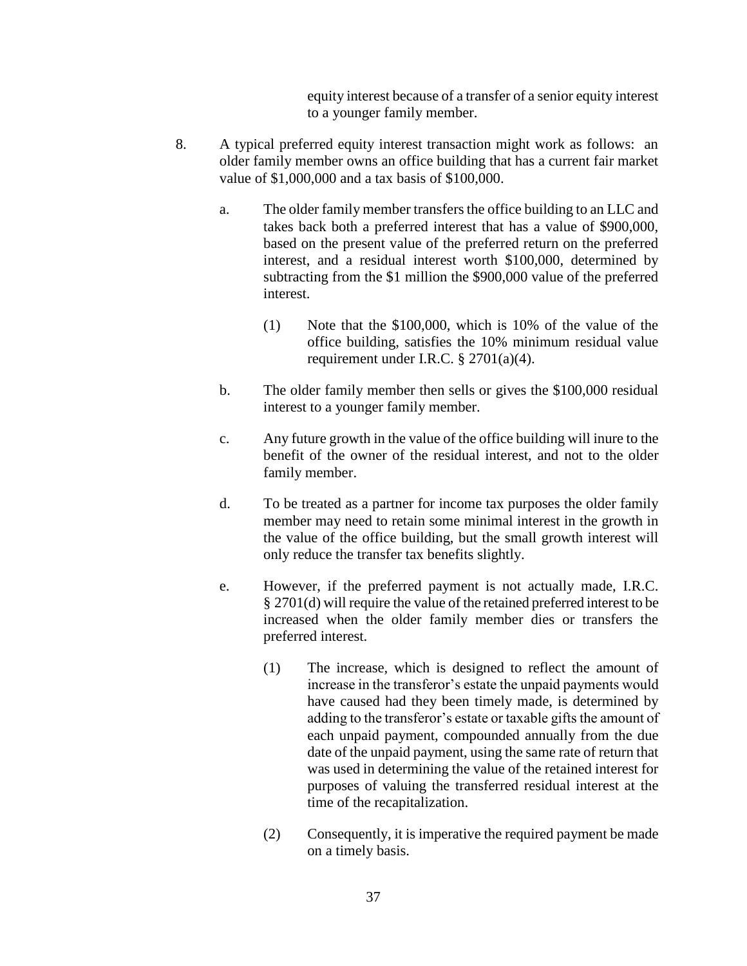equity interest because of a transfer of a senior equity interest to a younger family member.

- 8. A typical preferred equity interest transaction might work as follows: an older family member owns an office building that has a current fair market value of \$1,000,000 and a tax basis of \$100,000.
	- a. The older family member transfers the office building to an LLC and takes back both a preferred interest that has a value of \$900,000, based on the present value of the preferred return on the preferred interest, and a residual interest worth \$100,000, determined by subtracting from the \$1 million the \$900,000 value of the preferred interest.
		- (1) Note that the \$100,000, which is 10% of the value of the office building, satisfies the 10% minimum residual value requirement under I.R.C. § 2701(a)(4).
	- b. The older family member then sells or gives the \$100,000 residual interest to a younger family member.
	- c. Any future growth in the value of the office building will inure to the benefit of the owner of the residual interest, and not to the older family member.
	- d. To be treated as a partner for income tax purposes the older family member may need to retain some minimal interest in the growth in the value of the office building, but the small growth interest will only reduce the transfer tax benefits slightly.
	- e. However, if the preferred payment is not actually made, I.R.C. § 2701(d) will require the value of the retained preferred interest to be increased when the older family member dies or transfers the preferred interest.
		- (1) The increase, which is designed to reflect the amount of increase in the transferor's estate the unpaid payments would have caused had they been timely made, is determined by adding to the transferor's estate or taxable gifts the amount of each unpaid payment, compounded annually from the due date of the unpaid payment, using the same rate of return that was used in determining the value of the retained interest for purposes of valuing the transferred residual interest at the time of the recapitalization.
		- (2) Consequently, it is imperative the required payment be made on a timely basis.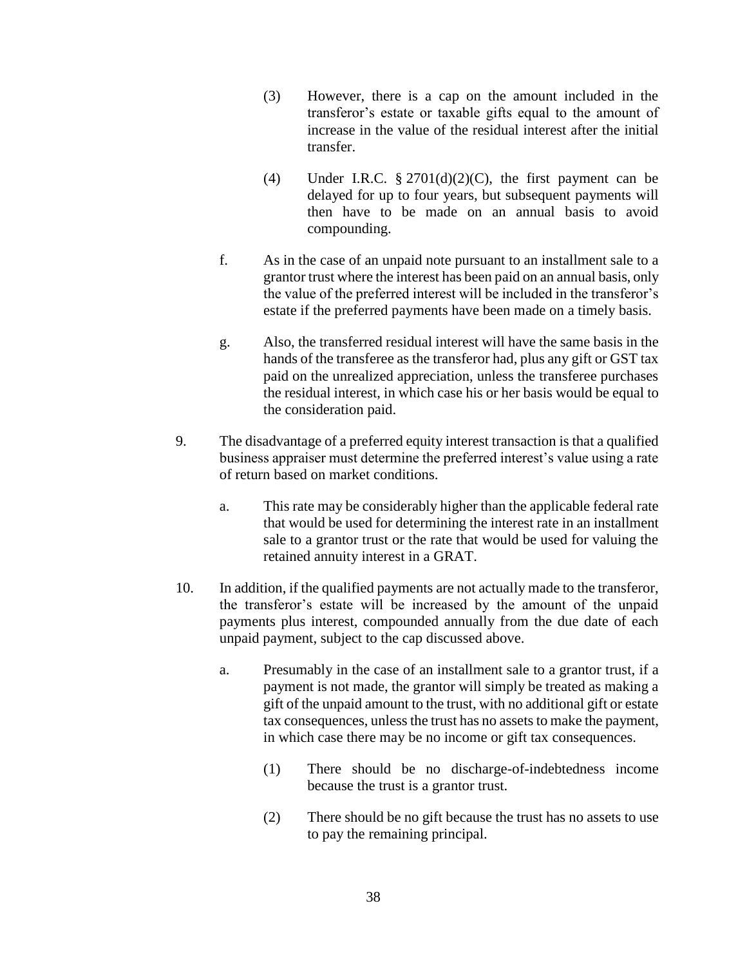- (3) However, there is a cap on the amount included in the transferor's estate or taxable gifts equal to the amount of increase in the value of the residual interest after the initial transfer.
- (4) Under I.R.C.  $\S 2701(d)(2)(C)$ , the first payment can be delayed for up to four years, but subsequent payments will then have to be made on an annual basis to avoid compounding.
- f. As in the case of an unpaid note pursuant to an installment sale to a grantor trust where the interest has been paid on an annual basis, only the value of the preferred interest will be included in the transferor's estate if the preferred payments have been made on a timely basis.
- g. Also, the transferred residual interest will have the same basis in the hands of the transferee as the transferor had, plus any gift or GST tax paid on the unrealized appreciation, unless the transferee purchases the residual interest, in which case his or her basis would be equal to the consideration paid.
- 9. The disadvantage of a preferred equity interest transaction is that a qualified business appraiser must determine the preferred interest's value using a rate of return based on market conditions.
	- a. This rate may be considerably higher than the applicable federal rate that would be used for determining the interest rate in an installment sale to a grantor trust or the rate that would be used for valuing the retained annuity interest in a GRAT.
- 10. In addition, if the qualified payments are not actually made to the transferor, the transferor's estate will be increased by the amount of the unpaid payments plus interest, compounded annually from the due date of each unpaid payment, subject to the cap discussed above.
	- a. Presumably in the case of an installment sale to a grantor trust, if a payment is not made, the grantor will simply be treated as making a gift of the unpaid amount to the trust, with no additional gift or estate tax consequences, unless the trust has no assets to make the payment, in which case there may be no income or gift tax consequences.
		- (1) There should be no discharge-of-indebtedness income because the trust is a grantor trust.
		- (2) There should be no gift because the trust has no assets to use to pay the remaining principal.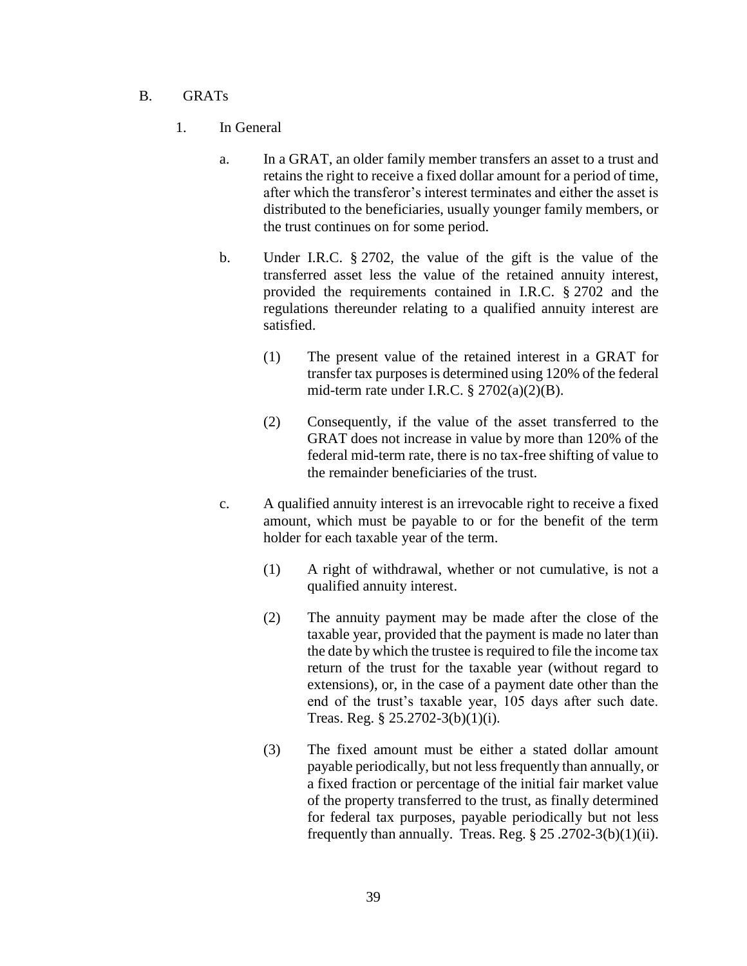#### B. GRATs

- 1. In General
	- a. In a GRAT, an older family member transfers an asset to a trust and retains the right to receive a fixed dollar amount for a period of time, after which the transferor's interest terminates and either the asset is distributed to the beneficiaries, usually younger family members, or the trust continues on for some period.
	- b. Under I.R.C. § 2702, the value of the gift is the value of the transferred asset less the value of the retained annuity interest, provided the requirements contained in I.R.C. § 2702 and the regulations thereunder relating to a qualified annuity interest are satisfied.
		- (1) The present value of the retained interest in a GRAT for transfer tax purposes is determined using 120% of the federal mid-term rate under I.R.C.  $\S 2702(a)(2)(B)$ .
		- (2) Consequently, if the value of the asset transferred to the GRAT does not increase in value by more than 120% of the federal mid-term rate, there is no tax-free shifting of value to the remainder beneficiaries of the trust.
	- c. A qualified annuity interest is an irrevocable right to receive a fixed amount, which must be payable to or for the benefit of the term holder for each taxable year of the term.
		- (1) A right of withdrawal, whether or not cumulative, is not a qualified annuity interest.
		- (2) The annuity payment may be made after the close of the taxable year, provided that the payment is made no later than the date by which the trustee is required to file the income tax return of the trust for the taxable year (without regard to extensions), or, in the case of a payment date other than the end of the trust's taxable year, 105 days after such date. Treas. Reg. § 25.2702-3(b)(1)(i).
		- (3) The fixed amount must be either a stated dollar amount payable periodically, but not less frequently than annually, or a fixed fraction or percentage of the initial fair market value of the property transferred to the trust, as finally determined for federal tax purposes, payable periodically but not less frequently than annually. Treas. Reg.  $\S 25.2702-3(b)(1)(ii)$ .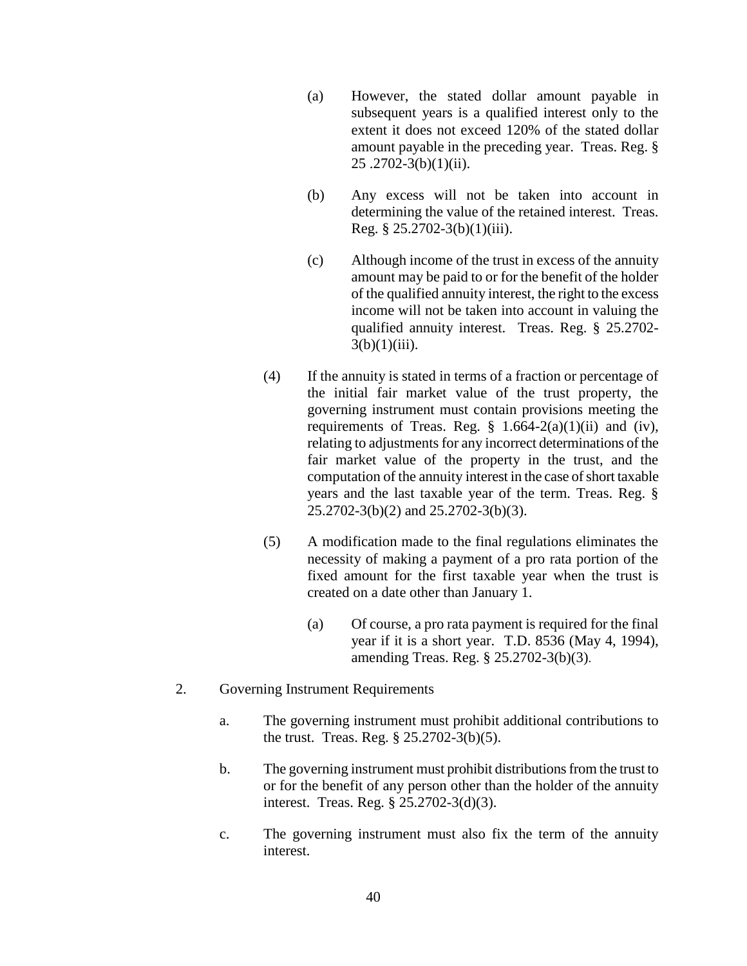- (a) However, the stated dollar amount payable in subsequent years is a qualified interest only to the extent it does not exceed 120% of the stated dollar amount payable in the preceding year. Treas. Reg. § 25 .2702-3(b)(1)(ii).
- (b) Any excess will not be taken into account in determining the value of the retained interest. Treas. Reg. § 25.2702-3(b)(1)(iii).
- (c) Although income of the trust in excess of the annuity amount may be paid to or for the benefit of the holder of the qualified annuity interest, the right to the excess income will not be taken into account in valuing the qualified annuity interest. Treas. Reg. § 25.2702-  $3(b)(1)(iii)$ .
- (4) If the annuity is stated in terms of a fraction or percentage of the initial fair market value of the trust property, the governing instrument must contain provisions meeting the requirements of Treas. Reg.  $\S$  1.664-2(a)(1)(ii) and (iv), relating to adjustments for any incorrect determinations of the fair market value of the property in the trust, and the computation of the annuity interest in the case of short taxable years and the last taxable year of the term. Treas. Reg. § 25.2702-3(b)(2) and 25.2702-3(b)(3).
- (5) A modification made to the final regulations eliminates the necessity of making a payment of a pro rata portion of the fixed amount for the first taxable year when the trust is created on a date other than January 1.
	- (a) Of course, a pro rata payment is required for the final year if it is a short year. T.D. 8536 (May 4, 1994), amending Treas. Reg. § 25.2702-3(b)(3).
- 2. Governing Instrument Requirements
	- a. The governing instrument must prohibit additional contributions to the trust. Treas. Reg. § 25.2702-3(b)(5).
	- b. The governing instrument must prohibit distributions from the trust to or for the benefit of any person other than the holder of the annuity interest. Treas. Reg. § 25.2702-3(d)(3).
	- c. The governing instrument must also fix the term of the annuity interest.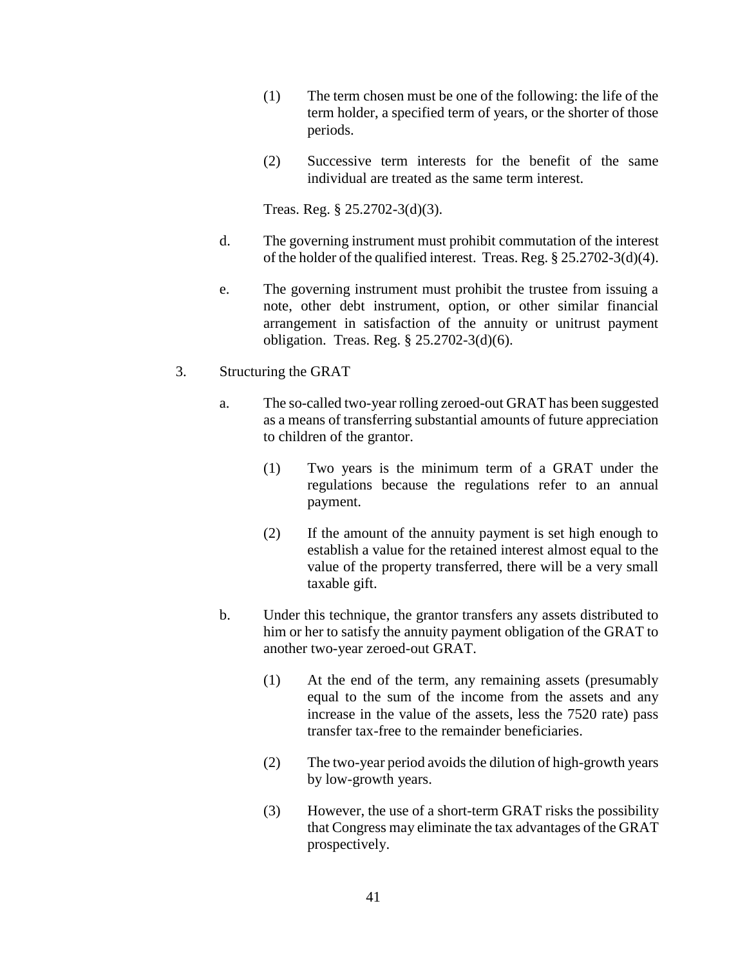- (1) The term chosen must be one of the following: the life of the term holder, a specified term of years, or the shorter of those periods.
- (2) Successive term interests for the benefit of the same individual are treated as the same term interest.

Treas. Reg. § 25.2702-3(d)(3).

- d. The governing instrument must prohibit commutation of the interest of the holder of the qualified interest. Treas. Reg. § 25.2702-3(d)(4).
- e. The governing instrument must prohibit the trustee from issuing a note, other debt instrument, option, or other similar financial arrangement in satisfaction of the annuity or unitrust payment obligation. Treas. Reg. § 25.2702-3(d)(6).
- 3. Structuring the GRAT
	- a. The so-called two-year rolling zeroed-out GRAT has been suggested as a means of transferring substantial amounts of future appreciation to children of the grantor.
		- (1) Two years is the minimum term of a GRAT under the regulations because the regulations refer to an annual payment.
		- (2) If the amount of the annuity payment is set high enough to establish a value for the retained interest almost equal to the value of the property transferred, there will be a very small taxable gift.
	- b. Under this technique, the grantor transfers any assets distributed to him or her to satisfy the annuity payment obligation of the GRAT to another two-year zeroed-out GRAT.
		- (1) At the end of the term, any remaining assets (presumably equal to the sum of the income from the assets and any increase in the value of the assets, less the 7520 rate) pass transfer tax-free to the remainder beneficiaries.
		- (2) The two-year period avoids the dilution of high-growth years by low-growth years.
		- (3) However, the use of a short-term GRAT risks the possibility that Congress may eliminate the tax advantages of the GRAT prospectively.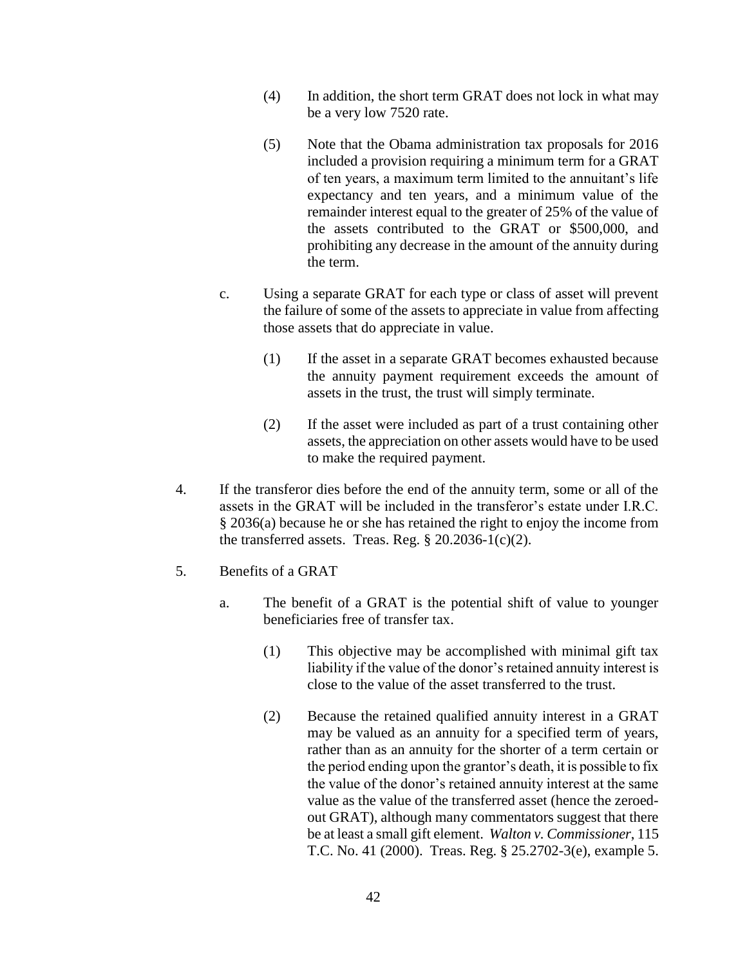- (4) In addition, the short term GRAT does not lock in what may be a very low 7520 rate.
- (5) Note that the Obama administration tax proposals for 2016 included a provision requiring a minimum term for a GRAT of ten years, a maximum term limited to the annuitant's life expectancy and ten years, and a minimum value of the remainder interest equal to the greater of 25% of the value of the assets contributed to the GRAT or \$500,000, and prohibiting any decrease in the amount of the annuity during the term.
- c. Using a separate GRAT for each type or class of asset will prevent the failure of some of the assets to appreciate in value from affecting those assets that do appreciate in value.
	- (1) If the asset in a separate GRAT becomes exhausted because the annuity payment requirement exceeds the amount of assets in the trust, the trust will simply terminate.
	- (2) If the asset were included as part of a trust containing other assets, the appreciation on other assets would have to be used to make the required payment.
- 4. If the transferor dies before the end of the annuity term, some or all of the assets in the GRAT will be included in the transferor's estate under I.R.C. § 2036(a) because he or she has retained the right to enjoy the income from the transferred assets. Treas. Reg.  $\S 20.2036 - 1(c)(2)$ .
- 5. Benefits of a GRAT
	- a. The benefit of a GRAT is the potential shift of value to younger beneficiaries free of transfer tax.
		- (1) This objective may be accomplished with minimal gift tax liability if the value of the donor's retained annuity interest is close to the value of the asset transferred to the trust.
		- (2) Because the retained qualified annuity interest in a GRAT may be valued as an annuity for a specified term of years, rather than as an annuity for the shorter of a term certain or the period ending upon the grantor's death, it is possible to fix the value of the donor's retained annuity interest at the same value as the value of the transferred asset (hence the zeroedout GRAT), although many commentators suggest that there be at least a small gift element. *Walton v. Commissioner*, 115 T.C. No. 41 (2000). Treas. Reg. § 25.2702-3(e), example 5.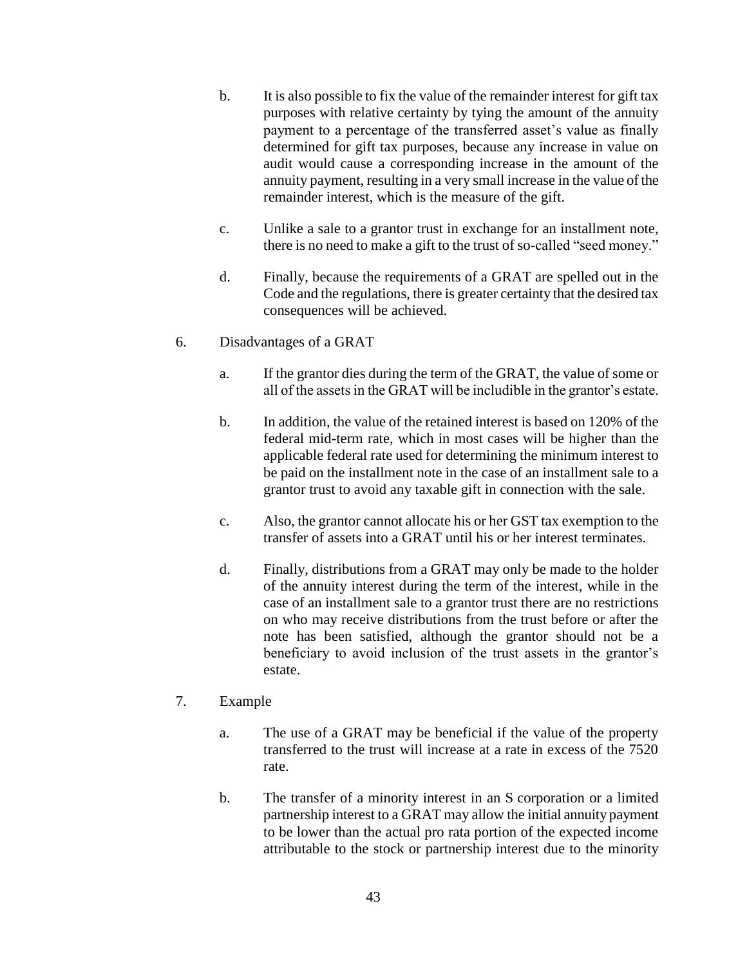- b. It is also possible to fix the value of the remainder interest for gift tax purposes with relative certainty by tying the amount of the annuity payment to a percentage of the transferred asset's value as finally determined for gift tax purposes, because any increase in value on audit would cause a corresponding increase in the amount of the annuity payment, resulting in a very small increase in the value of the remainder interest, which is the measure of the gift.
- c. Unlike a sale to a grantor trust in exchange for an installment note, there is no need to make a gift to the trust of so-called "seed money."
- d. Finally, because the requirements of a GRAT are spelled out in the Code and the regulations, there is greater certainty that the desired tax consequences will be achieved.

#### 6. Disadvantages of a GRAT

- a. If the grantor dies during the term of the GRAT, the value of some or all of the assets in the GRAT will be includible in the grantor's estate.
- b. In addition, the value of the retained interest is based on 120% of the federal mid-term rate, which in most cases will be higher than the applicable federal rate used for determining the minimum interest to be paid on the installment note in the case of an installment sale to a grantor trust to avoid any taxable gift in connection with the sale.
- c. Also, the grantor cannot allocate his or her GST tax exemption to the transfer of assets into a GRAT until his or her interest terminates.
- d. Finally, distributions from a GRAT may only be made to the holder of the annuity interest during the term of the interest, while in the case of an installment sale to a grantor trust there are no restrictions on who may receive distributions from the trust before or after the note has been satisfied, although the grantor should not be a beneficiary to avoid inclusion of the trust assets in the grantor's estate.

#### 7. Example

- a. The use of a GRAT may be beneficial if the value of the property transferred to the trust will increase at a rate in excess of the 7520 rate.
- b. The transfer of a minority interest in an S corporation or a limited partnership interest to a GRAT may allow the initial annuity payment to be lower than the actual pro rata portion of the expected income attributable to the stock or partnership interest due to the minority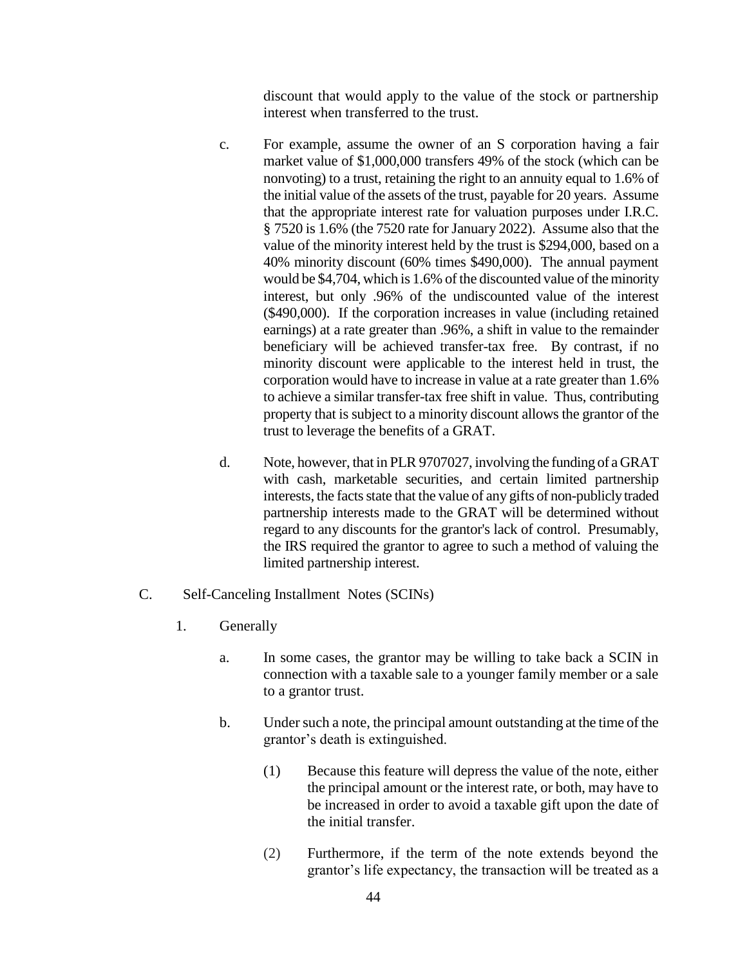discount that would apply to the value of the stock or partnership interest when transferred to the trust.

- c. For example, assume the owner of an S corporation having a fair market value of \$1,000,000 transfers 49% of the stock (which can be nonvoting) to a trust, retaining the right to an annuity equal to 1.6% of the initial value of the assets of the trust, payable for 20 years. Assume that the appropriate interest rate for valuation purposes under I.R.C. § 7520 is 1.6% (the 7520 rate for January 2022). Assume also that the value of the minority interest held by the trust is \$294,000, based on a 40% minority discount (60% times \$490,000). The annual payment would be \$4,704, which is 1.6% of the discounted value of the minority interest, but only .96% of the undiscounted value of the interest (\$490,000). If the corporation increases in value (including retained earnings) at a rate greater than .96%, a shift in value to the remainder beneficiary will be achieved transfer-tax free. By contrast, if no minority discount were applicable to the interest held in trust, the corporation would have to increase in value at a rate greater than 1.6% to achieve a similar transfer-tax free shift in value. Thus, contributing property that is subject to a minority discount allows the grantor of the trust to leverage the benefits of a GRAT.
- d. Note, however, that in PLR 9707027, involving the funding of a GRAT with cash, marketable securities, and certain limited partnership interests, the facts state that the value of any gifts of non-publicly traded partnership interests made to the GRAT will be determined without regard to any discounts for the grantor's lack of control. Presumably, the IRS required the grantor to agree to such a method of valuing the limited partnership interest.
- C. Self-Canceling Installment Notes (SCINs)
	- 1. Generally
		- a. In some cases, the grantor may be willing to take back a SCIN in connection with a taxable sale to a younger family member or a sale to a grantor trust.
		- b. Under such a note, the principal amount outstanding at the time of the grantor's death is extinguished.
			- (1) Because this feature will depress the value of the note, either the principal amount or the interest rate, or both, may have to be increased in order to avoid a taxable gift upon the date of the initial transfer.
			- (2) Furthermore, if the term of the note extends beyond the grantor's life expectancy, the transaction will be treated as a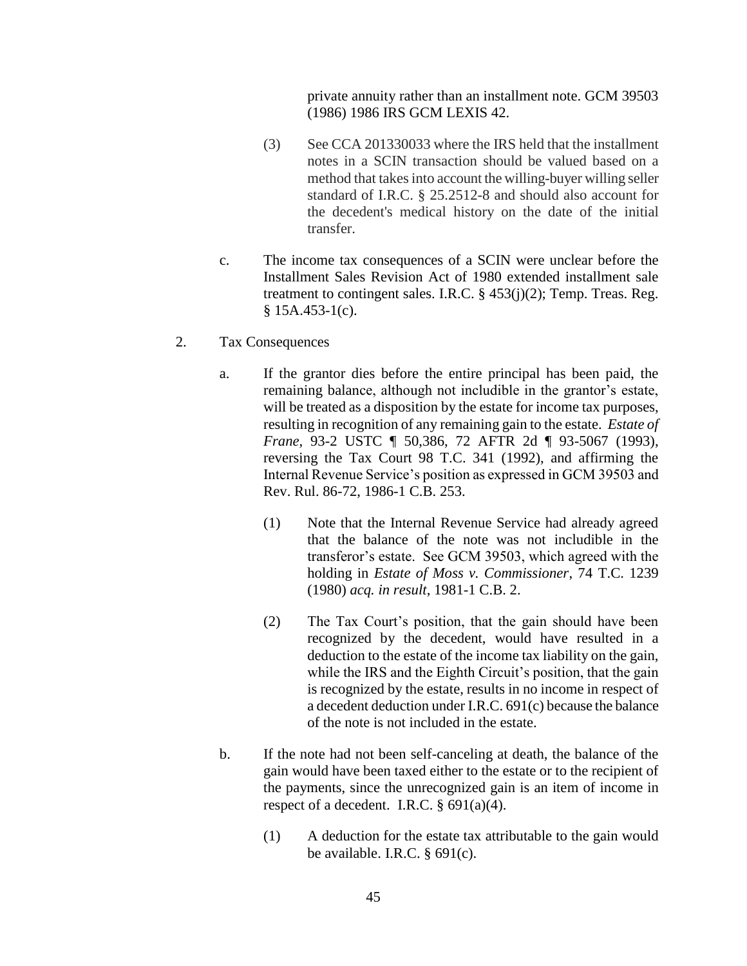private annuity rather than an installment note. GCM 39503 (1986) 1986 IRS GCM LEXIS 42.

- (3) See CCA 201330033 where the IRS held that the installment notes in a SCIN transaction should be valued based on a method that takes into account the willing-buyer willing seller standard of I.R.C. § 25.2512-8 and should also account for the decedent's medical history on the date of the initial transfer.
- c. The income tax consequences of a SCIN were unclear before the Installment Sales Revision Act of 1980 extended installment sale treatment to contingent sales. I.R.C.  $\S$  453(j)(2); Temp. Treas. Reg.  $§ 15A.453-1(c).$
- 2. Tax Consequences
	- a. If the grantor dies before the entire principal has been paid, the remaining balance, although not includible in the grantor's estate, will be treated as a disposition by the estate for income tax purposes, resulting in recognition of any remaining gain to the estate. *Estate of Frane*, 93-2 USTC ¶ 50,386, 72 AFTR 2d ¶ 93-5067 (1993), reversing the Tax Court 98 T.C. 341 (1992), and affirming the Internal Revenue Service's position as expressed in GCM 39503 and Rev. Rul. 86-72, 1986-1 C.B. 253.
		- (1) Note that the Internal Revenue Service had already agreed that the balance of the note was not includible in the transferor's estate. See GCM 39503, which agreed with the holding in *Estate of Moss v. Commissioner*, 74 T.C. 1239 (1980) *acq. in result*, 1981-1 C.B. 2.
		- (2) The Tax Court's position, that the gain should have been recognized by the decedent, would have resulted in a deduction to the estate of the income tax liability on the gain, while the IRS and the Eighth Circuit's position, that the gain is recognized by the estate, results in no income in respect of a decedent deduction under I.R.C. 691(c) because the balance of the note is not included in the estate.
	- b. If the note had not been self-canceling at death, the balance of the gain would have been taxed either to the estate or to the recipient of the payments, since the unrecognized gain is an item of income in respect of a decedent. I.R.C.  $\S$  691(a)(4).
		- (1) A deduction for the estate tax attributable to the gain would be available. I.R.C.  $\S$  691(c).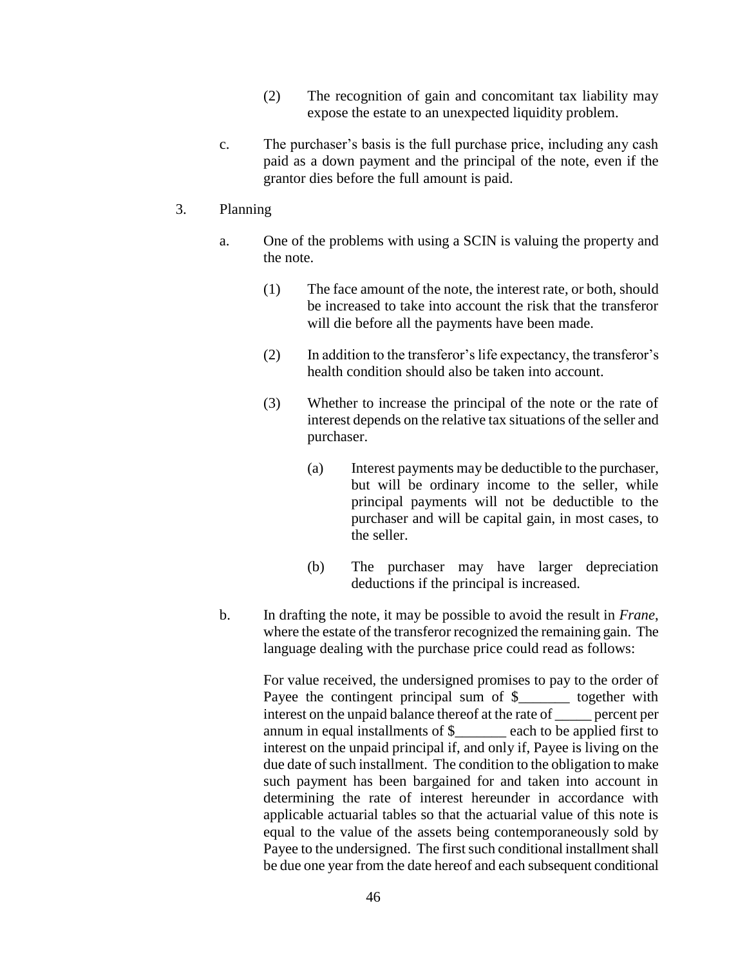- (2) The recognition of gain and concomitant tax liability may expose the estate to an unexpected liquidity problem.
- c. The purchaser's basis is the full purchase price, including any cash paid as a down payment and the principal of the note, even if the grantor dies before the full amount is paid.

#### 3. Planning

- a. One of the problems with using a SCIN is valuing the property and the note.
	- (1) The face amount of the note, the interest rate, or both, should be increased to take into account the risk that the transferor will die before all the payments have been made.
	- (2) In addition to the transferor's life expectancy, the transferor's health condition should also be taken into account.
	- (3) Whether to increase the principal of the note or the rate of interest depends on the relative tax situations of the seller and purchaser.
		- (a) Interest payments may be deductible to the purchaser, but will be ordinary income to the seller, while principal payments will not be deductible to the purchaser and will be capital gain, in most cases, to the seller.
		- (b) The purchaser may have larger depreciation deductions if the principal is increased.
- b. In drafting the note, it may be possible to avoid the result in *Frane*, where the estate of the transferor recognized the remaining gain. The language dealing with the purchase price could read as follows:

For value received, the undersigned promises to pay to the order of Payee the contingent principal sum of \$\_\_\_\_\_\_\_ together with interest on the unpaid balance thereof at the rate of \_\_\_\_\_ percent per annum in equal installments of \$\_\_\_\_\_\_\_ each to be applied first to interest on the unpaid principal if, and only if, Payee is living on the due date of such installment. The condition to the obligation to make such payment has been bargained for and taken into account in determining the rate of interest hereunder in accordance with applicable actuarial tables so that the actuarial value of this note is equal to the value of the assets being contemporaneously sold by Payee to the undersigned. The first such conditional installment shall be due one year from the date hereof and each subsequent conditional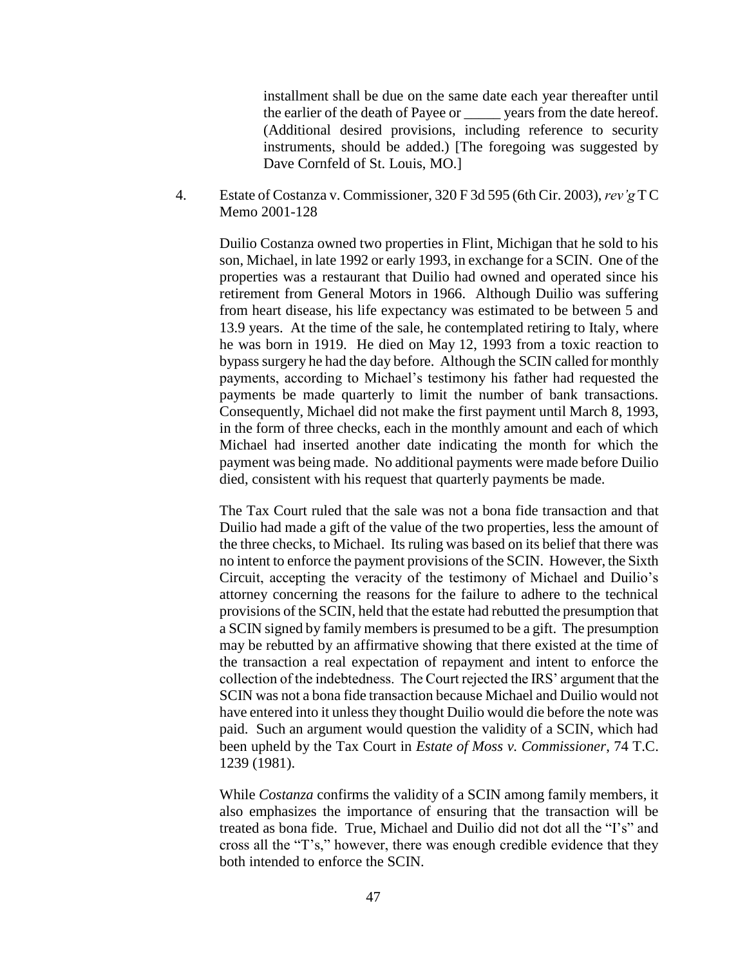installment shall be due on the same date each year thereafter until the earlier of the death of Payee or years from the date hereof. (Additional desired provisions, including reference to security instruments, should be added.) [The foregoing was suggested by Dave Cornfeld of St. Louis, MO.]

4. Estate of Costanza v. Commissioner, 320 F 3d 595 (6th Cir. 2003), *rev'g* T C Memo 2001-128

Duilio Costanza owned two properties in Flint, Michigan that he sold to his son, Michael, in late 1992 or early 1993, in exchange for a SCIN. One of the properties was a restaurant that Duilio had owned and operated since his retirement from General Motors in 1966. Although Duilio was suffering from heart disease, his life expectancy was estimated to be between 5 and 13.9 years. At the time of the sale, he contemplated retiring to Italy, where he was born in 1919. He died on May 12, 1993 from a toxic reaction to bypass surgery he had the day before. Although the SCIN called for monthly payments, according to Michael's testimony his father had requested the payments be made quarterly to limit the number of bank transactions. Consequently, Michael did not make the first payment until March 8, 1993, in the form of three checks, each in the monthly amount and each of which Michael had inserted another date indicating the month for which the payment was being made. No additional payments were made before Duilio died, consistent with his request that quarterly payments be made.

The Tax Court ruled that the sale was not a bona fide transaction and that Duilio had made a gift of the value of the two properties, less the amount of the three checks, to Michael. Its ruling was based on its belief that there was no intent to enforce the payment provisions of the SCIN. However, the Sixth Circuit, accepting the veracity of the testimony of Michael and Duilio's attorney concerning the reasons for the failure to adhere to the technical provisions of the SCIN, held that the estate had rebutted the presumption that a SCIN signed by family members is presumed to be a gift. The presumption may be rebutted by an affirmative showing that there existed at the time of the transaction a real expectation of repayment and intent to enforce the collection of the indebtedness. The Court rejected the IRS' argument that the SCIN was not a bona fide transaction because Michael and Duilio would not have entered into it unless they thought Duilio would die before the note was paid. Such an argument would question the validity of a SCIN, which had been upheld by the Tax Court in *Estate of Moss v. Commissioner*, 74 T.C. 1239 (1981).

While *Costanza* confirms the validity of a SCIN among family members, it also emphasizes the importance of ensuring that the transaction will be treated as bona fide. True, Michael and Duilio did not dot all the "I's" and cross all the "T's," however, there was enough credible evidence that they both intended to enforce the SCIN.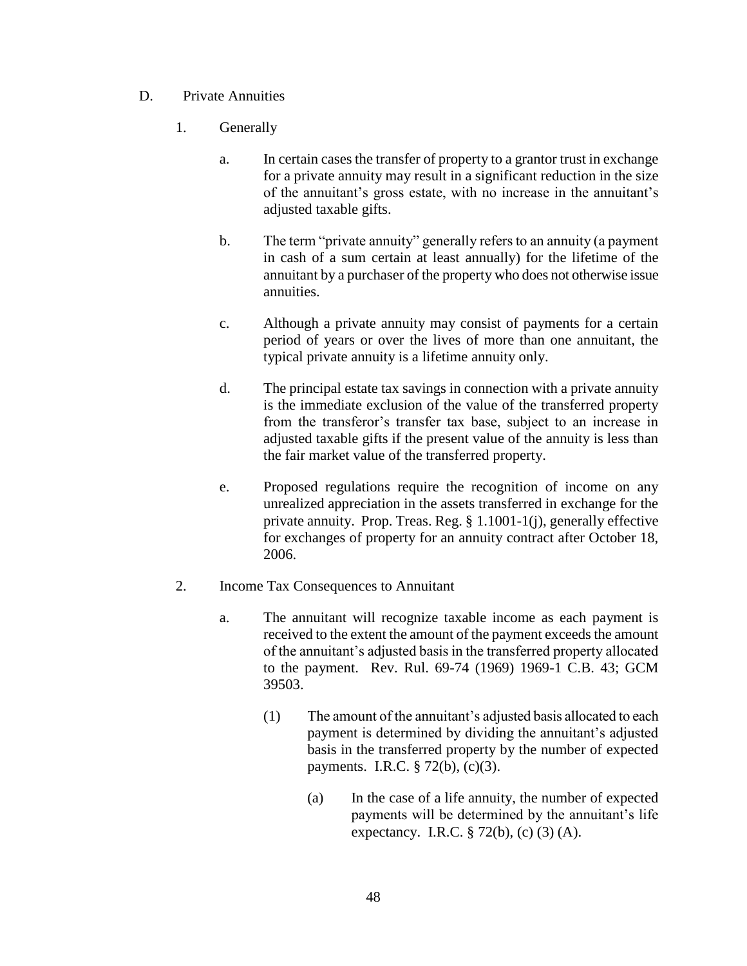- D. Private Annuities
	- 1. Generally
		- a. In certain cases the transfer of property to a grantor trust in exchange for a private annuity may result in a significant reduction in the size of the annuitant's gross estate, with no increase in the annuitant's adjusted taxable gifts.
		- b. The term "private annuity" generally refers to an annuity (a payment in cash of a sum certain at least annually) for the lifetime of the annuitant by a purchaser of the property who does not otherwise issue annuities.
		- c. Although a private annuity may consist of payments for a certain period of years or over the lives of more than one annuitant, the typical private annuity is a lifetime annuity only.
		- d. The principal estate tax savings in connection with a private annuity is the immediate exclusion of the value of the transferred property from the transferor's transfer tax base, subject to an increase in adjusted taxable gifts if the present value of the annuity is less than the fair market value of the transferred property.
		- e. Proposed regulations require the recognition of income on any unrealized appreciation in the assets transferred in exchange for the private annuity. Prop. Treas. Reg. § 1.1001-1(j), generally effective for exchanges of property for an annuity contract after October 18, 2006.
	- 2. Income Tax Consequences to Annuitant
		- a. The annuitant will recognize taxable income as each payment is received to the extent the amount of the payment exceeds the amount of the annuitant's adjusted basis in the transferred property allocated to the payment. Rev. Rul. 69-74 (1969) 1969-1 C.B. 43; GCM 39503.
			- (1) The amount of the annuitant's adjusted basis allocated to each payment is determined by dividing the annuitant's adjusted basis in the transferred property by the number of expected payments. I.R.C. § 72(b), (c)(3).
				- (a) In the case of a life annuity, the number of expected payments will be determined by the annuitant's life expectancy. I.R.C. § 72(b), (c) (3) (A).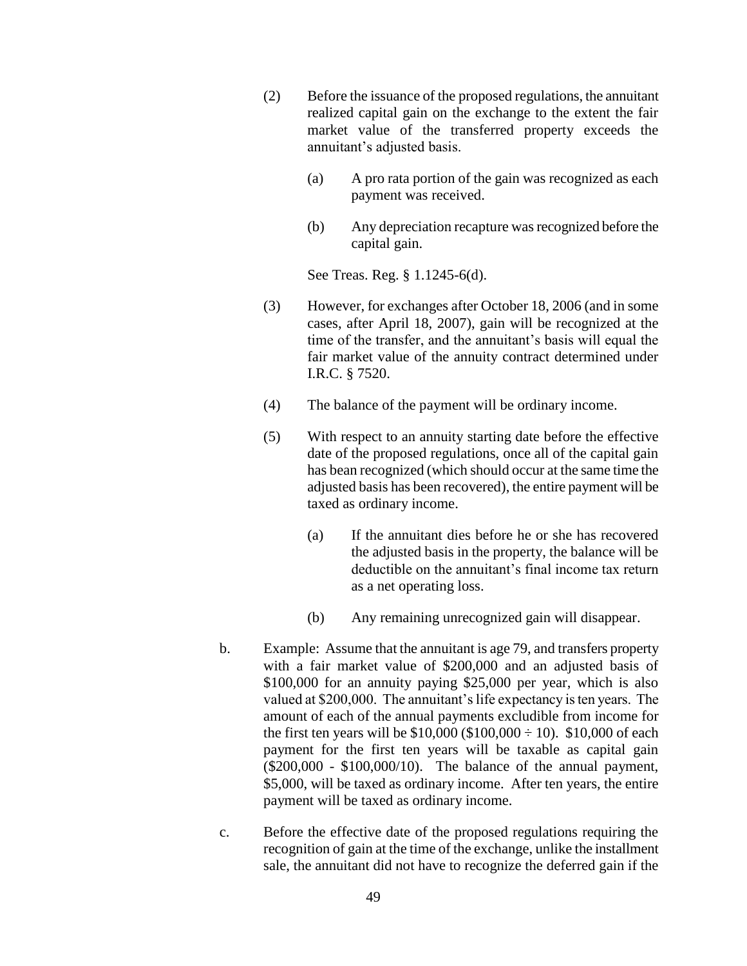- (2) Before the issuance of the proposed regulations, the annuitant realized capital gain on the exchange to the extent the fair market value of the transferred property exceeds the annuitant's adjusted basis.
	- (a) A pro rata portion of the gain was recognized as each payment was received.
	- (b) Any depreciation recapture was recognized before the capital gain.

See Treas. Reg. § 1.1245-6(d).

- (3) However, for exchanges after October 18, 2006 (and in some cases, after April 18, 2007), gain will be recognized at the time of the transfer, and the annuitant's basis will equal the fair market value of the annuity contract determined under I.R.C. § 7520.
- (4) The balance of the payment will be ordinary income.
- (5) With respect to an annuity starting date before the effective date of the proposed regulations, once all of the capital gain has bean recognized (which should occur at the same time the adjusted basis has been recovered), the entire payment will be taxed as ordinary income.
	- (a) If the annuitant dies before he or she has recovered the adjusted basis in the property, the balance will be deductible on the annuitant's final income tax return as a net operating loss.
	- (b) Any remaining unrecognized gain will disappear.
- b. Example: Assume that the annuitant is age 79, and transfers property with a fair market value of \$200,000 and an adjusted basis of \$100,000 for an annuity paying \$25,000 per year, which is also valued at \$200,000. The annuitant's life expectancy is ten years. The amount of each of the annual payments excludible from income for the first ten years will be  $$10,000 ($100,000 \div 10)$ . \$10,000 of each payment for the first ten years will be taxable as capital gain (\$200,000 - \$100,000/10). The balance of the annual payment, \$5,000, will be taxed as ordinary income. After ten years, the entire payment will be taxed as ordinary income.
- c. Before the effective date of the proposed regulations requiring the recognition of gain at the time of the exchange, unlike the installment sale, the annuitant did not have to recognize the deferred gain if the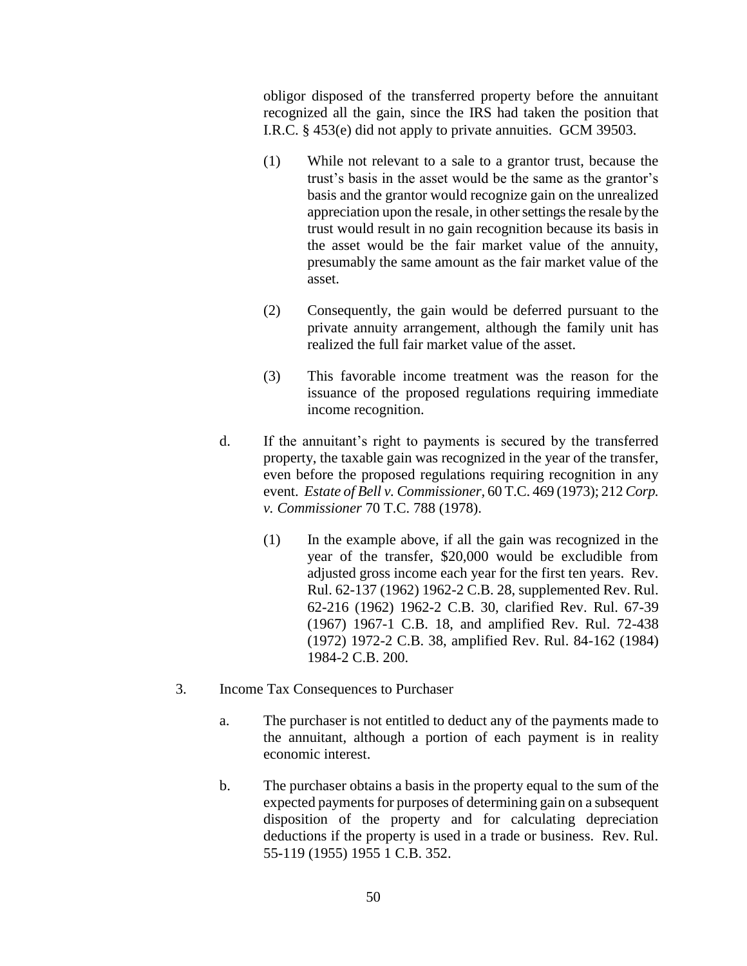obligor disposed of the transferred property before the annuitant recognized all the gain, since the IRS had taken the position that I.R.C. § 453(e) did not apply to private annuities. GCM 39503.

- (1) While not relevant to a sale to a grantor trust, because the trust's basis in the asset would be the same as the grantor's basis and the grantor would recognize gain on the unrealized appreciation upon the resale, in other settings the resale by the trust would result in no gain recognition because its basis in the asset would be the fair market value of the annuity, presumably the same amount as the fair market value of the asset.
- (2) Consequently, the gain would be deferred pursuant to the private annuity arrangement, although the family unit has realized the full fair market value of the asset.
- (3) This favorable income treatment was the reason for the issuance of the proposed regulations requiring immediate income recognition.
- d. If the annuitant's right to payments is secured by the transferred property, the taxable gain was recognized in the year of the transfer, even before the proposed regulations requiring recognition in any event. *Estate of Bell v. Commissioner,* 60 T.C. 469 (1973); 212 *Corp. v. Commissioner* 70 T.C. 788 (1978).
	- (1) In the example above, if all the gain was recognized in the year of the transfer, \$20,000 would be excludible from adjusted gross income each year for the first ten years. Rev. Rul. 62-137 (1962) 1962-2 C.B. 28, supplemented Rev. Rul. 62-216 (1962) 1962-2 C.B. 30, clarified Rev. Rul. 67-39 (1967) 1967-1 C.B. 18, and amplified Rev. Rul. 72-438 (1972) 1972-2 C.B. 38, amplified Rev. Rul. 84-162 (1984) 1984-2 C.B. 200.
- 3. Income Tax Consequences to Purchaser
	- a. The purchaser is not entitled to deduct any of the payments made to the annuitant, although a portion of each payment is in reality economic interest.
	- b. The purchaser obtains a basis in the property equal to the sum of the expected payments for purposes of determining gain on a subsequent disposition of the property and for calculating depreciation deductions if the property is used in a trade or business. Rev. Rul. 55-119 (1955) 1955 1 C.B. 352.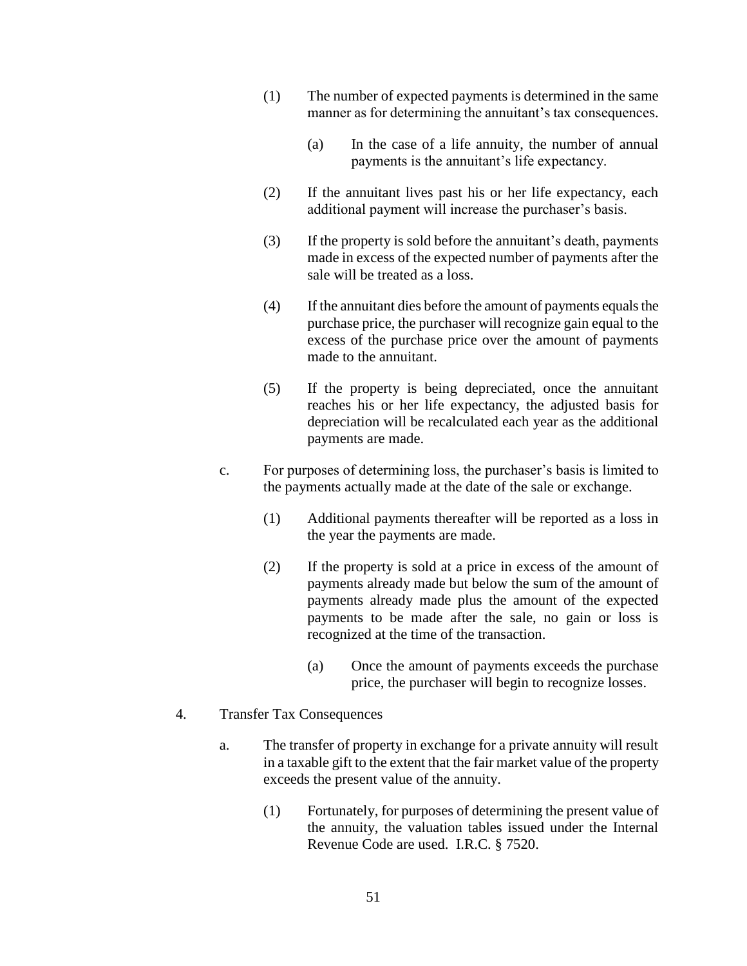- (1) The number of expected payments is determined in the same manner as for determining the annuitant's tax consequences.
	- (a) In the case of a life annuity, the number of annual payments is the annuitant's life expectancy.
- (2) If the annuitant lives past his or her life expectancy, each additional payment will increase the purchaser's basis.
- (3) If the property is sold before the annuitant's death, payments made in excess of the expected number of payments after the sale will be treated as a loss.
- (4) If the annuitant dies before the amount of payments equals the purchase price, the purchaser will recognize gain equal to the excess of the purchase price over the amount of payments made to the annuitant.
- (5) If the property is being depreciated, once the annuitant reaches his or her life expectancy, the adjusted basis for depreciation will be recalculated each year as the additional payments are made.
- c. For purposes of determining loss, the purchaser's basis is limited to the payments actually made at the date of the sale or exchange.
	- (1) Additional payments thereafter will be reported as a loss in the year the payments are made.
	- (2) If the property is sold at a price in excess of the amount of payments already made but below the sum of the amount of payments already made plus the amount of the expected payments to be made after the sale, no gain or loss is recognized at the time of the transaction.
		- (a) Once the amount of payments exceeds the purchase price, the purchaser will begin to recognize losses.
- 4. Transfer Tax Consequences
	- a. The transfer of property in exchange for a private annuity will result in a taxable gift to the extent that the fair market value of the property exceeds the present value of the annuity.
		- (1) Fortunately, for purposes of determining the present value of the annuity, the valuation tables issued under the Internal Revenue Code are used. I.R.C. § 7520.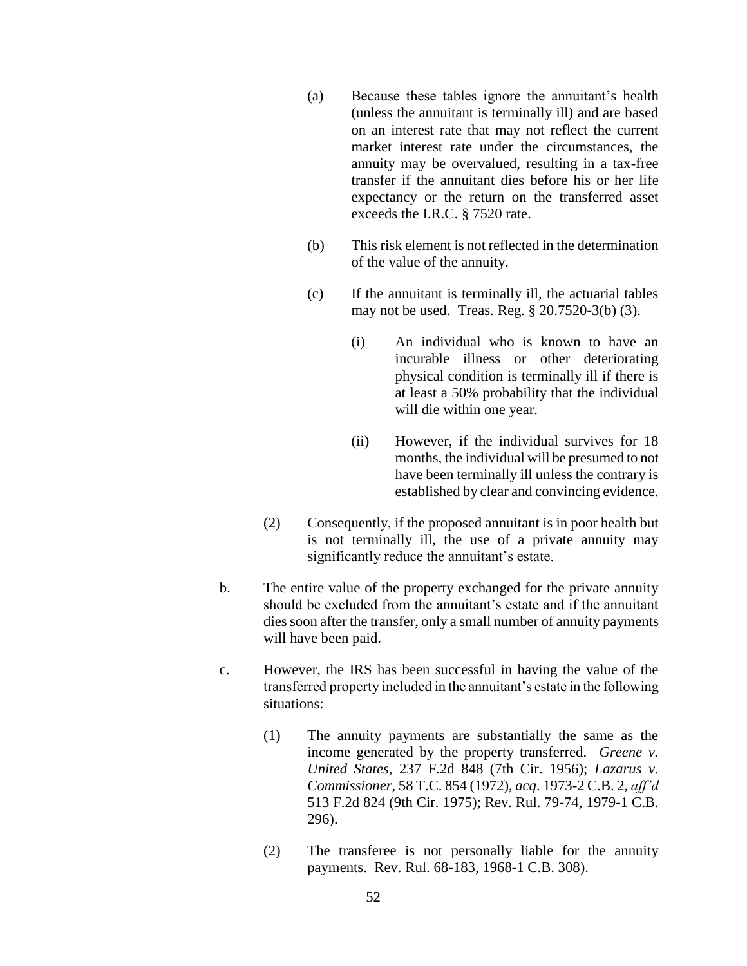- (a) Because these tables ignore the annuitant's health (unless the annuitant is terminally ill) and are based on an interest rate that may not reflect the current market interest rate under the circumstances, the annuity may be overvalued, resulting in a tax-free transfer if the annuitant dies before his or her life expectancy or the return on the transferred asset exceeds the I.R.C. § 7520 rate.
- (b) This risk element is not reflected in the determination of the value of the annuity.
- (c) If the annuitant is terminally ill, the actuarial tables may not be used. Treas. Reg. § 20.7520-3(b) (3).
	- (i) An individual who is known to have an incurable illness or other deteriorating physical condition is terminally ill if there is at least a 50% probability that the individual will die within one year.
	- (ii) However, if the individual survives for 18 months, the individual will be presumed to not have been terminally ill unless the contrary is established by clear and convincing evidence.
- (2) Consequently, if the proposed annuitant is in poor health but is not terminally ill, the use of a private annuity may significantly reduce the annuitant's estate.
- b. The entire value of the property exchanged for the private annuity should be excluded from the annuitant's estate and if the annuitant dies soon after the transfer, only a small number of annuity payments will have been paid.
- c. However, the IRS has been successful in having the value of the transferred property included in the annuitant's estate in the following situations:
	- (1) The annuity payments are substantially the same as the income generated by the property transferred. *Greene v. United States*, 237 F.2d 848 (7th Cir. 1956); *Lazarus v. Commissioner*, 58 T.C. 854 (1972), *acq*. 1973-2 C.B. 2, *aff'd* 513 F.2d 824 (9th Cir. 1975); Rev. Rul. 79-74, 1979-1 C.B. 296).
	- (2) The transferee is not personally liable for the annuity payments. Rev. Rul. 68-183, 1968-1 C.B. 308).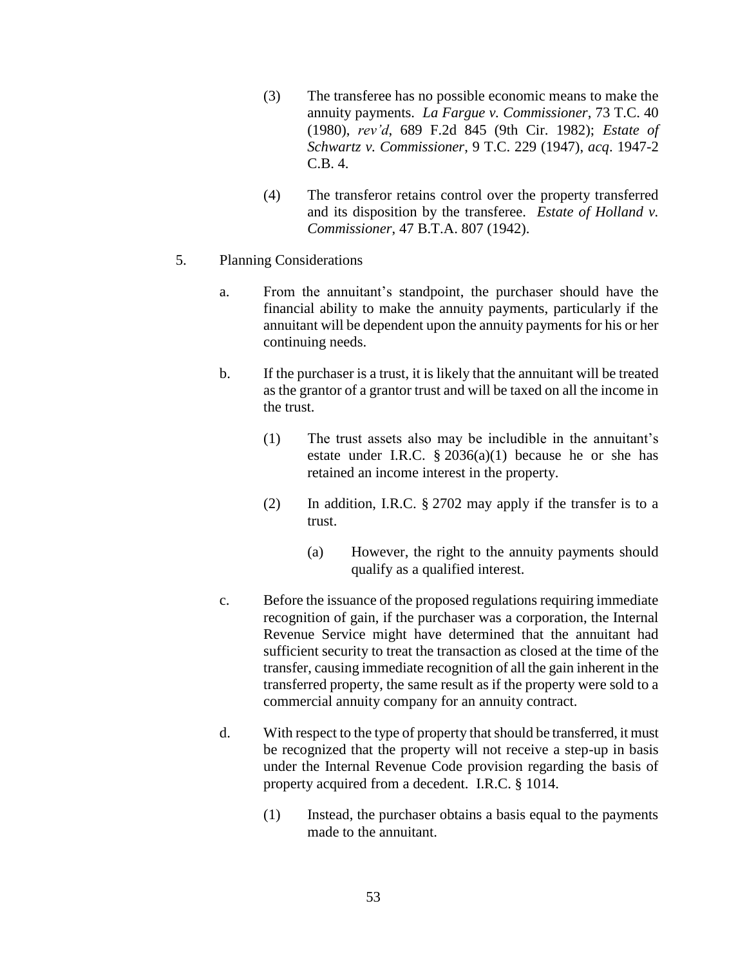- (3) The transferee has no possible economic means to make the annuity payments. *La Fargue v. Commissioner*, 73 T.C. 40 (1980), *rev'd*, 689 F.2d 845 (9th Cir. 1982); *Estate of Schwartz v. Commissioner*, 9 T.C. 229 (1947), *acq*. 1947-2 C.B. 4.
- (4) The transferor retains control over the property transferred and its disposition by the transferee. *Estate of Holland v. Commissioner*, 47 B.T.A. 807 (1942).
- 5. Planning Considerations
	- a. From the annuitant's standpoint, the purchaser should have the financial ability to make the annuity payments, particularly if the annuitant will be dependent upon the annuity payments for his or her continuing needs.
	- b. If the purchaser is a trust, it is likely that the annuitant will be treated as the grantor of a grantor trust and will be taxed on all the income in the trust.
		- (1) The trust assets also may be includible in the annuitant's estate under I.R.C.  $\S 2036(a)(1)$  because he or she has retained an income interest in the property.
		- (2) In addition, I.R.C. § 2702 may apply if the transfer is to a trust.
			- (a) However, the right to the annuity payments should qualify as a qualified interest.
	- c. Before the issuance of the proposed regulations requiring immediate recognition of gain, if the purchaser was a corporation, the Internal Revenue Service might have determined that the annuitant had sufficient security to treat the transaction as closed at the time of the transfer, causing immediate recognition of all the gain inherent in the transferred property, the same result as if the property were sold to a commercial annuity company for an annuity contract.
	- d. With respect to the type of property that should be transferred, it must be recognized that the property will not receive a step-up in basis under the Internal Revenue Code provision regarding the basis of property acquired from a decedent. I.R.C. § 1014.
		- (1) Instead, the purchaser obtains a basis equal to the payments made to the annuitant.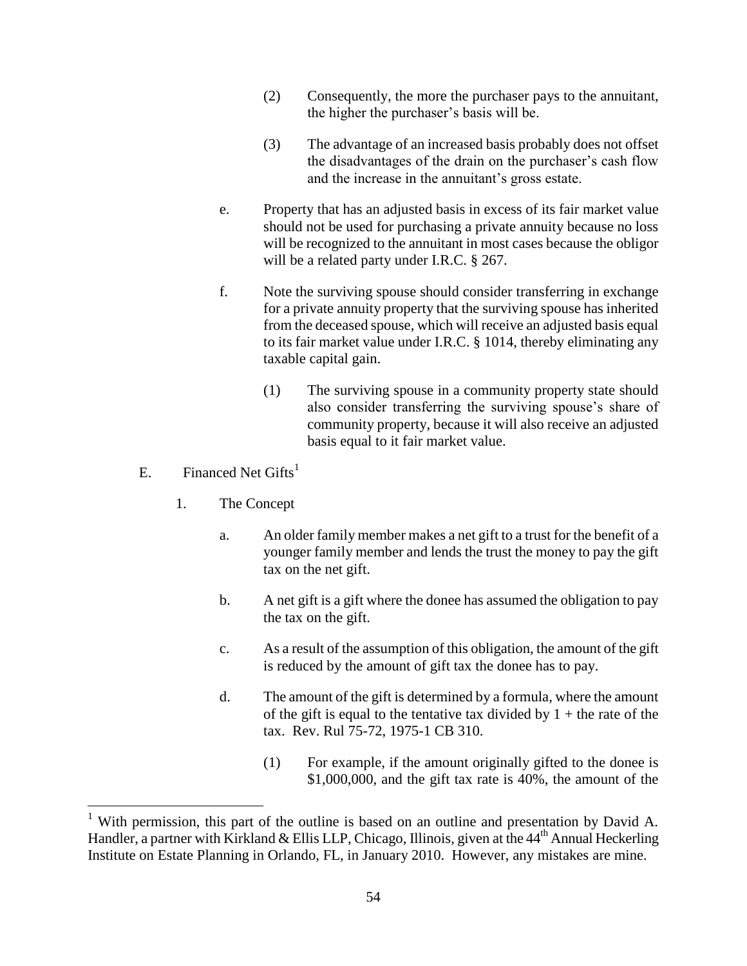- (2) Consequently, the more the purchaser pays to the annuitant, the higher the purchaser's basis will be.
- (3) The advantage of an increased basis probably does not offset the disadvantages of the drain on the purchaser's cash flow and the increase in the annuitant's gross estate.
- e. Property that has an adjusted basis in excess of its fair market value should not be used for purchasing a private annuity because no loss will be recognized to the annuitant in most cases because the obligor will be a related party under I.R.C. § 267.
- f. Note the surviving spouse should consider transferring in exchange for a private annuity property that the surviving spouse has inherited from the deceased spouse, which will receive an adjusted basis equal to its fair market value under I.R.C. § 1014, thereby eliminating any taxable capital gain.
	- (1) The surviving spouse in a community property state should also consider transferring the surviving spouse's share of community property, because it will also receive an adjusted basis equal to it fair market value.
- E. Financed Net  $Gifts<sup>1</sup>$

 $\overline{a}$ 

- 1. The Concept
	- a. An older family member makes a net gift to a trust for the benefit of a younger family member and lends the trust the money to pay the gift tax on the net gift.
	- b. A net gift is a gift where the donee has assumed the obligation to pay the tax on the gift.
	- c. As a result of the assumption of this obligation, the amount of the gift is reduced by the amount of gift tax the donee has to pay.
	- d. The amount of the gift is determined by a formula, where the amount of the gift is equal to the tentative tax divided by  $1 +$  the rate of the tax. Rev. Rul 75-72, 1975-1 CB 310.
		- (1) For example, if the amount originally gifted to the donee is \$1,000,000, and the gift tax rate is 40%, the amount of the

<sup>&</sup>lt;sup>1</sup> With permission, this part of the outline is based on an outline and presentation by David A. Handler, a partner with Kirkland & Ellis LLP, Chicago, Illinois, given at the 44<sup>th</sup> Annual Heckerling Institute on Estate Planning in Orlando, FL, in January 2010. However, any mistakes are mine.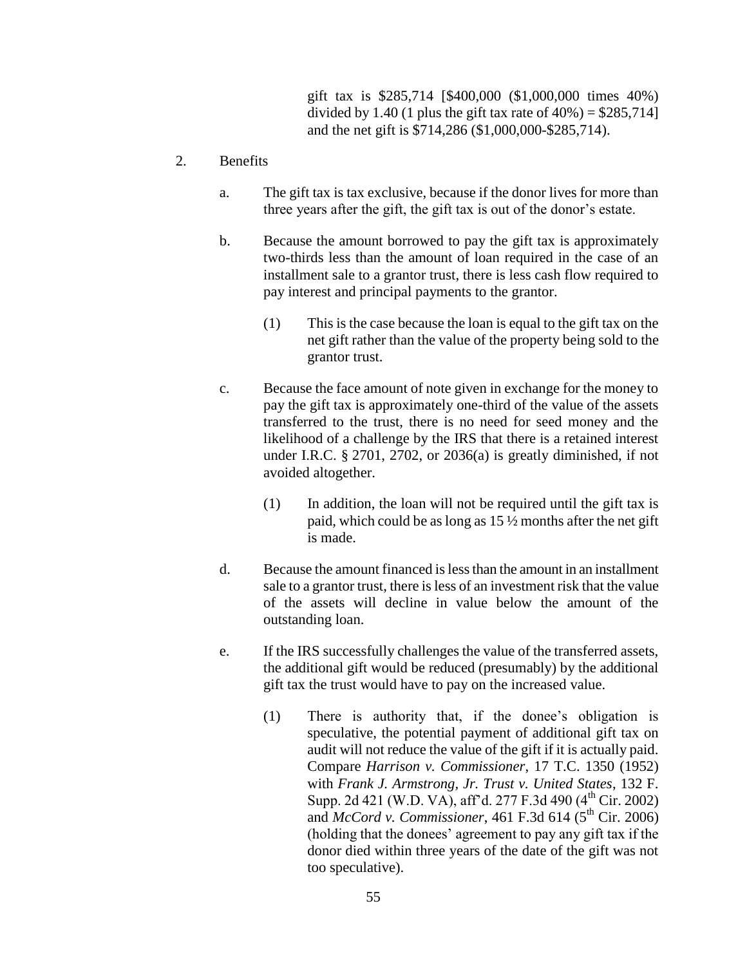gift tax is \$285,714 [\$400,000 (\$1,000,000 times 40%) divided by 1.40 (1 plus the gift tax rate of  $40\%$ ) = \$285,714] and the net gift is \$714,286 (\$1,000,000-\$285,714).

#### 2. Benefits

- a. The gift tax is tax exclusive, because if the donor lives for more than three years after the gift, the gift tax is out of the donor's estate.
- b. Because the amount borrowed to pay the gift tax is approximately two-thirds less than the amount of loan required in the case of an installment sale to a grantor trust, there is less cash flow required to pay interest and principal payments to the grantor.
	- (1) This is the case because the loan is equal to the gift tax on the net gift rather than the value of the property being sold to the grantor trust.
- c. Because the face amount of note given in exchange for the money to pay the gift tax is approximately one-third of the value of the assets transferred to the trust, there is no need for seed money and the likelihood of a challenge by the IRS that there is a retained interest under I.R.C. § 2701, 2702, or 2036(a) is greatly diminished, if not avoided altogether.
	- (1) In addition, the loan will not be required until the gift tax is paid, which could be as long as 15 ½ months after the net gift is made.
- d. Because the amount financed is less than the amount in an installment sale to a grantor trust, there is less of an investment risk that the value of the assets will decline in value below the amount of the outstanding loan.
- e. If the IRS successfully challenges the value of the transferred assets, the additional gift would be reduced (presumably) by the additional gift tax the trust would have to pay on the increased value.
	- (1) There is authority that, if the donee's obligation is speculative, the potential payment of additional gift tax on audit will not reduce the value of the gift if it is actually paid. Compare *Harrison v. Commissioner*, 17 T.C. 1350 (1952) with *Frank J. Armstrong, Jr. Trust v. United States*, 132 F. Supp. 2d 421 (W.D. VA), aff'd. 277 F.3d 490 (4<sup>th</sup> Cir. 2002) and *McCord v. Commissioner*, 461 F.3d 614 ( $5<sup>th</sup>$  Cir. 2006) (holding that the donees' agreement to pay any gift tax if the donor died within three years of the date of the gift was not too speculative).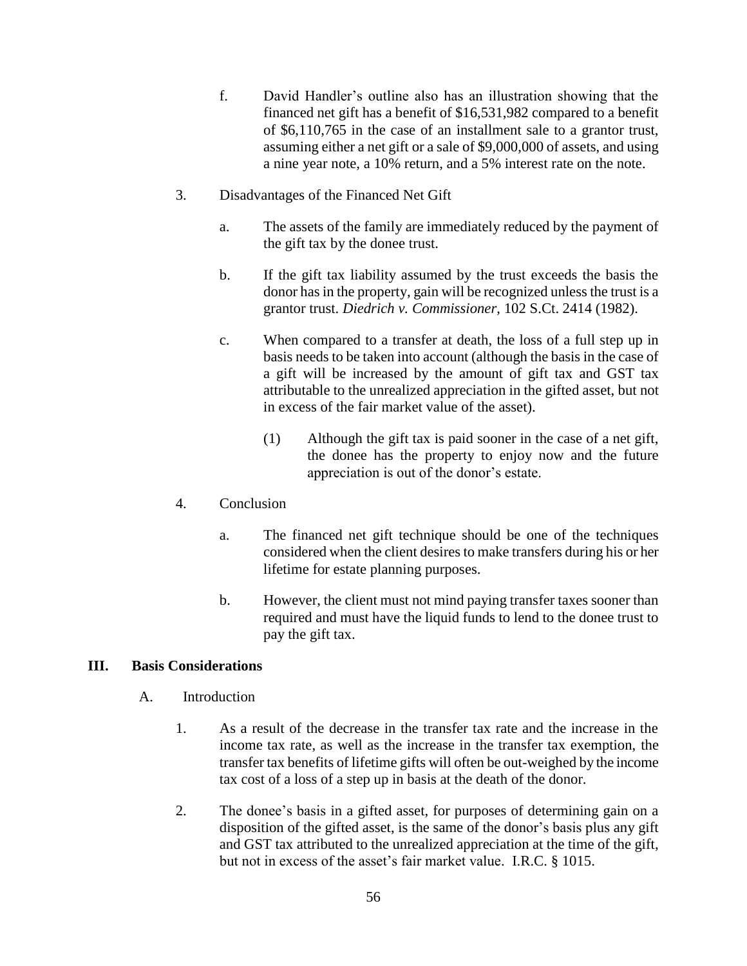- f. David Handler's outline also has an illustration showing that the financed net gift has a benefit of \$16,531,982 compared to a benefit of \$6,110,765 in the case of an installment sale to a grantor trust, assuming either a net gift or a sale of \$9,000,000 of assets, and using a nine year note, a 10% return, and a 5% interest rate on the note.
- 3. Disadvantages of the Financed Net Gift
	- a. The assets of the family are immediately reduced by the payment of the gift tax by the donee trust.
	- b. If the gift tax liability assumed by the trust exceeds the basis the donor has in the property, gain will be recognized unless the trust is a grantor trust. *Diedrich v. Commissioner*, 102 S.Ct. 2414 (1982).
	- c. When compared to a transfer at death, the loss of a full step up in basis needs to be taken into account (although the basis in the case of a gift will be increased by the amount of gift tax and GST tax attributable to the unrealized appreciation in the gifted asset, but not in excess of the fair market value of the asset).
		- (1) Although the gift tax is paid sooner in the case of a net gift, the donee has the property to enjoy now and the future appreciation is out of the donor's estate.
- 4. Conclusion
	- a. The financed net gift technique should be one of the techniques considered when the client desires to make transfers during his or her lifetime for estate planning purposes.
	- b. However, the client must not mind paying transfer taxes sooner than required and must have the liquid funds to lend to the donee trust to pay the gift tax.

#### **III. Basis Considerations**

- A. Introduction
	- 1. As a result of the decrease in the transfer tax rate and the increase in the income tax rate, as well as the increase in the transfer tax exemption, the transfer tax benefits of lifetime gifts will often be out-weighed by the income tax cost of a loss of a step up in basis at the death of the donor.
	- 2. The donee's basis in a gifted asset, for purposes of determining gain on a disposition of the gifted asset, is the same of the donor's basis plus any gift and GST tax attributed to the unrealized appreciation at the time of the gift, but not in excess of the asset's fair market value. I.R.C. § 1015.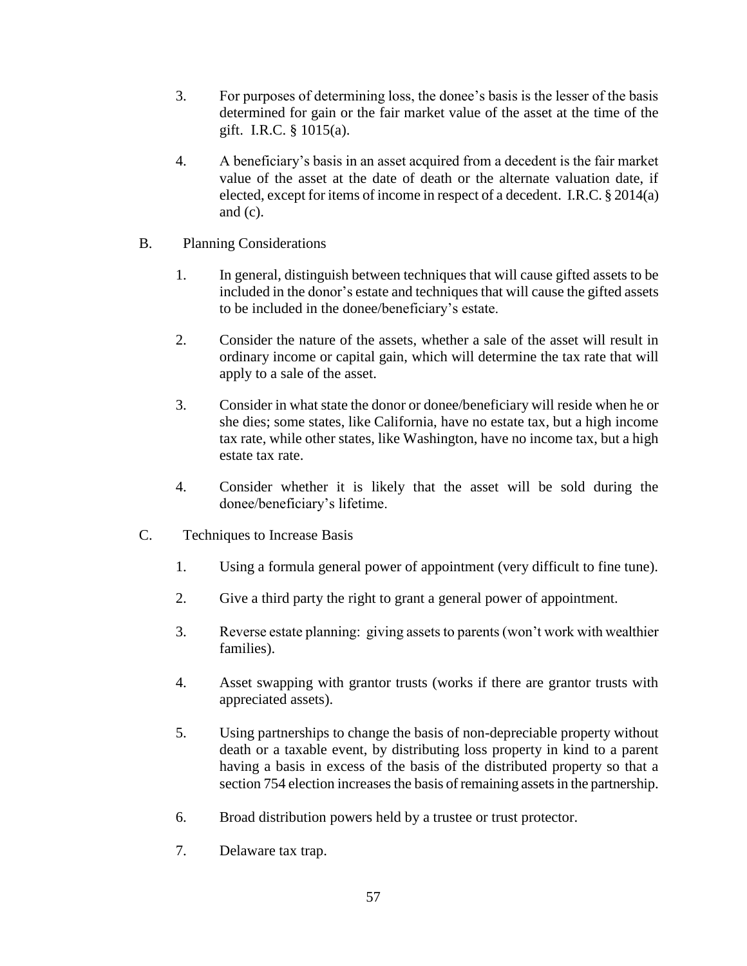- 3. For purposes of determining loss, the donee's basis is the lesser of the basis determined for gain or the fair market value of the asset at the time of the gift. I.R.C. § 1015(a).
- 4. A beneficiary's basis in an asset acquired from a decedent is the fair market value of the asset at the date of death or the alternate valuation date, if elected, except for items of income in respect of a decedent. I.R.C. § 2014(a) and (c).
- B. Planning Considerations
	- 1. In general, distinguish between techniques that will cause gifted assets to be included in the donor's estate and techniques that will cause the gifted assets to be included in the donee/beneficiary's estate.
	- 2. Consider the nature of the assets, whether a sale of the asset will result in ordinary income or capital gain, which will determine the tax rate that will apply to a sale of the asset.
	- 3. Consider in what state the donor or donee/beneficiary will reside when he or she dies; some states, like California, have no estate tax, but a high income tax rate, while other states, like Washington, have no income tax, but a high estate tax rate.
	- 4. Consider whether it is likely that the asset will be sold during the donee/beneficiary's lifetime.
- C. Techniques to Increase Basis
	- 1. Using a formula general power of appointment (very difficult to fine tune).
	- 2. Give a third party the right to grant a general power of appointment.
	- 3. Reverse estate planning: giving assets to parents (won't work with wealthier families).
	- 4. Asset swapping with grantor trusts (works if there are grantor trusts with appreciated assets).
	- 5. Using partnerships to change the basis of non-depreciable property without death or a taxable event, by distributing loss property in kind to a parent having a basis in excess of the basis of the distributed property so that a section 754 election increases the basis of remaining assets in the partnership.
	- 6. Broad distribution powers held by a trustee or trust protector.
	- 7. Delaware tax trap.